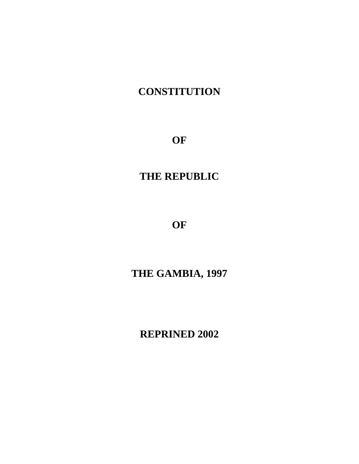# **CONSTITUTION**

**OF** 

# **THE REPUBLIC**

**OF** 

# **THE GAMBIA, 1997**

**REPRINED 2002**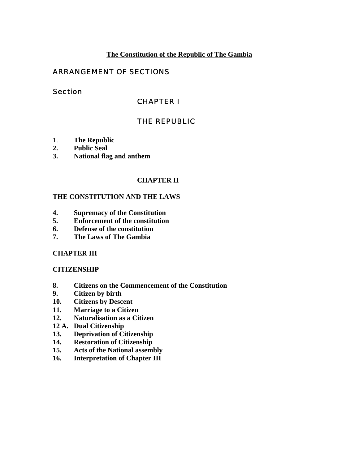# **The Constitution of the Republic of The Gambia**

# ARRANGEMENT OF SECTIONS

# **Section**

# CHAPTER I

# THE REPUBLIC

- 1. **The Republic**
- **2. Public Seal**
- **3. National flag and anthem**

# **CHAPTER II**

# **THE CONSTITUTION AND THE LAWS**

- **4. Supremacy of the Constitution**
- **5. Enforcement of the constitution**
- **6. Defense of the constitution**
- **7. The Laws of The Gambia**

# **CHAPTER III**

# **CITIZENSHIP**

- **8. Citizens on the Commencement of the Constitution**
- **9. Citizen by birth**
- **10. Citizens by Descent**
- **11. Marriage to a Citizen**
- **12. Naturalisation as a Citizen**
- **12 A. Dual Citizenship**
- **13. Deprivation of Citizenship**
- **14. Restoration of Citizenship**
- **15. Acts of the National assembly**
- **16. Interpretation of Chapter III**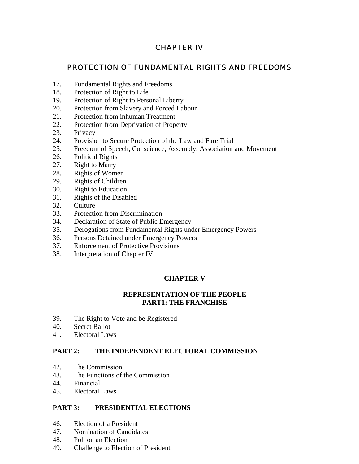# CHAPTER IV

# PROTECTION OF FUNDAMENTAL RIGHTS AND FREEDOMS

- 17. Fundamental Rights and Freedoms
- 18. Protection of Right to Life
- 19. Protection of Right to Personal Liberty
- 20. Protection from Slavery and Forced Labour
- 21. Protection from inhuman Treatment
- 22. Protection from Deprivation of Property
- 23. Privacy
- 24. Provision to Secure Protection of the Law and Fare Trial
- 25. Freedom of Speech, Conscience, Assembly, Association and Movement
- 26. Political Rights
- 27. Right to Marry
- 28. Rights of Women
- 29. Rights of Children
- 30. Right to Education
- 31. Rights of the Disabled
- 32. Culture
- 33. Protection from Discrimination
- 34. Declaration of State of Public Emergency
- 35. Derogations from Fundamental Rights under Emergency Powers
- 36. Persons Detained under Emergency Powers
- 37. Enforcement of Protective Provisions
- 38. Interpretation of Chapter IV

# **CHAPTER V**

# **REPRESENTATION OF THE PEOPLE PART1: THE FRANCHISE**

- 39. The Right to Vote and be Registered
- 40. Secret Ballot
- 41. Electoral Laws

# **PART 2: THE INDEPENDENT ELECTORAL COMMISSION**

- 42. The Commission
- 43. The Functions of the Commission
- 44. Financial
- 45. Electoral Laws

# **PART 3: PRESIDENTIAL ELECTIONS**

- 46. Election of a President
- 47. Nomination of Candidates
- 48. Poll on an Election
- 49. Challenge to Election of President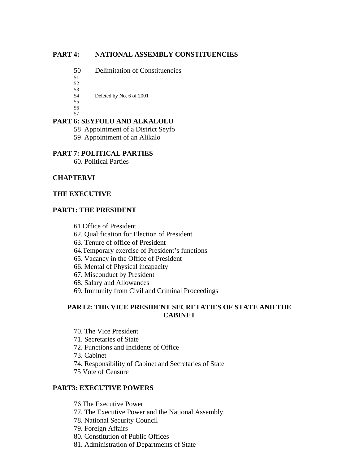# **PART 4: NATIONAL ASSEMBLY CONSTITUENCIES**

- 50 Delimitation of Constituencies
- 51 52
- 53
- 54 Deleted by No. 6 of 2001
- 55
- 56 57

# **PART 6: SEYFOLU AND ALKALOLU**

- 58 Appointment of a District Seyfo
- 59 Appointment of an Alikalo

# **PART 7: POLITICAL PARTIES**

60. Political Parties

# **CHAPTERVI**

# **THE EXECUTIVE**

# **PART1: THE PRESIDENT**

- 61 Office of President
- 62. Qualification for Election of President
- 63. Tenure of office of President
- 64.Temporary exercise of President's functions
- 65. Vacancy in the Office of President
- 66. Mental of Physical incapacity
- 67. Misconduct by President
- 68. Salary and Allowances
- 69. Immunity from Civil and Criminal Proceedings

# **PART2: THE VICE PRESIDENT SECRETATIES OF STATE AND THE CABINET**

- 70. The Vice President
- 71. Secretaries of State
- 72. Functions and Incidents of Office
- 73. Cabinet
- 74. Responsibility of Cabinet and Secretaries of State
- 75 Vote of Censure

# **PART3: EXECUTIVE POWERS**

- 76 The Executive Power
- 77. The Executive Power and the National Assembly
- 78. National Security Council
- 79. Foreign Affairs
- 80. Constitution of Public Offices
- 81. Administration of Departments of State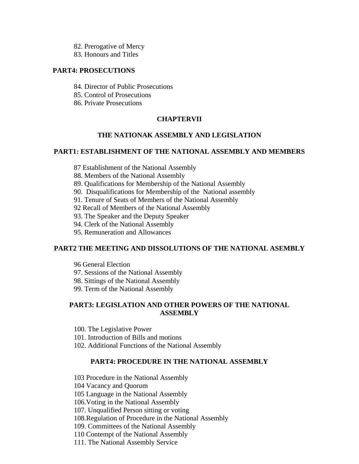- 82. Prerogative of Mercy
- 83. Honours and Titles

# **PART4: PROSECUTIONS**

- 84. Director of Public Prosecutions
- 85. Control of Prosecutions
- 86. Private Prosecutions

# **CHAPTERVII**

# **THE NATIONAK ASSEMBLY AND LEGISLATION**

# **PART1: ESTABLISHMENT OF THE NATIONAL ASSEMBLY AND MEMBERS**

- 87 Establishment of the National Assembly
- 88. Members of the National Assembly
- 89. Qualifications for Membership of the National Assembly
- 90. Disqualifications for Membership of the National assembly
- 91. Tenure of Seats of Members of the National Assembly
- 92 Recall of Members of the National Assembly
- 93. The Speaker and the Deputy Speaker
- 94. Clerk of the National Assembly
- 95. Remuneration and Allowances

# **PART2 THE MEETING AND DISSOLUTIONS OF THE NATIONAL ASEMBLY**

- 96 General Election
- 97. Sessions of the National Assembly
- 98. Sittings of the National Assembly
- 99. Term of the National Assembly

# **PART3: LEGISLATION AND OTHER POWERS OF THE NATIONAL ASSEMBLY**

- 100. The Legislative Power
- 101. Introduction of Bills and motions
- 102. Additional Functions of the National Assembly

# **PART4: PROCEDURE IN THE NATIONAL ASSEMBLY**

- 103 Procedure in the National Assembly
- 104 Vacancy and Quorum
- 105 Language in the National Assembly
- 106.Voting in the National Assembly
- 107. Unqualified Person sitting or voting
- 108.Regulation of Procedure in the National Assembly
- 109. Committees of the National Assembly
- 110 Contempt of the National Assembly
- 111. The National Assembly Service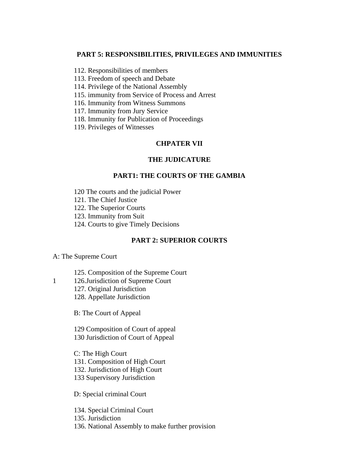# **PART 5: RESPONSIBILITIES, PRIVILEGES AND IMMUNITIES**

- 112. Responsibilities of members
- 113. Freedom of speech and Debate
- 114. Privilege of the National Assembly
- 115. immunity from Service of Process and Arrest
- 116. Immunity from Witness Summons
- 117. Immunity from Jury Service
- 118. Immunity for Publication of Proceedings
- 119. Privileges of Witnesses

#### **CHPATER VII**

#### **THE JUDICATURE**

# **PART1: THE COURTS OF THE GAMBIA**

- 120 The courts and the judicial Power
- 121. The Chief Justice
- 122. The Superior Courts
- 123. Immunity from Suit
- 124. Courts to give Timely Decisions

#### **PART 2: SUPERIOR COURTS**

A: The Supreme Court

- 125. Composition of the Supreme Court
- 1 126.Jurisdiction of Supreme Court
	- 127. Original Jurisdiction
	- 128. Appellate Jurisdiction

B: The Court of Appeal

129 Composition of Court of appeal 130 Jurisdiction of Court of Appeal

 C: The High Court 131. Composition of High Court 132. Jurisdiction of High Court 133 Supervisory Jurisdiction

D: Special criminal Court

134. Special Criminal Court

- 135. Jurisdiction
- 136. National Assembly to make further provision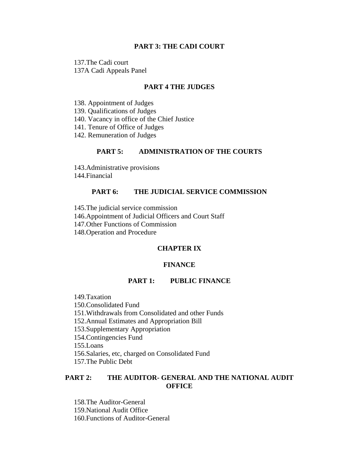# **PART 3: THE CADI COURT**

137.The Cadi court 137A Cadi Appeals Panel

## **PART 4 THE JUDGES**

138. Appointment of Judges

139. Qualifications of Judges

140. Vacancy in office of the Chief Justice

141. Tenure of Office of Judges

142. Remuneration of Judges

# **PART 5: ADMINISTRATION OF THE COURTS**

143.Administrative provisions 144.Financial

# **PART 6: THE JUDICIAL SERVICE COMMISSION**

145.The judicial service commission 146.Appointment of Judicial Officers and Court Staff 147.Other Functions of Commission 148.Operation and Procedure

# **CHAPTER IX**

#### **FINANCE**

## **PART 1: PUBLIC FINANCE**

149.Taxation 150.Consolidated Fund 151.Withdrawals from Consolidated and other Funds 152.Annual Estimates and Appropriation Bill 153.Supplementary Appropriation 154.Contingencies Fund 155.Loans 156.Salaries, etc, charged on Consolidated Fund 157.The Public Debt

# **PART 2: THE AUDITOR- GENERAL AND THE NATIONAL AUDIT OFFICE**

158.The Auditor-General 159.National Audit Office 160.Functions of Auditor-General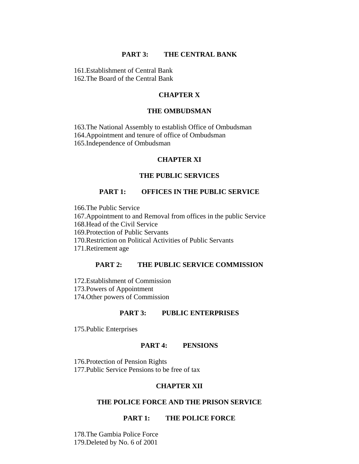#### **PART 3: THE CENTRAL BANK**

161.Establishment of Central Bank 162.The Board of the Central Bank

# **CHAPTER X**

# **THE OMBUDSMAN**

163.The National Assembly to establish Office of Ombudsman 164.Appointment and tenure of office of Ombudsman 165.Independence of Ombudsman

#### **CHAPTER XI**

# **THE PUBLIC SERVICES**

# **PART 1: OFFICES IN THE PUBLIC SERVICE**

166.The Public Service 167.Appointment to and Removal from offices in the public Service 168.Head of the Civil Service 169.Protection of Public Servants 170.Restriction on Political Activities of Public Servants 171.Retirement age

#### **PART 2: THE PUBLIC SERVICE COMMISSION**

172.Establishment of Commission 173.Powers of Appointment 174.Other powers of Commission

#### **PART 3: PUBLIC ENTERPRISES**

175.Public Enterprises

#### **PART 4: PENSIONS**

176.Protection of Pension Rights 177.Public Service Pensions to be free of tax

#### **CHAPTER XII**

# **THE POLICE FORCE AND THE PRISON SERVICE**

#### **PART 1: THE POLICE FORCE**

178.The Gambia Police Force 179.Deleted by No. 6 of 2001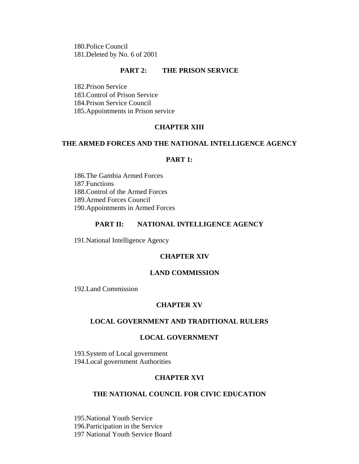180.Police Council 181.Deleted by No. 6 of 2001

## **PART 2: THE PRISON SERVICE**

182.Prison Service 183.Control of Prison Service 184.Prison Service Council 185.Appointments in Prison service

# **CHAPTER XIII**

# **THE ARMED FORCES AND THE NATIONAL INTELLIGENCE AGENCY**

## **PART 1:**

186.The Gambia Armed Forces 187.Functions 188.Control of the Armed Forces 189.Armed Forces Council 190.Appointments in Armed Forces

#### **PART II: NATIONAL INTELLIGENCE AGENCY**

191.National Intelligence Agency

# **CHAPTER XIV**

# **LAND COMMISSION**

192.Land Commission

# **CHAPTER XV**

#### **LOCAL GOVERNMENT AND TRADITIONAL RULERS**

# **LOCAL GOVERNMENT**

193.System of Local government 194.Local government Authorities

# **CHAPTER XVI**

#### **THE NATIONAL COUNCIL FOR CIVIC EDUCATION**

195.National Youth Service 196.Participation in the Service 197 National Youth Service Board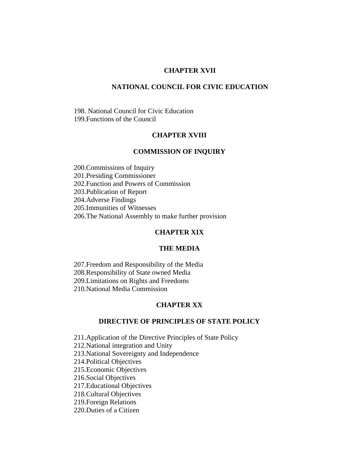#### **CHAPTER XVII**

# **NATIONAL COUNCIL FOR CIVIC EDUCATION**

198. National Council for Civic Education 199.Functions of the Council

# **CHAPTER XVIII**

#### **COMMISSION OF INQUIRY**

200.Commissions of Inquiry 201.Presiding Commissioner 202.Function and Powers of Commission 203.Publication of Report 204.Adverse Findings 205.Immunities of Witnesses 206.The National Assembly to make further provision

## **CHAPTER XIX**

#### **THE MEDIA**

207.Freedom and Responsibility of the Media 208.Responsibility of State owned Media 209.Limitations on Rights and Freedoms 210.National Media Commission

#### **CHAPTER XX**

# **DIRECTIVE OF PRINCIPLES OF STATE POLICY**

211.Application of the Directive Principles of State Policy 212.National integration and Unity 213.National Sovereignty and Independence 214.Political Objectives 215.Economic Objectives 216.Social Objectives 217.Educational Objectives 218.Cultural Objectives 219.Foreign Relations 220.Duties of a Citizen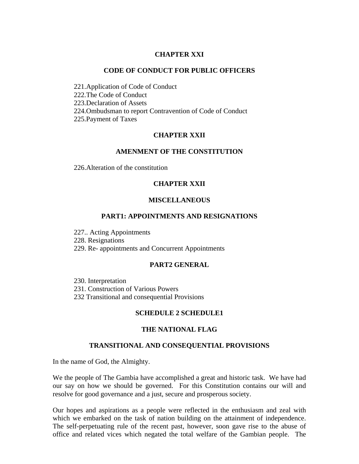#### **CHAPTER XXI**

#### **CODE OF CONDUCT FOR PUBLIC OFFICERS**

221.Application of Code of Conduct 222.The Code of Conduct 223.Declaration of Assets 224.Ombudsman to report Contravention of Code of Conduct 225.Payment of Taxes

# **CHAPTER XXII**

#### **AMENMENT OF THE CONSTITUTION**

226.Alteration of the constitution

# **CHAPTER XXII**

#### **MISCELLANEOUS**

## **PART1: APPOINTMENTS AND RESIGNATIONS**

227.. Acting Appointments 228. Resignations 229. Re- appointments and Concurrent Appointments

#### **PART2 GENERAL**

230. Interpretation 231. Construction of Various Powers 232 Transitional and consequential Provisions

# **SCHEDULE 2 SCHEDULE1**

# **THE NATIONAL FLAG**

#### **TRANSITIONAL AND CONSEQUENTIAL PROVISIONS**

In the name of God, the Almighty.

We the people of The Gambia have accomplished a great and historic task. We have had our say on how we should be governed. For this Constitution contains our will and resolve for good governance and a just, secure and prosperous society.

Our hopes and aspirations as a people were reflected in the enthusiasm and zeal with which we embarked on the task of nation building on the attainment of independence. The self-perpetuating rule of the recent past, however, soon gave rise to the abuse of office and related vices which negated the total welfare of the Gambian people. The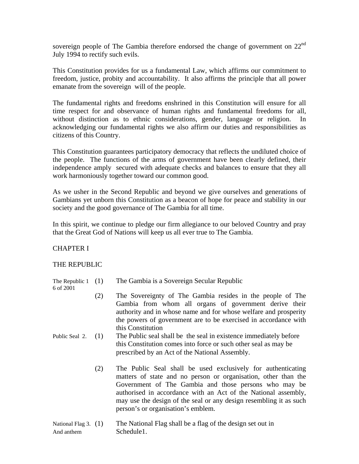sovereign people of The Gambia therefore endorsed the change of government on 22<sup>nd</sup> July 1994 to rectify such evils.

This Constitution provides for us a fundamental Law, which affirms our commitment to freedom, justice, probity and accountability. It also affirms the principle that all power emanate from the sovereign will of the people.

The fundamental rights and freedoms enshrined in this Constitution will ensure for all time respect for and observance of human rights and fundamental freedoms for all, without distinction as to ethnic considerations, gender, language or religion. acknowledging our fundamental rights we also affirm our duties and responsibilities as citizens of this Country.

This Constitution guarantees participatory democracy that reflects the undiluted choice of the people. The functions of the arms of government have been clearly defined, their independence amply secured with adequate checks and balances to ensure that they all work harmoniously together toward our common good.

As we usher in the Second Republic and beyond we give ourselves and generations of Gambians yet unborn this Constitution as a beacon of hope for peace and stability in our society and the good governance of The Gambia for all time.

In this spirit, we continue to pledge our firm allegiance to our beloved Country and pray that the Great God of Nations will keep us all ever true to The Gambia.

# CHAPTER I

# THE REPUBLIC

| The Republic 1<br>6 of 2001 | (1) | The Gambia is a Sovereign Secular Republic                                                                                                                                                                                                                                       |
|-----------------------------|-----|----------------------------------------------------------------------------------------------------------------------------------------------------------------------------------------------------------------------------------------------------------------------------------|
|                             | (2) | The Sovereignty of The Gambia resides in the people of The<br>Gambia from whom all organs of government derive their<br>authority and in whose name and for whose welfare and prosperity<br>the powers of government are to be exercised in accordance with<br>this Constitution |
| Public Seal 2.              | (1) | The Public seal shall be the seal in existence immediately before<br>this Constitution comes into force or such other seal as may be<br>prescribed by an Act of the National Assembly.                                                                                           |
|                             |     | The Public Seal shall be used exclusively for authenticating                                                                                                                                                                                                                     |

matters of state and no person or organisation, other than the Government of The Gambia and those persons who may be authorised in accordance with an Act of the National assembly, may use the design of the seal or any design resembling it as such person's or organisation's emblem.

# National Flag 3. (1) The National Flag shall be a flag of the design set out in And anthem Schedule 1.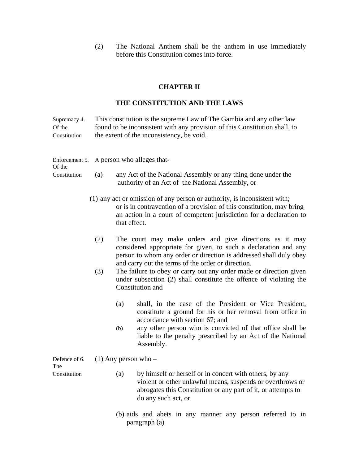(2) The National Anthem shall be the anthem in use immediately before this Constitution comes into force.

#### **CHAPTER II**

#### **THE CONSTITUTION AND THE LAWS**

Supremacy 4. This constitution is the supreme Law of The Gambia and any other law Of the found to be inconsistent with any provision of this Constitution shall, to Constitution the extent of the inconsistency, be void.

Enforcement 5. A person who alleges that-

Of the

- Constitution (a) any Act of the National Assembly or any thing done under the authority of an Act of the National Assembly, or
	- (1) any act or omission of any person or authority, is inconsistent with; or is in contravention of a provision of this constitution, may bring an action in a court of competent jurisdiction for a declaration to that effect.
		- (2) The court may make orders and give directions as it may considered appropriate for given, to such a declaration and any person to whom any order or direction is addressed shall duly obey and carry out the terms of the order or direction.
		- (3) The failure to obey or carry out any order made or direction given under subsection (2) shall constitute the offence of violating the Constitution and
			- (a) shall, in the case of the President or Vice President, constitute a ground for his or her removal from office in accordance with section 67; and
			- (b) any other person who is convicted of that office shall be liable to the penalty prescribed by an Act of the National Assembly.

Defence of 6.  $(1)$  Any person who – The

- Constitution (a) by himself or herself or in concert with others, by any violent or other unlawful means, suspends or overthrows or abrogates this Constitution or any part of it, or attempts to do any such act, or
	- (b) aids and abets in any manner any person referred to in paragraph (a)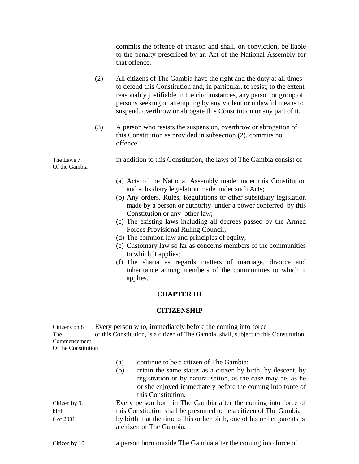commits the offence of treason and shall, on conviction, be liable to the penalty prescribed by an Act of the National Assembly for that offence.

- (2) All citizens of The Gambia have the right and the duty at all times to defend this Constitution and, in particular, to resist, to the extent reasonably justifiable in the circumstances, any person or group of persons seeking or attempting by any violent or unlawful means to suspend, overthrow or abrogate this Constitution or any part of it.
- (3) A person who resists the suspension, overthrow or abrogation of this Constitution as provided in subsection (2), commits no offence.

The Laws 7. in addition to this Constitution, the laws of The Gambia consist of

Of the Gambia

- (a) Acts of the National Assembly made under this Constitution and subsidiary legislation made under such Acts;
- (b) Any orders, Rules, Regulations or other subsidiary legislation made by a person or authority under a power conferred by this Constitution or any other law;
- (c) The existing laws including all decrees passed by the Armed Forces Provisional Ruling Council;
- (d) The common law and principles of equity;
- (e) Customary law so far as concerns members of the communities to which it applies;
- (f) The sharia as regards matters of marriage, divorce and inheritance among members of the communities to which it applies.

# **CHAPTER III**

#### **CITIZENSHIP**

| Citizens on 8       | Every person who, immediately before the coming into force                            |
|---------------------|---------------------------------------------------------------------------------------|
| The                 | of this Constitution, is a citizen of The Gambia, shall, subject to this Constitution |
| Commencement        |                                                                                       |
| Of the Constitution |                                                                                       |
|                     |                                                                                       |

- (a) continue to be a citizen of The Gambia; (b) retain the same status as a citizen by birth, by descent, by
	- registration or by naturalisation, as the case may be, as he or she enjoyed immediately before the coming into force of this Constitution.

Citizen by 9. Every person born in The Gambia after the coming into force of birth this Constitution shall be presumed to be a citizen of The Gambia 6 of 2001 by birth if at the time of his or her birth, one of his or her parents is a citizen of The Gambia.

| Citizen by 10 |  | a person born outside The Gambia after the coming into force of |
|---------------|--|-----------------------------------------------------------------|
|               |  |                                                                 |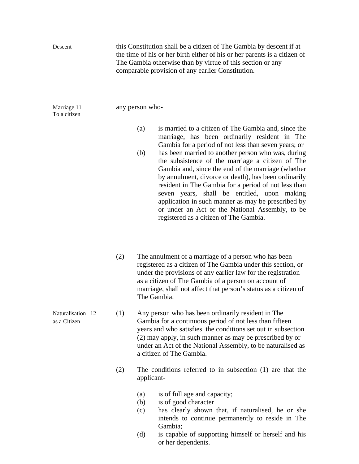| Descent                              |     | this Constitution shall be a citizen of The Gambia by descent if at<br>the time of his or her birth either of his or her parents is a citizen of<br>The Gambia otherwise than by virtue of this section or any<br>comparable provision of any earlier Constitution.                                                                                                                                                                                                                                                                                              |
|--------------------------------------|-----|------------------------------------------------------------------------------------------------------------------------------------------------------------------------------------------------------------------------------------------------------------------------------------------------------------------------------------------------------------------------------------------------------------------------------------------------------------------------------------------------------------------------------------------------------------------|
| Marriage 11<br>To a citizen          |     | any person who-                                                                                                                                                                                                                                                                                                                                                                                                                                                                                                                                                  |
|                                      |     | (a)<br>is married to a citizen of The Gambia and, since the<br>marriage, has been ordinarily resident in The<br>Gambia for a period of not less than seven years; or<br>has been married to another person who was, during<br>(b)<br>the subsistence of the marriage a citizen of The<br>Gambia and, since the end of the marriage (whether<br>by annulment, divorce or death), has been ordinarily<br>resident in The Gambia for a period of not less than<br>seven years, shall be entitled, upon making<br>application in such manner as may be prescribed by |
|                                      | (2) | or under an Act or the National Assembly, to be<br>registered as a citizen of The Gambia.<br>The annulment of a marriage of a person who has been<br>registered as a citizen of The Gambia under this section, or<br>under the provisions of any earlier law for the registration<br>as a citizen of The Gambia of a person on account of<br>marriage, shall not affect that person's status as a citizen of<br>The Gambia.                                                                                                                                      |
| Naturalisation $-12$<br>as a Citizen | (1) | Any person who has been ordinarily resident in The<br>Gambia for a continuous period of not less than fifteen<br>years and who satisfies the conditions set out in subsection<br>(2) may apply, in such manner as may be prescribed by or<br>under an Act of the National Assembly, to be naturalised as<br>a citizen of The Gambia.                                                                                                                                                                                                                             |
|                                      | (2) | The conditions referred to in subsection $(1)$ are that the<br>applicant-<br>is of full age and capacity;<br>(a)<br>(b)<br>is of good character                                                                                                                                                                                                                                                                                                                                                                                                                  |
|                                      |     | has clearly shown that, if naturalised, he or she<br>(c)                                                                                                                                                                                                                                                                                                                                                                                                                                                                                                         |

- intends to continue permanently to reside in The Gambia;
- (d) is capable of supporting himself or herself and his or her dependents.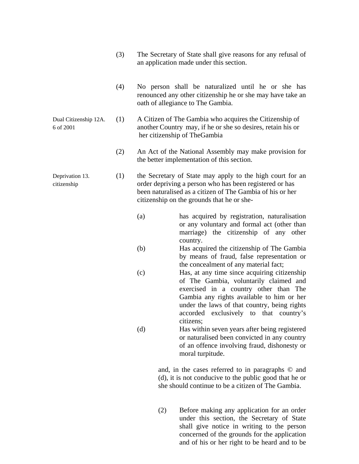- (3) The Secretary of State shall give reasons for any refusal of an application made under this section. (4) No person shall be naturalized until he or she has renounced any other citizenship he or she may have take an oath of allegiance to The Gambia. Dual Citizenship 12A. (1) A Citizen of The Gambia who acquires the Citizenship of 6 of 2001 another Country may, if he or she so desires, retain his or her citizenship of TheGambia (2) An Act of the National Assembly may make provision for the better implementation of this section. Deprivation 13. (1) the Secretary of State may apply to the high court for an citizenship order depriving a person who has been registered or has been naturalised as a citizen of The Gambia of his or her citizenship on the grounds that he or she-
	- (a) has acquired by registration, naturalisation or any voluntary and formal act (other than marriage) the citizenship of any other country.
	- (b) Has acquired the citizenship of The Gambia by means of fraud, false representation or the concealment of any material fact;
	- (c) Has, at any time since acquiring citizenship of The Gambia, voluntarily claimed and exercised in a country other than The Gambia any rights available to him or her under the laws of that country, being rights accorded exclusively to that country's citizens;
	- (d) Has within seven years after being registered or naturalised been convicted in any country of an offence involving fraud, dishonesty or moral turpitude.

and, in the cases referred to in paragraphs © and (d), it is not conducive to the public good that he or she should continue to be a citizen of The Gambia.

(2) Before making any application for an order under this section, the Secretary of State shall give notice in writing to the person concerned of the grounds for the application and of his or her right to be heard and to be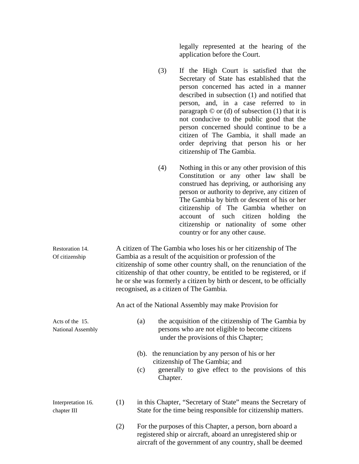legally represented at the hearing of the application before the Court.

- (3) If the High Court is satisfied that the Secretary of State has established that the person concerned has acted in a manner described in subsection (1) and notified that person, and, in a case referred to in paragraph  $\odot$  or (d) of subsection (1) that it is not conducive to the public good that the person concerned should continue to be a citizen of The Gambia, it shall made an order depriving that person his or her citizenship of The Gambia.
- (4) Nothing in this or any other provision of this Constitution or any other law shall be construed has depriving, or authorising any person or authority to deprive, any citizen of The Gambia by birth or descent of his or her citizenship of The Gambia whether on account of such citizen holding the citizenship or nationality of some other country or for any other cause.

Restoration 14. A citizen of The Gambia who loses his or her citizenship of The Of citizenship Gambia as a result of the acquisition or profession of the citizenship of some other country shall, on the renunciation of the citizenship of that other country, be entitled to be registered, or if he or she was formerly a citizen by birth or descent, to be officially recognised, as a citizen of The Gambia.

An act of the National Assembly may make Provision for

aircraft of the government of any country, shall be deemed

Acts of the 15. (a) the acquisition of the citizenship of The Gambia by National Assembly persons who are not eligible to become citizens under the provisions of this Chapter; (b). the renunciation by any person of his or her citizenship of The Gambia; and (c) generally to give effect to the provisions of this Chapter. Interpretation 16. (1) in this Chapter, "Secretary of State" means the Secretary of chapter III State for the time being responsible for citizenship matters. (2) For the purposes of this Chapter, a person, born aboard a registered ship or aircraft, aboard an unregistered ship or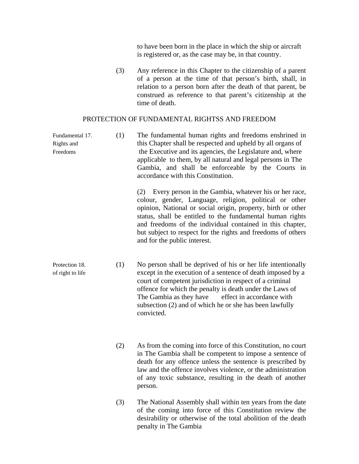to have been born in the place in which the ship or aircraft is registered or, as the case may be, in that country.

(3) Any reference in this Chapter to the citizenship of a parent of a person at the time of that person's birth, shall, in relation to a person born after the death of that parent, be construed as reference to that parent's citizenship at the time of death.

#### PROTECTION OF FUNDAMENTAL RIGHTSS AND FREEDOM

Fundamental 17. (1) The fundamental human rights and freedoms enshrined in Rights and this Chapter shall be respected and upheld by all organs of Freedoms the Executive and its agencies, the Legislature and, where applicable to them, by all natural and legal persons in The Gambia, and shall be enforceable by the Courts in accordance with this Constitution.

> (2) Every person in the Gambia, whatever his or her race, colour, gender, Language, religion, political or other opinion, National or social origin, property, birth or other status, shall be entitled to the fundamental human rights and freedoms of the individual contained in this chapter, but subject to respect for the rights and freedoms of others and for the public interest.

- Protection 18. (1) No person shall be deprived of his or her life intentionally of right to life except in the execution of a sentence of death imposed by a court of competent jurisdiction in respect of a criminal offence for which the penalty is death under the Laws of The Gambia as they have effect in accordance with subsection (2) and of which he or she has been lawfully convicted.
	- (2) As from the coming into force of this Constitution, no court in The Gambia shall be competent to impose a sentence of death for any offence unless the sentence is prescribed by law and the offence involves violence, or the administration of any toxic substance, resulting in the death of another person.
	- (3) The National Assembly shall within ten years from the date of the coming into force of this Constitution review the desirability or otherwise of the total abolition of the death penalty in The Gambia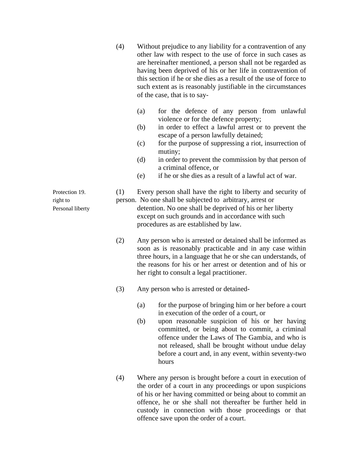| (4)                                            | Without prejudice to any liability for a contravention of any<br>other law with respect to the use of force in such cases as<br>are hereinafter mentioned, a person shall not be regarded as<br>having been deprived of his or her life in contravention of<br>this section if he or she dies as a result of the use of force to<br>such extent as is reasonably justifiable in the circumstances<br>of the case, that is to say- |                                                                                                                                                                                                                                                                                                                                                                                                                                          |
|------------------------------------------------|-----------------------------------------------------------------------------------------------------------------------------------------------------------------------------------------------------------------------------------------------------------------------------------------------------------------------------------------------------------------------------------------------------------------------------------|------------------------------------------------------------------------------------------------------------------------------------------------------------------------------------------------------------------------------------------------------------------------------------------------------------------------------------------------------------------------------------------------------------------------------------------|
|                                                |                                                                                                                                                                                                                                                                                                                                                                                                                                   | for the defence of any person from unlawful<br>(a)<br>violence or for the defence property;<br>in order to effect a lawful arrest or to prevent the<br>(b)<br>escape of a person lawfully detained;<br>for the purpose of suppressing a riot, insurrection of<br>(c)<br>mutiny;<br>(d)<br>in order to prevent the commission by that person of<br>a criminal offence, or<br>if he or she dies as a result of a lawful act of war.<br>(e) |
| Protection 19.<br>right to<br>Personal liberty | (1)                                                                                                                                                                                                                                                                                                                                                                                                                               | Every person shall have the right to liberty and security of<br>person. No one shall be subjected to arbitrary, arrest or<br>detention. No one shall be deprived of his or her liberty<br>except on such grounds and in accordance with such<br>procedures as are established by law.                                                                                                                                                    |
|                                                | (2)                                                                                                                                                                                                                                                                                                                                                                                                                               | Any person who is arrested or detained shall be informed as<br>soon as is reasonably practicable and in any case within<br>three hours, in a language that he or she can understands, of<br>the reasons for his or her arrest or detention and of his or<br>her right to consult a legal practitioner.                                                                                                                                   |
|                                                | (3)                                                                                                                                                                                                                                                                                                                                                                                                                               | Any person who is arrested or detained-                                                                                                                                                                                                                                                                                                                                                                                                  |
|                                                |                                                                                                                                                                                                                                                                                                                                                                                                                                   | (a) for the purpose of bringing him or her before a court<br>in execution of the order of a court, or<br>upon reasonable suspicion of his or her having<br>(b)<br>committed, or being about to commit, a criminal<br>offence under the Laws of The Gambia, and who is<br>not released, shall be brought without undue delay<br>before a court and, in any event, within seventy-two<br>hours                                             |
|                                                | (4)                                                                                                                                                                                                                                                                                                                                                                                                                               | Where any person is brought before a court in execution of<br>the order of a court in any proceedings or upon suspicions<br>of his or her having committed or being about to commit an<br>offence, he or she shall not thereafter be further held in<br>custody in connection with those proceedings or that                                                                                                                             |

offence save upon the order of a court.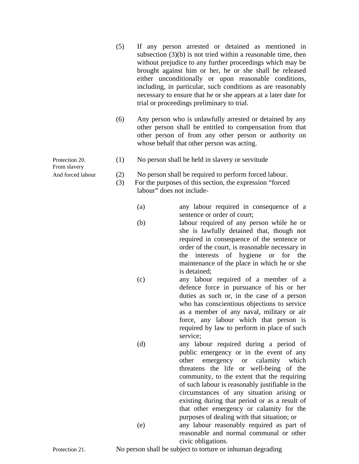- (5) If any person arrested or detained as mentioned in subsection  $(3)(b)$  is not tried within a reasonable time, then without prejudice to any further proceedings which may be brought against him or her, he or she shall be released either unconditionally or upon reasonable conditions, including, in particular, such conditions as are reasonably necessary to ensure that he or she appears at a later date for trial or proceedings preliminary to trial.
- (6) Any person who is unlawfully arrested or detained by any other person shall be entitled to compensation from that other person of from any other person or authority on whose behalf that other person was acting.
- Protection 20. (1) No person shall be held in slavery or servitude
- And forced labour (2) No person shall be required to perform forced labour.
	- (3) For the purposes of this section, the expression "forced labour" does not include-
		- (a) any labour required in consequence of a sentence or order of court;
		- (b) labour required of any person while he or she is lawfully detained that, though not required in consequence of the sentence or order of the court, is reasonable necessary in the interests of hygiene or for the maintenance of the place in which he or she is detained;
		- (c) any labour required of a member of a defence force in pursuance of his or her duties as such or, in the case of a person who has conscientious objections to service as a member of any naval, military or air force, any labour which that person is required by law to perform in place of such service;
		- (d) any labour required during a period of public emergency or in the event of any other emergency or calamity which threatens the life or well-being of the community, to the extent that the requiring of such labour is reasonably justifiable in the circumstances of any situation arising or existing during that period or as a result of that other emergency or calamity for the purposes of dealing with that situation; or
		- (e) any labour reasonably required as part of reasonable and normal communal or other civic obligations.

From slavery

Protection 21. No person shall be subject to torture or inhuman degrading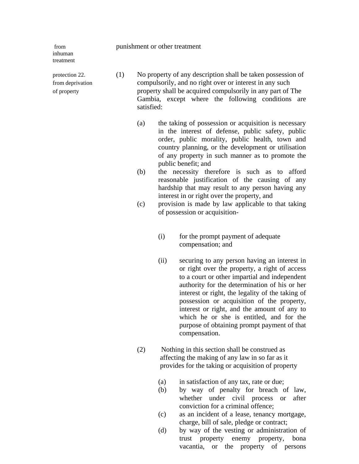from punishment or other treatment

inhuman treatment

- protection 22. (1) No property of any description shall be taken possession of from deprivation compulsorily, and no right over or interest in any such of property property shall be acquired compulsorily in any part of The Gambia, except where the following conditions are satisfied:
	- (a) the taking of possession or acquisition is necessary in the interest of defense, public safety, public order, public morality, public health, town and country planning, or the development or utilisation of any property in such manner as to promote the public benefit; and
	- (b) the necessity therefore is such as to afford reasonable justification of the causing of any hardship that may result to any person having any interest in or right over the property, and
	- (c) provision is made by law applicable to that taking of possession or acquisition-
		- (i) for the prompt payment of adequate compensation; and
		- (ii) securing to any person having an interest in or right over the property, a right of access to a court or other impartial and independent authority for the determination of his or her interest or right, the legality of the taking of possession or acquisition of the property, interest or right, and the amount of any to which he or she is entitled, and for the purpose of obtaining prompt payment of that compensation.
	- (2) Nothing in this section shall be construed as affecting the making of any law in so far as it provides for the taking or acquisition of property
		- (a) in satisfaction of any tax, rate or due;
		- (b) by way of penalty for breach of law, whether under civil process or after conviction for a criminal offence;
		- (c) as an incident of a lease, tenancy mortgage, charge, bill of sale, pledge or contract;
		- (d) by way of the vesting or administration of trust property enemy property, bona vacantia, or the property of persons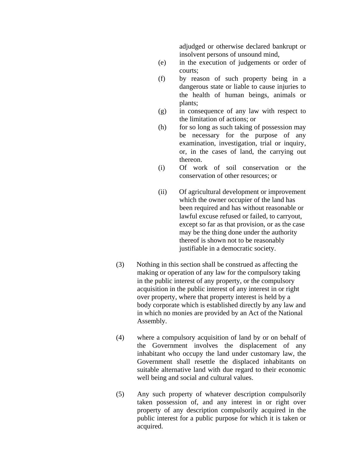adjudged or otherwise declared bankrupt or insolvent persons of unsound mind,

- (e) in the execution of judgements or order of courts;
- (f) by reason of such property being in a dangerous state or liable to cause injuries to the health of human beings, animals or plants;
- (g) in consequence of any law with respect to the limitation of actions; or
- (h) for so long as such taking of possession may be necessary for the purpose of any examination, investigation, trial or inquiry, or, in the cases of land, the carrying out thereon.
- (i) Of work of soil conservation or the conservation of other resources; or
- (ii) Of agricultural development or improvement which the owner occupier of the land has been required and has without reasonable or lawful excuse refused or failed, to carryout, except so far as that provision, or as the case may be the thing done under the authority thereof is shown not to be reasonably justifiable in a democratic society.
- (3) Nothing in this section shall be construed as affecting the making or operation of any law for the compulsory taking in the public interest of any property, or the compulsory acquisition in the public interest of any interest in or right over property, where that property interest is held by a body corporate which is established directly by any law and in which no monies are provided by an Act of the National Assembly.
- (4) where a compulsory acquisition of land by or on behalf of the Government involves the displacement of any inhabitant who occupy the land under customary law, the Government shall resettle the displaced inhabitants on suitable alternative land with due regard to their economic well being and social and cultural values.
- (5) Any such property of whatever description compulsorily taken possession of, and any interest in or right over property of any description compulsorily acquired in the public interest for a public purpose for which it is taken or acquired.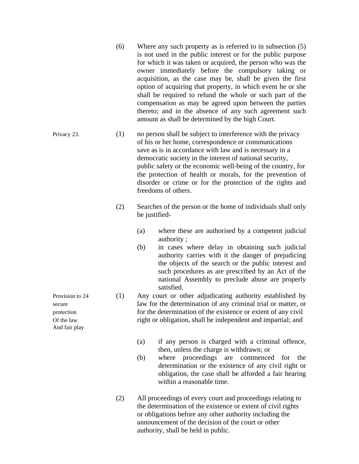|             | (6) | Where any such property as is referred to in subsection $(5)$<br>is not used in the public interest or for the public purpose<br>for which it was taken or acquired, the person who was the<br>owner immediately before the compulsory taking or<br>acquisition, as the case may be, shall be given the first<br>option of acquiring that property, in which event he or she<br>shall be required to refund the whole or such part of the<br>compensation as may be agreed upon between the parties<br>thereto; and in the absence of any such agreement such |
|-------------|-----|---------------------------------------------------------------------------------------------------------------------------------------------------------------------------------------------------------------------------------------------------------------------------------------------------------------------------------------------------------------------------------------------------------------------------------------------------------------------------------------------------------------------------------------------------------------|
|             |     | amount as shall be determined by the high Court.                                                                                                                                                                                                                                                                                                                                                                                                                                                                                                              |
| Privacy 23. |     | no person shall be subject to interference with the privacy<br>of his or her home, correspondence or communications                                                                                                                                                                                                                                                                                                                                                                                                                                           |

- of his or her home, correspondence or communications save as is in accordance with law and is necessary in a democratic society in the interest of national security, public safety or the economic well-being of the country, for the protection of health or morals, for the prevention of disorder or crime or for the protection of the rights and freedoms of others.
	- (2) Searches of the person or the home of individuals shall only be justified-
		- (a) where these are authorised by a competent judicial authority ;
		- (b) in cases where delay in obtaining such judicial authority carries with it the danger of prejudicing the objects of the search or the public interest and such procedures as are prescribed by an Act of the national Assembly to preclude abuse are properly satisfied.
- Provision to 24 (1) Any court or other adjudicating authority established by secure law for the determination of any criminal trial or matter, or protection for the determination of the existence or extent of any civil Of the law right or obligation, shall be independent and impartial; and
	- (a) if any person is charged with a criminal offence, then, unless the charge is withdrawn; or
	- (b) where proceedings are commenced for the determination or the existence of any civil right or obligation, the case shall be afforded a fair hearing within a reasonable time.
	- (2) All proceedings of every court and proceedings relating to the determination of the existence or extent of civil rights or obligations before any other authority including the announcement of the decision of the court or other authority, shall be held in public.

And fair play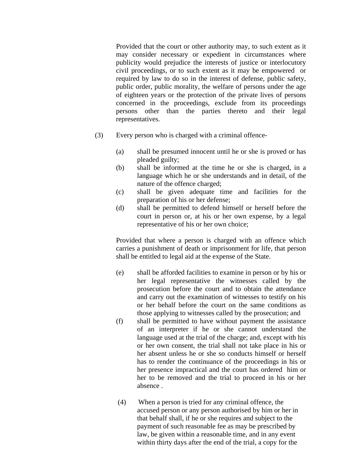Provided that the court or other authority may, to such extent as it may consider necessary or expedient in circumstances where publicity would prejudice the interests of justice or interlocutory civil proceedings, or to such extent as it may be empowered or required by law to do so in the interest of defense, public safety, public order, public morality, the welfare of persons under the age of eighteen years or the protection of the private lives of persons concerned in the proceedings, exclude from its proceedings persons other than the parties thereto and their legal representatives.

- (3) Every person who is charged with a criminal offence-
	- (a) shall be presumed innocent until he or she is proved or has pleaded guilty;
	- (b) shall be informed at the time he or she is charged, in a language which he or she understands and in detail, of the nature of the offence charged;
	- (c) shall be given adequate time and facilities for the preparation of his or her defense;
	- (d) shall be permitted to defend himself or herself before the court in person or, at his or her own expense, by a legal representative of his or her own choice;

Provided that where a person is charged with an offence which carries a punishment of death or imprisonment for life, that person shall be entitled to legal aid at the expense of the State.

- (e) shall be afforded facilities to examine in person or by his or her legal representative the witnesses called by the prosecution before the court and to obtain the attendance and carry out the examination of witnesses to testify on his or her behalf before the court on the same conditions as those applying to witnesses called by the prosecution; and
- (f) shall be permitted to have without payment the assistance of an interpreter if he or she cannot understand the language used at the trial of the charge; and, except with his or her own consent, the trial shall not take place in his or her absent unless he or she so conducts himself or herself has to render the continuance of the proceedings in his or her presence impractical and the court has ordered him or her to be removed and the trial to proceed in his or her absence .
- (4) When a person is tried for any criminal offence, the accused person or any person authorised by him or her in that behalf shall, if he or she requires and subject to the payment of such reasonable fee as may be prescribed by law, be given within a reasonable time, and in any event within thirty days after the end of the trial, a copy for the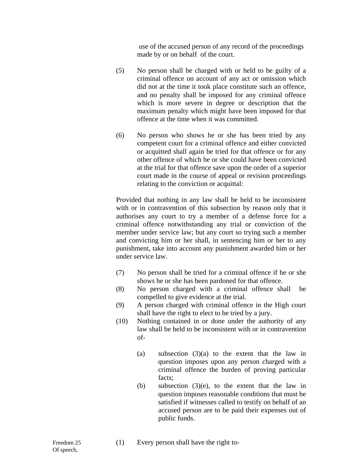use of the accused person of any record of the proceedings made by or on behalf of the court.

- (5) No person shall be charged with or held to be guilty of a criminal offence on account of any act or omission which did not at the time it took place constitute such an offence, and no penalty shall be imposed for any criminal offence which is more severe in degree or description that the maximum penalty which might have been imposed for that offence at the time when it was committed.
- (6) No person who shows he or she has been tried by any competent court for a criminal offence and either convicted or acquitted shall again be tried for that offence or for any other offence of which he or she could have been convicted at the trial for that offence save upon the order of a superior court made in the course of appeal or revision proceedings relating to the conviction or acquittal:

Provided that nothing in any law shall be held to be inconsistent with or in contravention of this subsection by reason only that it authorises any court to try a member of a defense force for a criminal offence notwithstanding any trial or conviction of the member under service law; but any court so trying such a member and convicting him or her shall, in sentencing him or her to any punishment, take into account any punishment awarded him or her under service law.

- (7) No person shall be tried for a criminal offence if he or she shows he or she has been pardoned for that offence.
- (8) No person charged with a criminal offence shall be compelled to give evidence at the trial.
- (9) A person charged with criminal offence in the High court shall have the right to elect to be tried by a jury.
- (10) Nothing contained in or done under the authority of any law shall be held to be inconsistent with or in contravention of-
	- (a) subsection (3)(a) to the extent that the law in question imposes upon any person charged with a criminal offence the burden of proving particular facts;
	- (b) subsection (3)(e), to the extent that the law in question imposes reasonable conditions that must be satisfied if witnesses called to testify on behalf of an accused person are to be paid their expenses out of public funds.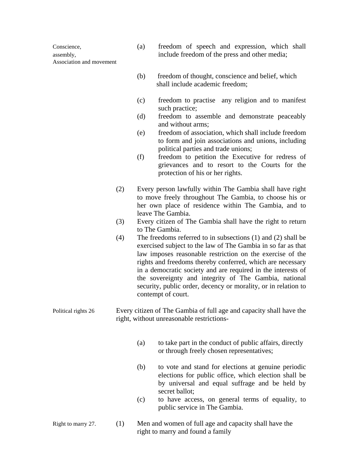Association and movement

- Conscience, (a) freedom of speech and expression, which shall assembly, include freedom of the press and other media;
	- (b) freedom of thought, conscience and belief, which shall include academic freedom;
	- (c) freedom to practise any religion and to manifest such practice;
	- (d) freedom to assemble and demonstrate peaceably and without arms;
	- (e) freedom of association, which shall include freedom to form and join associations and unions, including political parties and trade unions;
	- (f) freedom to petition the Executive for redress of grievances and to resort to the Courts for the protection of his or her rights.
	- (2) Every person lawfully within The Gambia shall have right to move freely throughout The Gambia, to choose his or her own place of residence within The Gambia, and to leave The Gambia.
	- (3) Every citizen of The Gambia shall have the right to return to The Gambia.
	- (4) The freedoms referred to in subsections (1) and (2) shall be exercised subject to the law of The Gambia in so far as that law imposes reasonable restriction on the exercise of the rights and freedoms thereby conferred, which are necessary in a democratic society and are required in the interests of the sovereignty and integrity of The Gambia, national security, public order, decency or morality, or in relation to contempt of court.
- Political rights 26 Every citizen of The Gambia of full age and capacity shall have the right, without unreasonable restrictions-
	- (a) to take part in the conduct of public affairs, directly or through freely chosen representatives;
	- (b) to vote and stand for elections at genuine periodic elections for public office, which election shall be by universal and equal suffrage and be held by secret ballot;
	- (c) to have access, on general terms of equality, to public service in The Gambia.
- Right to marry 27. (1) Men and women of full age and capacity shall have the right to marry and found a family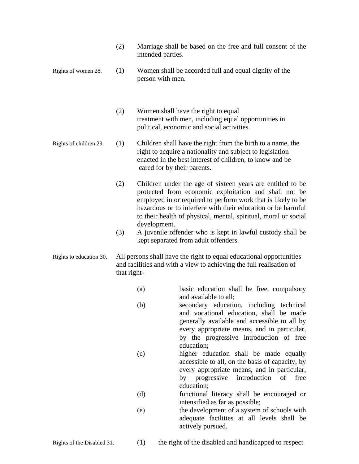- (2) Marriage shall be based on the free and full consent of the intended parties.
- Rights of women 28. (1) Women shall be accorded full and equal dignity of the person with men.
	- (2) Women shall have the right to equal treatment with men, including equal opportunities in political, economic and social activities.
- Rights of children 29.  $(1)$  Children shall have the right from the birth to a name, the right to acquire a nationality and subject to legislation enacted in the best interest of children, to know and be cared for by their parents.
	- (2) Children under the age of sixteen years are entitled to be protected from economic exploitation and shall not be employed in or required to perform work that is likely to be hazardous or to interfere with their education or be harmful to their health of physical, mental, spiritual, moral or social development.
	- (3) A juvenile offender who is kept in lawful custody shall be kept separated from adult offenders.
- Rights to education 30. All persons shall have the right to equal educational opportunities and facilities and with a view to achieving the full realisation of that right-
	- (a) basic education shall be free, compulsory and available to all;
	- (b) secondary education, including technical and vocational education, shall be made generally available and accessible to all by every appropriate means, and in particular, by the progressive introduction of free education;
	- (c) higher education shall be made equally accessible to all, on the basis of capacity, by every appropriate means, and in particular, by progressive introduction of free education;
	- (d) functional literacy shall be encouraged or intensified as far as possible;
	- (e) the development of a system of schools with adequate facilities at all levels shall be actively pursued.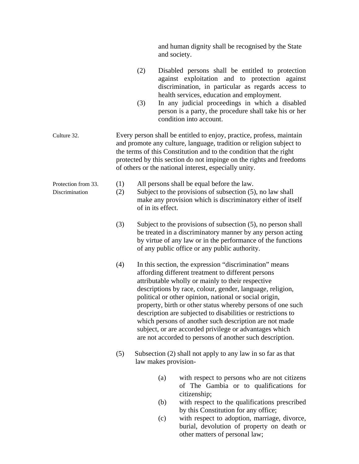and human dignity shall be recognised by the State and society.

- (2) Disabled persons shall be entitled to protection against exploitation and to protection against discrimination, in particular as regards access to health services, education and employment.
- (3) In any judicial proceedings in which a disabled person is a party, the procedure shall take his or her condition into account.

Culture 32. Every person shall be entitled to enjoy, practice, profess, maintain and promote any culture, language, tradition or religion subject to the terms of this Constitution and to the condition that the right protected by this section do not impinge on the rights and freedoms of others or the national interest, especially unity.

Protection from 33. (1) All persons shall be equal before the law.

- Discrimination (2) Subject to the provisions of subsection (5), no law shall make any provision which is discriminatory either of itself of in its effect.
	- (3) Subject to the provisions of subsection (5), no person shall be treated in a discriminatory manner by any person acting by virtue of any law or in the performance of the functions of any public office or any public authority.
	- (4) In this section, the expression "discrimination" means affording different treatment to different persons attributable wholly or mainly to their respective descriptions by race, colour, gender, language, religion, political or other opinion, national or social origin, property, birth or other status whereby persons of one such description are subjected to disabilities or restrictions to which persons of another such description are not made subject, or are accorded privilege or advantages which are not accorded to persons of another such description.
	- (5) Subsection (2) shall not apply to any law in so far as that law makes provision-
		- (a) with respect to persons who are not citizens of The Gambia or to qualifications for citizenship;
		- (b) with respect to the qualifications prescribed by this Constitution for any office;
		- (c) with respect to adoption, marriage, divorce, burial, devolution of property on death or other matters of personal law;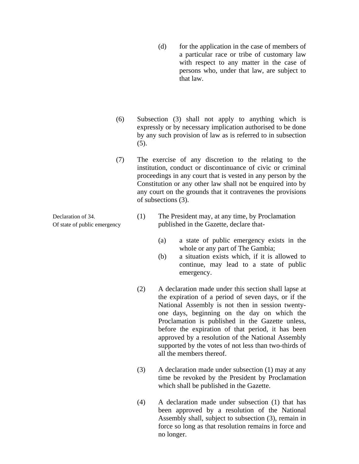- (d) for the application in the case of members of a particular race or tribe of customary law with respect to any matter in the case of persons who, under that law, are subject to that law.
- (6) Subsection (3) shall not apply to anything which is expressly or by necessary implication authorised to be done by any such provision of law as is referred to in subsection (5).
- (7) The exercise of any discretion to the relating to the institution, conduct or discontinuance of civic or criminal proceedings in any court that is vested in any person by the Constitution or any other law shall not be enquired into by any court on the grounds that it contravenes the provisions of subsections (3).

Declaration of 34. (1) The President may, at any time, by Proclamation Of state of public emergency published in the Gazette, declare that-

- (a) a state of public emergency exists in the whole or any part of The Gambia;
- (b) a situation exists which, if it is allowed to continue, may lead to a state of public emergency.
- (2) A declaration made under this section shall lapse at the expiration of a period of seven days, or if the National Assembly is not then in session twentyone days, beginning on the day on which the Proclamation is published in the Gazette unless, before the expiration of that period, it has been approved by a resolution of the National Assembly supported by the votes of not less than two-thirds of all the members thereof.
- (3) A declaration made under subsection (1) may at any time be revoked by the President by Proclamation which shall be published in the Gazette.
- (4) A declaration made under subsection (1) that has been approved by a resolution of the National Assembly shall, subject to subsection (3), remain in force so long as that resolution remains in force and no longer.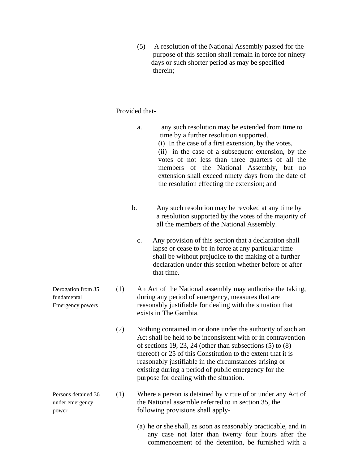(5) A resolution of the National Assembly passed for the purpose of this section shall remain in force for ninety days or such shorter period as may be specified therein;

# Provided that-

| a. | any such resolution may be extended from time to    |
|----|-----------------------------------------------------|
|    | time by a further resolution supported.             |
|    | (i) In the case of a first extension, by the votes, |
|    | (ii) in the case of a subsequent extension, by the  |
|    | votes of not less than three quarters of all the    |
|    | members of the National Assembly, but no            |
|    | extension shall exceed ninety days from the date of |
|    | the resolution effecting the extension; and         |
|    |                                                     |

- b. Any such resolution may be revoked at any time by a resolution supported by the votes of the majority of all the members of the National Assembly.
	- c. Any provision of this section that a declaration shall lapse or cease to be in force at any particular time shall be without prejudice to the making of a further declaration under this section whether before or after that time.
- Derogation from 35. (1) An Act of the National assembly may authorise the taking, fundamental during any period of emergency, measures that are Emergency powers reasonably justifiable for dealing with the situation that exists in The Gambia.
	- (2) Nothing contained in or done under the authority of such an Act shall be held to be inconsistent with or in contravention of sections 19, 23, 24 (other than subsections (5) to (8) thereof) or 25 of this Constitution to the extent that it is reasonably justifiable in the circumstances arising or existing during a period of public emergency for the purpose for dealing with the situation.
- Persons detained 36 (1) Where a person is detained by virtue of or under any Act of under emergency the National assemble referred to in section 35, the power following provisions shall apply-
	- (a) he or she shall, as soon as reasonably practicable, and in any case not later than twenty four hours after the commencement of the detention, be furnished with a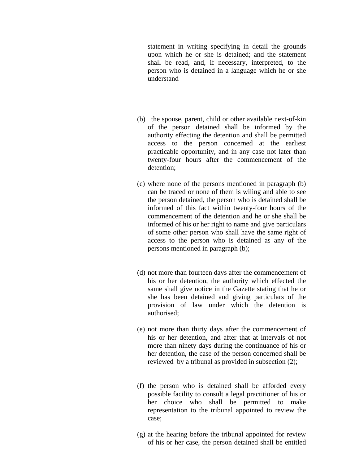statement in writing specifying in detail the grounds upon which he or she is detained; and the statement shall be read, and, if necessary, interpreted, to the person who is detained in a language which he or she understand

- (b) the spouse, parent, child or other available next-of-kin of the person detained shall be informed by the authority effecting the detention and shall be permitted access to the person concerned at the earliest practicable opportunity, and in any case not later than twenty-four hours after the commencement of the detention;
- (c) where none of the persons mentioned in paragraph (b) can be traced or none of them is wiling and able to see the person detained, the person who is detained shall be informed of this fact within twenty-four hours of the commencement of the detention and he or she shall be informed of his or her right to name and give particulars of some other person who shall have the same right of access to the person who is detained as any of the persons mentioned in paragraph (b);
- (d) not more than fourteen days after the commencement of his or her detention, the authority which effected the same shall give notice in the Gazette stating that he or she has been detained and giving particulars of the provision of law under which the detention is authorised;
- (e) not more than thirty days after the commencement of his or her detention, and after that at intervals of not more than ninety days during the continuance of his or her detention, the case of the person concerned shall be reviewed by a tribunal as provided in subsection (2);
- (f) the person who is detained shall be afforded every possible facility to consult a legal practitioner of his or her choice who shall be permitted to make representation to the tribunal appointed to review the case;
- (g) at the hearing before the tribunal appointed for review of his or her case, the person detained shall be entitled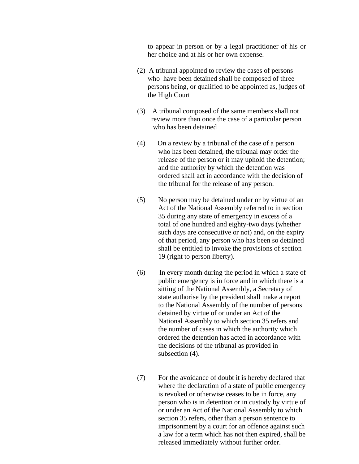to appear in person or by a legal practitioner of his or her choice and at his or her own expense.

- (2) A tribunal appointed to review the cases of persons who have been detained shall be composed of three persons being, or qualified to be appointed as, judges of the High Court
- (3) A tribunal composed of the same members shall not review more than once the case of a particular person who has been detained
- (4) On a review by a tribunal of the case of a person who has been detained, the tribunal may order the release of the person or it may uphold the detention; and the authority by which the detention was ordered shall act in accordance with the decision of the tribunal for the release of any person.
- (5) No person may be detained under or by virtue of an Act of the National Assembly referred to in section 35 during any state of emergency in excess of a total of one hundred and eighty-two days (whether such days are consecutive or not) and, on the expiry of that period, any person who has been so detained shall be entitled to invoke the provisions of section 19 (right to person liberty).
- (6) In every month during the period in which a state of public emergency is in force and in which there is a sitting of the National Assembly, a Secretary of state authorise by the president shall make a report to the National Assembly of the number of persons detained by virtue of or under an Act of the National Assembly to which section 35 refers and the number of cases in which the authority which ordered the detention has acted in accordance with the decisions of the tribunal as provided in subsection (4).
- (7) For the avoidance of doubt it is hereby declared that where the declaration of a state of public emergency is revoked or otherwise ceases to be in force, any person who is in detention or in custody by virtue of or under an Act of the National Assembly to which section 35 refers, other than a person sentence to imprisonment by a court for an offence against such a law for a term which has not then expired, shall be released immediately without further order.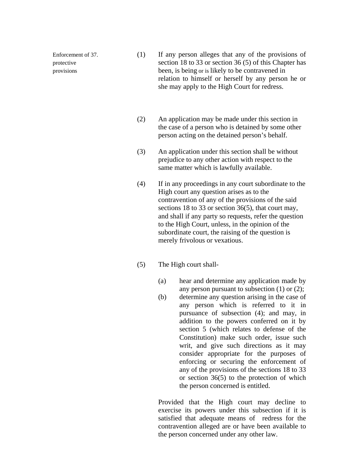- Enforcement of 37. (1) If any person alleges that any of the provisions of protective section 18 to 33 or section 36 (5) of this Chapter has provisions been, is being or is likely to be contravened in relation to himself or herself by any person he or she may apply to the High Court for redress.
	- (2) An application may be made under this section in the case of a person who is detained by some other person acting on the detained person's behalf.
	- (3) An application under this section shall be without prejudice to any other action with respect to the same matter which is lawfully available.
	- (4) If in any proceedings in any court subordinate to the High court any question arises as to the contravention of any of the provisions of the said sections 18 to 33 or section 36(5), that court may, and shall if any party so requests, refer the question to the High Court, unless, in the opinion of the subordinate court, the raising of the question is merely frivolous or vexatious.
	- (5) The High court shall-
		- (a) hear and determine any application made by any person pursuant to subsection (1) or (2);
		- (b) determine any question arising in the case of any person which is referred to it in pursuance of subsection (4); and may, in addition to the powers conferred on it by section 5 (which relates to defense of the Constitution) make such order, issue such writ, and give such directions as it may consider appropriate for the purposes of enforcing or securing the enforcement of any of the provisions of the sections 18 to 33 or section 36(5) to the protection of which the person concerned is entitled.

Provided that the High court may decline to exercise its powers under this subsection if it is satisfied that adequate means of redress for the contravention alleged are or have been available to the person concerned under any other law.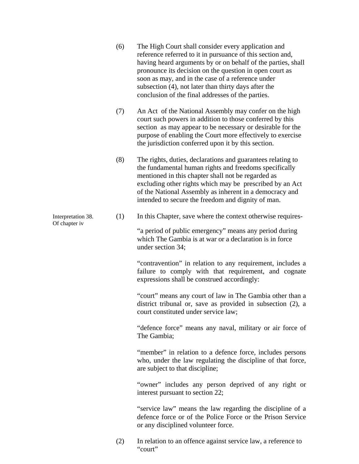| (6) | The High Court shall consider every application and          |
|-----|--------------------------------------------------------------|
|     | reference referred to it in pursuance of this section and,   |
|     | having heard arguments by or on behalf of the parties, shall |
|     | pronounce its decision on the question in open court as      |
|     | soon as may, and in the case of a reference under            |
|     | subsection (4), not later than thirty days after the         |
|     | conclusion of the final addresses of the parties.            |

- (7) An Act of the National Assembly may confer on the high court such powers in addition to those conferred by this section as may appear to be necessary or desirable for the purpose of enabling the Court more effectively to exercise the jurisdiction conferred upon it by this section.
- (8) The rights, duties, declarations and guarantees relating to the fundamental human rights and freedoms specifically mentioned in this chapter shall not be regarded as excluding other rights which may be prescribed by an Act of the National Assembly as inherent in a democracy and intended to secure the freedom and dignity of man.
- Interpretation 38. (1) In this Chapter, save where the context otherwise requires-

 "a period of public emergency" means any period during which The Gambia is at war or a declaration is in force under section 34;

"contravention" in relation to any requirement, includes a failure to comply with that requirement, and cognate expressions shall be construed accordingly:

"court" means any court of law in The Gambia other than a district tribunal or, save as provided in subsection (2), a court constituted under service law;

"defence force" means any naval, military or air force of The Gambia;

"member" in relation to a defence force, includes persons who, under the law regulating the discipline of that force, are subject to that discipline;

"owner" includes any person deprived of any right or interest pursuant to section 22;

"service law" means the law regarding the discipline of a defence force or of the Police Force or the Prison Service or any disciplined volunteer force.

 (2) In relation to an offence against service law, a reference to "court"

Of chapter iv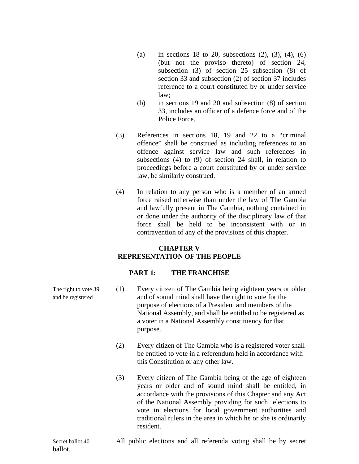- (a) in sections 18 to 20, subsections  $(2)$ ,  $(3)$ ,  $(4)$ ,  $(6)$ (but not the proviso thereto) of section 24, subsection (3) of section 25 subsection (8) of section 33 and subsection (2) of section 37 includes reference to a court constituted by or under service law;
- (b) in sections 19 and 20 and subsection (8) of section 33, includes an officer of a defence force and of the Police Force.
- (3) References in sections 18, 19 and 22 to a "criminal offence" shall be construed as including references to an offence against service law and such references in subsections (4) to (9) of section 24 shall, in relation to proceedings before a court constituted by or under service law, be similarly construed.
- (4) In relation to any person who is a member of an armed force raised otherwise than under the law of The Gambia and lawfully present in The Gambia, nothing contained in or done under the authority of the disciplinary law of that force shall be held to be inconsistent with or in contravention of any of the provisions of this chapter.

# **CHAPTER V REPRESENTATION OF THE PEOPLE**

# **PART 1: THE FRANCHISE**

- The right to vote 39. (1) Every citizen of The Gambia being eighteen years or older and be registered and of sound mind shall have the right to vote for the purpose of elections of a President and members of the National Assembly, and shall be entitled to be registered as a voter in a National Assembly constituency for that purpose.
	- (2) Every citizen of The Gambia who is a registered voter shall be entitled to vote in a referendum held in accordance with this Constitution or any other law.
	- (3) Every citizen of The Gambia being of the age of eighteen years or older and of sound mind shall be entitled, in accordance with the provisions of this Chapter and any Act of the National Assembly providing for such elections to vote in elections for local government authorities and traditional rulers in the area in which he or she is ordinarily resident.

Secret ballot 40. All public elections and all referenda voting shall be by secret ballot.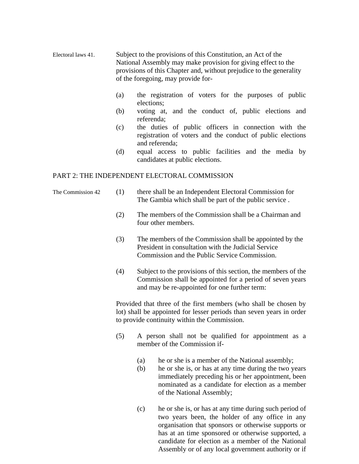- Electoral laws 41. Subject to the provisions of this Constitution, an Act of the National Assembly may make provision for giving effect to the provisions of this Chapter and, without prejudice to the generality of the foregoing, may provide for-
	- (a) the registration of voters for the purposes of public elections;
	- (b) voting at, and the conduct of, public elections and referenda;
	- (c) the duties of public officers in connection with the registration of voters and the conduct of public elections and referenda;
	- (d) equal access to public facilities and the media by candidates at public elections.

#### PART 2: THE INDEPENDENT ELECTORAL COMMISSION

- The Commission 42 (1) there shall be an Independent Electoral Commission for The Gambia which shall be part of the public service .
	- (2) The members of the Commission shall be a Chairman and four other members.
	- (3) The members of the Commission shall be appointed by the President in consultation with the Judicial Service Commission and the Public Service Commission.
	- (4) Subject to the provisions of this section, the members of the Commission shall be appointed for a period of seven years and may be re-appointed for one further term:

Provided that three of the first members (who shall be chosen by lot) shall be appointed for lesser periods than seven years in order to provide continuity within the Commission.

- (5) A person shall not be qualified for appointment as a member of the Commission if-
	- (a) he or she is a member of the National assembly;
	- (b) he or she is, or has at any time during the two years immediately preceding his or her appointment, been nominated as a candidate for election as a member of the National Assembly;
	- (c) he or she is, or has at any time during such period of two years been, the holder of any office in any organisation that sponsors or otherwise supports or has at an time sponsored or otherwise supported, a candidate for election as a member of the National Assembly or of any local government authority or if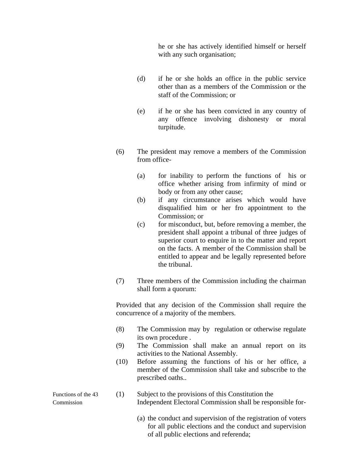he or she has actively identified himself or herself with any such organisation;

- (d) if he or she holds an office in the public service other than as a members of the Commission or the staff of the Commission; or
- (e) if he or she has been convicted in any country of any offence involving dishonesty or moral turpitude.
- (6) The president may remove a members of the Commission from office-
	- (a) for inability to perform the functions of his or office whether arising from infirmity of mind or body or from any other cause;
	- (b) if any circumstance arises which would have disqualified him or her fro appointment to the Commission; or
	- (c) for misconduct, but, before removing a member, the president shall appoint a tribunal of three judges of superior court to enquire in to the matter and report on the facts. A member of the Commission shall be entitled to appear and be legally represented before the tribunal.
- (7) Three members of the Commission including the chairman shall form a quorum:

Provided that any decision of the Commission shall require the concurrence of a majority of the members.

- (8) The Commission may by regulation or otherwise regulate its own procedure .
- (9) The Commission shall make an annual report on its activities to the National Assembly.
- (10) Before assuming the functions of his or her office, a member of the Commission shall take and subscribe to the prescribed oaths..
- Functions of the 43 (1) Subject to the provisions of this Constitution the Commission Independent Electoral Commission shall be responsible for-
	- (a) the conduct and supervision of the registration of voters for all public elections and the conduct and supervision of all public elections and referenda;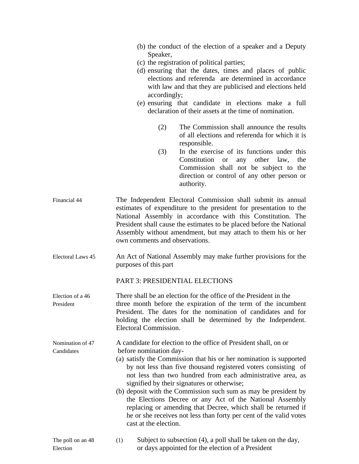- (b) the conduct of the election of a speaker and a Deputy Speaker,
- (c) the registration of political parties;
- (d) ensuring that the dates, times and places of public elections and referenda are determined in accordance with law and that they are publicised and elections held accordingly;
- (e) ensuring that candidate in elections make a full declaration of their assets at the time of nomination.
	- (2) The Commission shall announce the results of all elections and referenda for which it is responsible.
	- (3) In the exercise of its functions under this Constitution or any other law, the Commission shall not be subject to the direction or control of any other person or authority.
- Financial 44 The Independent Electoral Commission shall submit its annual estimates of expenditure to the president for presentation to the National Assembly in accordance with this Constitution. The President shall cause the estimates to be placed before the National Assembly without amendment, but may attach to them his or her own comments and observations.
- Electoral Laws 45 An Act of National Assembly may make further provisions for the purposes of this part

PART 3: PRESIDENTIAL ELECTIONS

Election of a 46 There shall be an election for the office of the President in the President three month before the expiration of the term of the incumbent President. The dates for the nomination of candidates and for holding the election shall be determined by the Independent. Electoral Commission.

# Nomination of 47 A candidate for election to the office of President shall, on or Candidates before nomination day-

- (a) satisfy the Commission that his or her nomination is supported by not less than five thousand registered voters consisting of not less than two hundred from each administrative area, as signified by their signatures or otherwise;
- (b) deposit with the Commission such sum as may be president by the Elections Decree or any Act of the National Assembly replacing or amending that Decree, which shall be returned if he or she receives not less than forty per cent of the valid votes cast at the election.
- The poll on an 48 (1) Subject to subsection (4), a poll shall be taken on the day, Election or days appointed for the election of a President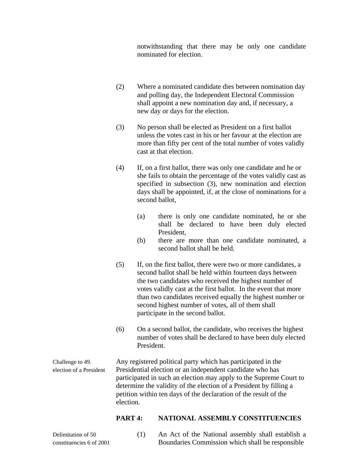notwithstanding that there may be only one candidate nominated for election.

- (2) Where a nominated candidate dies between nomination day and polling day, the Independent Electoral Commission shall appoint a new nomination day and, if necessary, a new day or days for the election.
- (3) No person shall be elected as President on a first ballot unless the votes cast in his or her favour at the election are more than fifty per cent of the total number of votes validly cast at that election.
- (4) If, on a first ballot, there was only one candidate and he or she fails to obtain the percentage of the votes validly cast as specified in subsection (3), new nomination and election days shall be appointed, if, at the close of nominations for a second ballot,
	- (a) there is only one candidate nominated, he or she shall be declared to have been duly elected President,
	- (b) there are more than one candidate nominated, a second ballot shall be held.
- (5) If, on the first ballot, there were two or more candidates, a second ballot shall be held within fourteen days between the two candidates who received the highest number of votes validly cast at the first ballot. In the event that more than two candidates received equally the highest number or second highest number of votes, all of them shall participate in the second ballot.
- (6) On a second ballot, the candidate, who receives the highest number of votes shall be declared to have been duly elected President.

Challenge to 49. Any registered political party which has participated in the election of a President Presidential election or an independent candidate who has participated in such an election may apply to the Supreme Court to determine the validity of the election of a President by filling a petition within ten days of the declaration of the result of the election.

# **PART 4: NATIONAL ASSEMBLY CONSTITUENCIES**

| Delimitation of 50       | An Act of the National assembly shall establish a |  |  |
|--------------------------|---------------------------------------------------|--|--|
| constituencies 6 of 2001 | Boundaries Commission which shall be responsible  |  |  |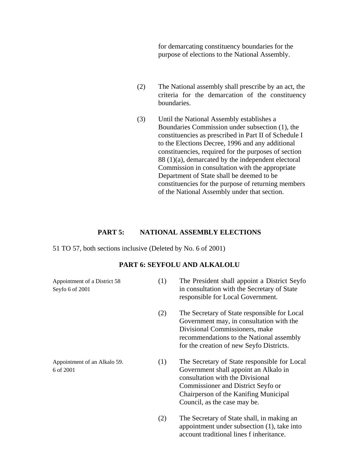for demarcating constituency boundaries for the purpose of elections to the National Assembly.

- (2) The National assembly shall prescribe by an act, the criteria for the demarcation of the constituency boundaries.
- (3) Until the National Assembly establishes a Boundaries Commission under subsection (1), the constituencies as prescribed in Part II of Schedule I to the Elections Decree, 1996 and any additional constituencies, required for the purposes of section 88 (1)(a), demarcated by the independent electoral Commission in consultation with the appropriate Department of State shall be deemed to be constituencies for the purpose of returning members of the National Assembly under that section.

# **PART 5: NATIONAL ASSEMBLY ELECTIONS**

#### 51 TO 57, both sections inclusive (Deleted by No. 6 of 2001)

### **PART 6: SEYFOLU AND ALKALOLU**

| Appointment of a District 58<br>Seyfo 6 of 2001 | (1) | The President shall appoint a District Seyfo<br>in consultation with the Secretary of State<br>responsible for Local Government.                                                                                                         |
|-------------------------------------------------|-----|------------------------------------------------------------------------------------------------------------------------------------------------------------------------------------------------------------------------------------------|
|                                                 | (2) | The Secretary of State responsible for Local<br>Government may, in consultation with the<br>Divisional Commissioners, make<br>recommendations to the National assembly<br>for the creation of new Seyfo Districts.                       |
| Appointment of an Alkalo 59.<br>6 of 2001       | (1) | The Secretary of State responsible for Local<br>Government shall appoint an Alkalo in<br>consultation with the Divisional<br>Commissioner and District Seyfo or<br>Chairperson of the Kanifing Municipal<br>Council, as the case may be. |
|                                                 | (2) | The Secretary of State shall, in making an<br>appointment under subsection $(1)$ , take into<br>account traditional lines f inheritance.                                                                                                 |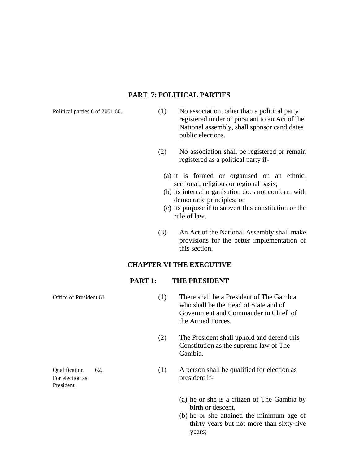#### **PART 7: POLITICAL PARTIES**

- Political parties 6 of 2001 60. (1) No association, other than a political party registered under or pursuant to an Act of the National assembly, shall sponsor candidates public elections.
	- (2) No association shall be registered or remain registered as a political party if-
		- (a) it is formed or organised on an ethnic, sectional, religious or regional basis;
		- (b) its internal organisation does not conform with democratic principles; or
		- (c) its purpose if to subvert this constitution or the rule of law.
	- (3) An Act of the National Assembly shall make provisions for the better implementation of this section.

#### **CHAPTER VI THE EXECUTIVE**

## **PART 1: THE PRESIDENT**

- Office of President 61. (1) There shall be a President of The Gambia who shall be the Head of State and of Government and Commander in Chief of the Armed Forces.
	- (2) The President shall uphold and defend this Constitution as the supreme law of The Gambia.
- Qualification 62. (1) A person shall be qualified for election as
	- (a) he or she is a citizen of The Gambia by birth or descent,
	- (b) he or she attained the minimum age of thirty years but not more than sixty-five years;

For election as president if-President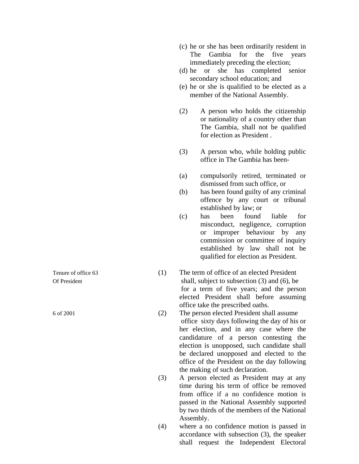- (c) he or she has been ordinarily resident in The Gambia for the five years immediately preceding the election;
- (d) he or she has completed senior secondary school education; and
- (e) he or she is qualified to be elected as a member of the National Assembly.
- (2) A person who holds the citizenship or nationality of a country other than The Gambia, shall not be qualified for election as President .
- (3) A person who, while holding public office in The Gambia has been-
- (a) compulsorily retired, terminated or dismissed from such office, or
- (b) has been found guilty of any criminal offence by any court or tribunal established by law; or
- (c) has been found liable for misconduct, negligence, corruption or improper behaviour by any commission or committee of inquiry established by law shall not be qualified for election as President.
- Tenure of office 63 (1) The term of office of an elected President Of President shall, subject to subsection (3) and (6), be for a term of five years; and the person elected President shall before assuming office take the prescribed oaths.
- 6 of 2001 (2) The person elected President shall assume office sixty days following the day of his or her election, and in any case where the candidature of a person contesting the election is unopposed, such candidate shall be declared unopposed and elected to the office of the President on the day following the making of such declaration.
	- (3) A person elected as President may at any time during his term of office be removed from office if a no confidence motion is passed in the National Assembly supported by two thirds of the members of the National Assembly.
	- (4) where a no confidence motion is passed in accordance with subsection (3), the speaker shall request the Independent Electoral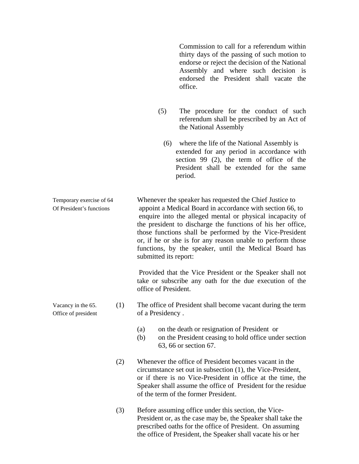Commission to call for a referendum within thirty days of the passing of such motion to endorse or reject the decision of the National Assembly and where such decision is endorsed the President shall vacate the office.

- (5) The procedure for the conduct of such referendum shall be prescribed by an Act of the National Assembly
	- (6) where the life of the National Assembly is extended for any period in accordance with section 99 (2), the term of office of the President shall be extended for the same period.

Temporary exercise of 64 Whenever the speaker has requested the Chief Justice to Of President's functions appoint a Medical Board in accordance with section 66, to enquire into the alleged mental or physical incapacity of the president to discharge the functions of his her office, those functions shall be performed by the Vice-President or, if he or she is for any reason unable to perform those functions, by the speaker, until the Medical Board has submitted its report:

> Provided that the Vice President or the Speaker shall not take or subscribe any oath for the due execution of the office of President.

- Vacancy in the 65. (1) The office of President shall become vacant during the term Office of president of a Presidency.
	- (a) on the death or resignation of President or
	- (b) on the President ceasing to hold office under section 63, 66 or section 67.
	- (2) Whenever the office of President becomes vacant in the circumstance set out in subsection (1), the Vice-President, or if there is no Vice-President in office at the time, the Speaker shall assume the office of President for the residue of the term of the former President.
	- (3) Before assuming office under this section, the Vice-President or, as the case may be, the Speaker shall take the prescribed oaths for the office of President. On assuming the office of President, the Speaker shall vacate his or her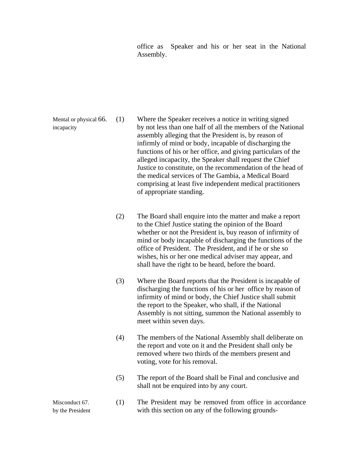office as Speaker and his or her seat in the National Assembly.

Mental or physical 66. (1) Where the Speaker receives a notice in writing signed incapacity by not less than one half of all the members of the National assembly alleging that the President is, by reason of infirmly of mind or body, incapable of discharging the functions of his or her office, and giving particulars of the alleged incapacity, the Speaker shall request the Chief Justice to constitute, on the recommendation of the head of the medical services of The Gambia, a Medical Board comprising at least five independent medical practitioners of appropriate standing.

- (2) The Board shall enquire into the matter and make a report to the Chief Justice stating the opinion of the Board whether or not the President is, buy reason of infirmity of mind or body incapable of discharging the functions of the office of President. The President, and if he or she so wishes, his or her one medical adviser may appear, and shall have the right to be heard, before the board.
- (3) Where the Board reports that the President is incapable of discharging the functions of his or her office by reason of infirmity of mind or body, the Chief Justice shall submit the report to the Speaker, who shall, if the National Assembly is not sitting, summon the National assembly to meet within seven days.
- (4) The members of the National Assembly shall deliberate on the report and vote on it and the President shall only be removed where two thirds of the members present and voting, vote for his removal.
- (5) The report of the Board shall be Final and conclusive and shall not be enquired into by any court.

Misconduct 67. (1) The President may be removed from office in accordance by the President with this section on any of the following grounds-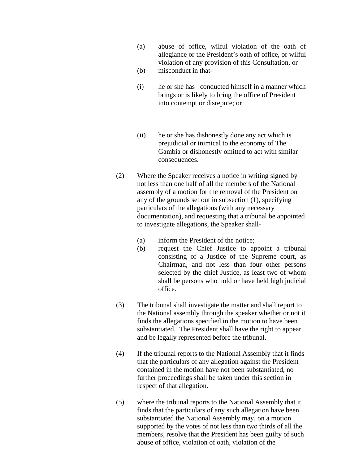- (a) abuse of office, wilful violation of the oath of allegiance or the President's oath of office, or wilful violation of any provision of this Consultation, or
- (b) misconduct in that-
- (i) he or she has conducted himself in a manner which brings or is likely to bring the office of President into contempt or disrepute; or
- (ii) he or she has dishonestly done any act which is prejudicial or inimical to the economy of The Gambia or dishonestly omitted to act with similar consequences.
- (2) Where the Speaker receives a notice in writing signed by not less than one half of all the members of the National assembly of a motion for the removal of the President on any of the grounds set out in subsection (1), specifying particulars of the allegations (with any necessary documentation), and requesting that a tribunal be appointed to investigate allegations, the Speaker shall-
	- (a) inform the President of the notice;
	- (b) request the Chief Justice to appoint a tribunal consisting of a Justice of the Supreme court, as Chairman, and not less than four other persons selected by the chief Justice, as least two of whom shall be persons who hold or have held high judicial office.
- (3) The tribunal shall investigate the matter and shall report to the National assembly through the speaker whether or not it finds the allegations specified in the motion to have been substantiated. The President shall have the right to appear and be legally represented before the tribunal.
- (4) If the tribunal reports to the National Assembly that it finds that the particulars of any allegation against the President contained in the motion have not been substantiated, no further proceedings shall be taken under this section in respect of that allegation.
- (5) where the tribunal reports to the National Assembly that it finds that the particulars of any such allegation have been substantiated the National Assembly may, on a motion supported by the votes of not less than two thirds of all the members, resolve that the President has been guilty of such abuse of office, violation of oath, violation of the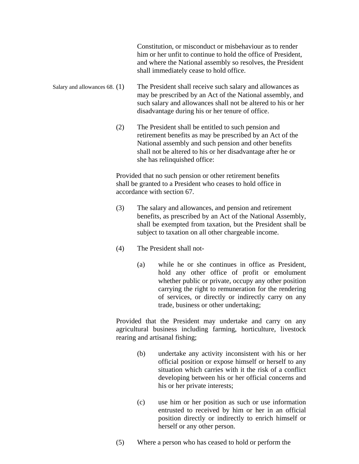Constitution, or misconduct or misbehaviour as to render him or her unfit to continue to hold the office of President, and where the National assembly so resolves, the President shall immediately cease to hold office.

- Salary and allowances 68. (1) The President shall receive such salary and allowances as may be prescribed by an Act of the National assembly, and such salary and allowances shall not be altered to his or her disadvantage during his or her tenure of office.
	- (2) The President shall be entitled to such pension and retirement benefits as may be prescribed by an Act of the National assembly and such pension and other benefits shall not be altered to his or her disadvantage after he or she has relinquished office:

 Provided that no such pension or other retirement benefits shall be granted to a President who ceases to hold office in accordance with section 67.

- (3) The salary and allowances, and pension and retirement benefits, as prescribed by an Act of the National Assembly, shall be exempted from taxation, but the President shall be subject to taxation on all other chargeable income.
- (4) The President shall not-
	- (a) while he or she continues in office as President, hold any other office of profit or emolument whether public or private, occupy any other position carrying the right to remuneration for the rendering of services, or directly or indirectly carry on any trade, business or other undertaking;

Provided that the President may undertake and carry on any agricultural business including farming, horticulture, livestock rearing and artisanal fishing;

- (b) undertake any activity inconsistent with his or her official position or expose himself or herself to any situation which carries with it the risk of a conflict developing between his or her official concerns and his or her private interests;
- (c) use him or her position as such or use information entrusted to received by him or her in an official position directly or indirectly to enrich himself or herself or any other person.
- (5) Where a person who has ceased to hold or perform the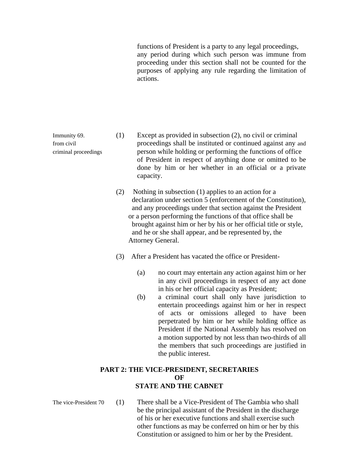functions of President is a party to any legal proceedings, any period during which such person was immune from proceeding under this section shall not be counted for the purposes of applying any rule regarding the limitation of actions.

Immunity 69. (1) Except as provided in subsection (2), no civil or criminal from civil proceedings shall be instituted or continued against any and criminal proceedings person while holding or performing the functions of office of President in respect of anything done or omitted to be done by him or her whether in an official or a private capacity.

> (2) Nothing in subsection (1) applies to an action for a declaration under section 5 (enforcement of the Constitution), and any proceedings under that section against the President or a person performing the functions of that office shall be brought against him or her by his or her official title or style, and he or she shall appear, and be represented by, the Attorney General.

- (3) After a President has vacated the office or President-
	- (a) no court may entertain any action against him or her in any civil proceedings in respect of any act done in his or her official capacity as President;
	- (b) a criminal court shall only have jurisdiction to entertain proceedings against him or her in respect of acts or omissions alleged to have been perpetrated by him or her while holding office as President if the National Assembly has resolved on a motion supported by not less than two-thirds of all the members that such proceedings are justified in the public interest.

# **PART 2: THE VICE-PRESIDENT, SECRETARIES OF STATE AND THE CABNET**

- 
- The vice-President 70 (1) There shall be a Vice-President of The Gambia who shall be the principal assistant of the President in the discharge of his or her executive functions and shall exercise such other functions as may be conferred on him or her by this Constitution or assigned to him or her by the President.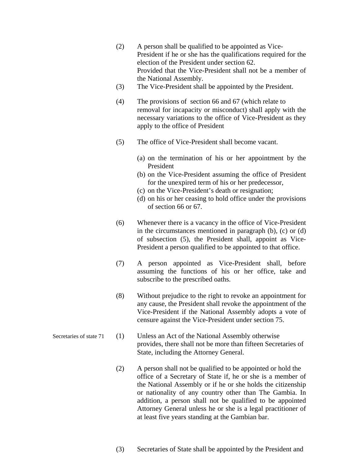- (2) A person shall be qualified to be appointed as Vice-President if he or she has the qualifications required for the election of the President under section 62. Provided that the Vice-President shall not be a member of the National Assembly.
- (3) The Vice-President shall be appointed by the President.
- (4) The provisions of section 66 and 67 (which relate to removal for incapacity or misconduct) shall apply with the necessary variations to the office of Vice-President as they apply to the office of President
- (5) The office of Vice-President shall become vacant.
	- (a) on the termination of his or her appointment by the President
	- (b) on the Vice-President assuming the office of President for the unexpired term of his or her predecessor,
	- (c) on the Vice-President's death or resignation;
	- (d) on his or her ceasing to hold office under the provisions of section 66 or 67.
- (6) Whenever there is a vacancy in the office of Vice-President in the circumstances mentioned in paragraph (b), (c) or (d) of subsection (5), the President shall, appoint as Vice-President a person qualified to be appointed to that office.
- (7) A person appointed as Vice-President shall, before assuming the functions of his or her office, take and subscribe to the prescribed oaths.
- (8) Without prejudice to the right to revoke an appointment for any cause, the President shall revoke the appointment of the Vice-President if the National Assembly adopts a vote of censure against the Vice-President under section 75.
- Secretaries of state 71 (1) Unless an Act of the National Assembly otherwise provides, there shall not be more than fifteen Secretaries of State, including the Attorney General.
	- (2) A person shall not be qualified to be appointed or hold the office of a Secretary of State if, he or she is a member of the National Assembly or if he or she holds the citizenship or nationality of any country other than The Gambia. In addition, a person shall not be qualified to be appointed Attorney General unless he or she is a legal practitioner of at least five years standing at the Gambian bar.
	- (3) Secretaries of State shall be appointed by the President and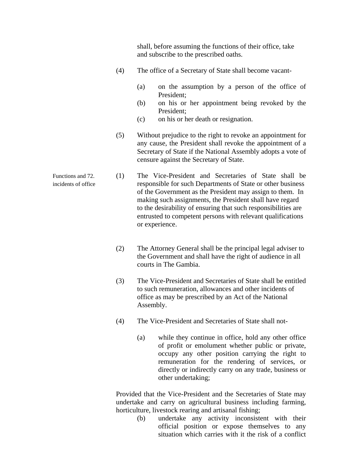shall, before assuming the functions of their office, take and subscribe to the prescribed oaths.

- (4) The office of a Secretary of State shall become vacant-
	- (a) on the assumption by a person of the office of President;
	- (b) on his or her appointment being revoked by the President;
	- (c) on his or her death or resignation.
- (5) Without prejudice to the right to revoke an appointment for any cause, the President shall revoke the appointment of a Secretary of State if the National Assembly adopts a vote of censure against the Secretary of State.
- Functions and 72. (1) The Vice-President and Secretaries of State shall be incidents of office responsible for such Departments of State or other business of the Government as the President may assign to them. In making such assignments, the President shall have regard to the desirability of ensuring that such responsibilities are entrusted to competent persons with relevant qualifications or experience.
	- (2) The Attorney General shall be the principal legal adviser to the Government and shall have the right of audience in all courts in The Gambia.
	- (3) The Vice-President and Secretaries of State shall be entitled to such remuneration, allowances and other incidents of office as may be prescribed by an Act of the National Assembly.
	- (4) The Vice-President and Secretaries of State shall not-
		- (a) while they continue in office, hold any other office of profit or emolument whether public or private, occupy any other position carrying the right to remuneration for the rendering of services, or directly or indirectly carry on any trade, business or other undertaking;

Provided that the Vice-President and the Secretaries of State may undertake and carry on agricultural business including farming, horticulture, livestock rearing and artisanal fishing;

> (b) undertake any activity inconsistent with their official position or expose themselves to any situation which carries with it the risk of a conflict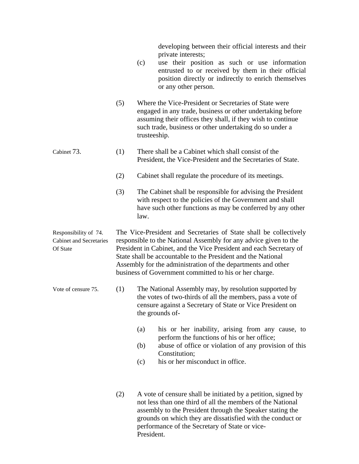developing between their official interests and their private interests;

- (c) use their position as such or use information entrusted to or received by them in their official position directly or indirectly to enrich themselves or any other person.
- (5) Where the Vice-President or Secretaries of State were engaged in any trade, business or other undertaking before assuming their offices they shall, if they wish to continue such trade, business or other undertaking do so under a trusteeship.
- Cabinet 73. (1) There shall be a Cabinet which shall consist of the President, the Vice-President and the Secretaries of State.
	- (2) Cabinet shall regulate the procedure of its meetings.
	- (3) The Cabinet shall be responsible for advising the President with respect to the policies of the Government and shall have such other functions as may be conferred by any other law.

Responsibility of 74. The Vice-President and Secretaries of State shall be collectively Cabinet and Secretaries responsible to the National Assembly for any advice given to the Of State President in Cabinet, and the Vice President and each Secretary of State shall be accountable to the President and the National Assembly for the administration of the departments and other business of Government committed to his or her charge.

- Vote of censure 75. (1) The National Assembly may, by resolution supported by the votes of two-thirds of all the members, pass a vote of censure against a Secretary of State or Vice President on the grounds of-
	- (a) his or her inability, arising from any cause, to perform the functions of his or her office;
	- (b) abuse of office or violation of any provision of this Constitution;
	- (c) his or her misconduct in office.
	- (2) A vote of censure shall be initiated by a petition, signed by not less than one third of all the members of the National assembly to the President through the Speaker stating the grounds on which they are dissatisfied with the conduct or performance of the Secretary of State or vice-President.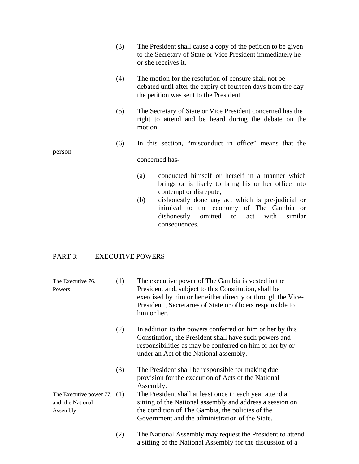|        | (3) | The President shall cause a copy of the petition to be given<br>to the Secretary of State or Vice President immediately he<br>or she receives it.                                                  |
|--------|-----|----------------------------------------------------------------------------------------------------------------------------------------------------------------------------------------------------|
|        | (4) | The motion for the resolution of censure shall not be<br>debated until after the expiry of fourteen days from the day<br>the petition was sent to the President.                                   |
|        | (5) | The Secretary of State or Vice President concerned has the<br>right to attend and be heard during the debate on the<br>motion.                                                                     |
| person | (6) | In this section, "misconduct in office" means that the<br>concerned has-                                                                                                                           |
|        |     | conducted himself or herself in a manner which<br>(a)<br>brings or is likely to bring his or her office into<br>contempt or disrepute;<br>dishonestly done any act which is pre-judicial or<br>(b) |

inimical to the economy of The Gambia or dishonestly omitted to act with similar consequences.

# PART 3: EXECUTIVE POWERS

| The Executive 76. | (1) | The executive power of The Gambia is vested in the           |
|-------------------|-----|--------------------------------------------------------------|
| Powers            |     | President and, subject to this Constitution, shall be        |
|                   |     | exercised by him or her either directly or through the Vice- |
|                   |     | President, Secretaries of State or officers responsible to   |
|                   |     | him or her.                                                  |
|                   |     |                                                              |

- (2) In addition to the powers conferred on him or her by this Constitution, the President shall have such powers and responsibilities as may be conferred on him or her by or under an Act of the National assembly.
- (3) The President shall be responsible for making due provision for the execution of Acts of the National Assembly.
- The Executive power 77. (1) The President shall at least once in each year attend a and the National sitting of the National assembly and address a session on Assembly the condition of The Gambia, the policies of the Government and the administration of the State.
	- (2) The National Assembly may request the President to attend a sitting of the National Assembly for the discussion of a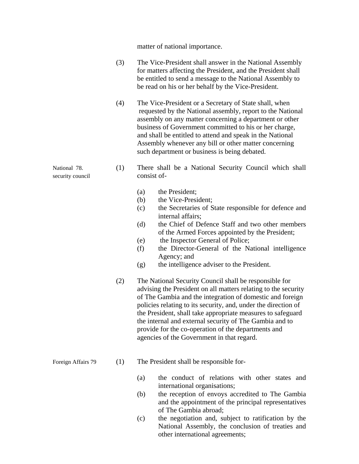matter of national importance.

|                                  | (3) | The Vice-President shall answer in the National Assembly<br>for matters affecting the President, and the President shall<br>be entitled to send a message to the National Assembly to<br>be read on his or her behalf by the Vice-President.                                                                                                                                                                                                                                           |
|----------------------------------|-----|----------------------------------------------------------------------------------------------------------------------------------------------------------------------------------------------------------------------------------------------------------------------------------------------------------------------------------------------------------------------------------------------------------------------------------------------------------------------------------------|
|                                  | (4) | The Vice-President or a Secretary of State shall, when<br>requested by the National assembly, report to the National<br>assembly on any matter concerning a department or other<br>business of Government committed to his or her charge,<br>and shall be entitled to attend and speak in the National<br>Assembly whenever any bill or other matter concerning<br>such department or business is being debated.                                                                       |
| National 78.<br>security council | (1) | There shall be a National Security Council which shall<br>consist of-                                                                                                                                                                                                                                                                                                                                                                                                                  |
|                                  |     | the President;<br>(a)<br>the Vice-President;<br>(b)<br>(c)<br>the Secretaries of State responsible for defence and<br>internal affairs;<br>the Chief of Defence Staff and two other members<br>(d)<br>of the Armed Forces appointed by the President;<br>the Inspector General of Police;<br>(e)<br>(f)<br>the Director-General of the National intelligence<br>Agency; and<br>the intelligence adviser to the President.<br>(g)                                                       |
|                                  | (2) | The National Security Council shall be responsible for<br>advising the President on all matters relating to the security<br>of The Gambia and the integration of domestic and foreign<br>policies relating to its security, and, under the direction of<br>the President, shall take appropriate measures to safeguard<br>the internal and external security of The Gambia and to<br>provide for the co-operation of the departments and<br>agencies of the Government in that regard. |
| Foreign Affairs 79               | (1) | The President shall be responsible for-                                                                                                                                                                                                                                                                                                                                                                                                                                                |
|                                  |     | the conduct of relations with other states and<br>(a)<br>international organisations;<br>the reception of envoys accredited to The Gambia<br>(b)<br>and the appointment of the principal representatives<br>of The Gambia abroad;<br>the negotiation and, subject to ratification by the<br>(c)                                                                                                                                                                                        |
|                                  |     | National Assembly, the conclusion of treaties and                                                                                                                                                                                                                                                                                                                                                                                                                                      |

other international agreements;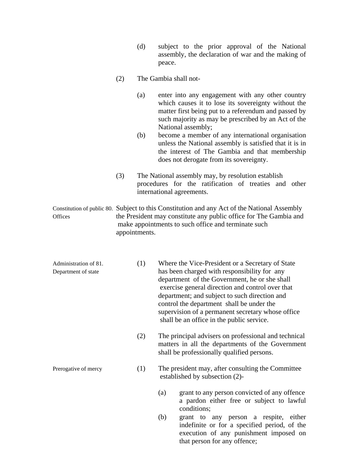| (d) | subject to the prior approval of the National      |  |  |  |  |  |
|-----|----------------------------------------------------|--|--|--|--|--|
|     | assembly, the declaration of war and the making of |  |  |  |  |  |
|     | peace.                                             |  |  |  |  |  |

- (2) The Gambia shall not-
	- (a) enter into any engagement with any other country which causes it to lose its sovereignty without the matter first being put to a referendum and passed by such majority as may be prescribed by an Act of the National assembly;
	- (b) become a member of any international organisation unless the National assembly is satisfied that it is in the interest of The Gambia and that membership does not derogate from its sovereignty.
- (3) The National assembly may, by resolution establish procedures for the ratification of treaties and other international agreements.

Constitution of public 80. Subject to this Constitution and any Act of the National Assembly Offices the President may constitute any public office for The Gambia and make appointments to such office and terminate such appointments.

- Administration of 81. (1) Where the Vice-President or a Secretary of State Department of state has been charged with responsibility for any department of the Government, he or she shall exercise general direction and control over that department; and subject to such direction and control the department shall be under the supervision of a permanent secretary whose office shall be an office in the public service.
	- (2) The principal advisers on professional and technical matters in all the departments of the Government shall be professionally qualified persons.
- Prerogative of mercy (1) The president may, after consulting the Committee established by subsection (2)-
	- (a) grant to any person convicted of any offence a pardon either free or subject to lawful conditions;
	- (b) grant to any person a respite, either indefinite or for a specified period, of the execution of any punishment imposed on that person for any offence;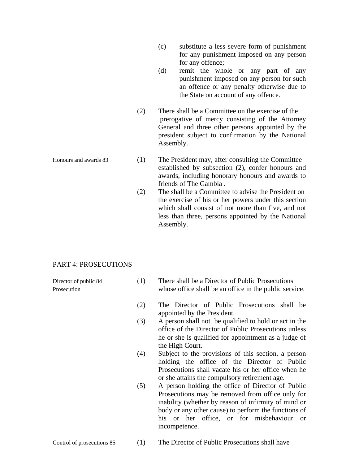- (c) substitute a less severe form of punishment for any punishment imposed on any person for any offence;
- (d) remit the whole or any part of any punishment imposed on any person for such an offence or any penalty otherwise due to the State on account of any offence.
- (2) There shall be a Committee on the exercise of the prerogative of mercy consisting of the Attorney General and three other persons appointed by the president subject to confirmation by the National Assembly.
- Honours and awards 83 (1) The President may, after consulting the Committee established by subsection (2), confer honours and awards, including honorary honours and awards to friends of The Gambia .
	- (2) The shall be a Committee to advise the President on the exercise of his or her powers under this section which shall consist of not more than five, and not less than three, persons appointed by the National Assembly.

### PART 4: PROSECUTIONS

- Director of public 84 (1) There shall be a Director of Public Prosecutions Prosecution whose office shall be an office in the public service.
	- (2) The Director of Public Prosecutions shall be appointed by the President.
	- (3) A person shall not be qualified to hold or act in the office of the Director of Public Prosecutions unless he or she is qualified for appointment as a judge of the High Court.
	- (4) Subject to the provisions of this section, a person holding the office of the Director of Public Prosecutions shall vacate his or her office when he or she attains the compulsory retirement age.
	- (5) A person holding the office of Director of Public Prosecutions may be removed from office only for inability (whether by reason of infirmity of mind or body or any other cause) to perform the functions of his or her office, or for misbehaviour or incompetence.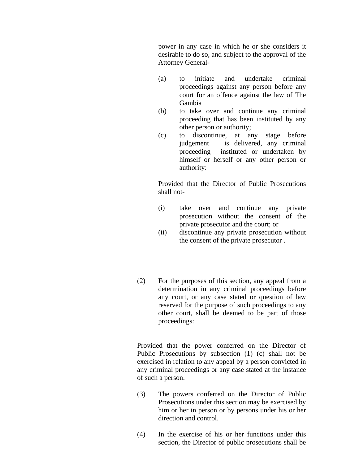power in any case in which he or she considers it desirable to do so, and subject to the approval of the Attorney General-

- (a) to initiate and undertake criminal proceedings against any person before any court for an offence against the law of The Gambia
- (b) to take over and continue any criminal proceeding that has been instituted by any other person or authority;
- (c) to discontinue, at any stage before judgement is delivered, any criminal proceeding instituted or undertaken by himself or herself or any other person or authority:

Provided that the Director of Public Prosecutions shall not-

- (i) take over and continue any private prosecution without the consent of the private prosecutor and the court; or
- (ii) discontinue any private prosecution without the consent of the private prosecutor .
- (2) For the purposes of this section, any appeal from a determination in any criminal proceedings before any court, or any case stated or question of law reserved for the purpose of such proceedings to any other court, shall be deemed to be part of those proceedings:

Provided that the power conferred on the Director of Public Prosecutions by subsection (1) (c) shall not be exercised in relation to any appeal by a person convicted in any criminal proceedings or any case stated at the instance of such a person.

- (3) The powers conferred on the Director of Public Prosecutions under this section may be exercised by him or her in person or by persons under his or her direction and control.
- (4) In the exercise of his or her functions under this section, the Director of public prosecutions shall be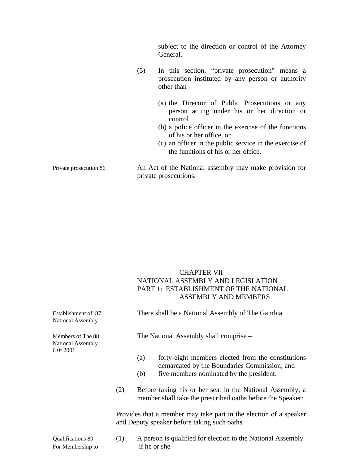subject to the direction or control of the Attorney General.

- (5) In this section, "private prosecution" means a prosecution instituted by any person or authority other than -
	- (a) the Director of Public Prosecutions or any person acting under his or her direction or control
	- (b) a police officer in the exercise of the functions of his or her office, or
	- (c) an officer in the public service in the exercise of the functions of his or her office.

Private prosecution 86 An Act of the National assembly may make provision for private prosecutions.

# CHAPTER VII NATIONAL ASSEMBLY AND LEGISLATION PART 1: ESTABLISHMENT OF THE NATIONAL ASSEMBLY AND MEMBERS

Establishment of 87 There shall be a National Assembly of The Gambia.

Members of The 88 The National Assembly shall comprise –

- (a) forty-eight members elected from the constitutions demarcated by the Boundaries Commission; and
- (b) five members nominated by the president.
- (2) Before taking his or her seat in the National Assembly, a member shall take the prescribed oaths before the Speaker:

Provides that a member may take part in the election of a speaker and Deputy speaker before taking such oaths.

- For Membership to if he or she-
- Qualifications 89 (1) A person is qualified for election to the National Assembly

National Assembly

National Assembly 6 0f 2001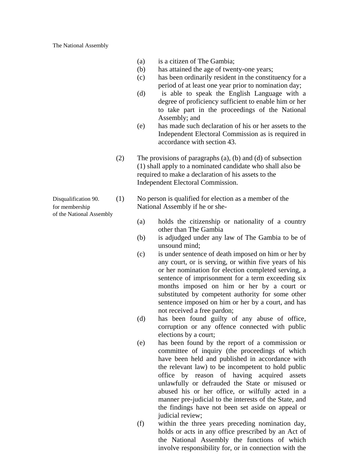- (a) is a citizen of The Gambia;
- (b) has attained the age of twenty-one years;
- (c) has been ordinarily resident in the constituency for a period of at least one year prior to nomination day;
- (d) is able to speak the English Language with a degree of proficiency sufficient to enable him or her to take part in the proceedings of the National Assembly; and
- (e) has made such declaration of his or her assets to the Independent Electoral Commission as is required in accordance with section 43.
- (2) The provisions of paragraphs (a), (b) and (d) of subsection (1) shall apply to a nominated candidate who shall also be required to make a declaration of his assets to the Independent Electoral Commission.

# Disqualification 90. (1) No person is qualified for election as a member of the for membership National Assembly if he or she-

- (a) holds the citizenship or nationality of a country other than The Gambia
- (b) is adjudged under any law of The Gambia to be of unsound mind;
- (c) is under sentence of death imposed on him or her by any court, or is serving, or within five years of his or her nomination for election completed serving, a sentence of imprisonment for a term exceeding six months imposed on him or her by a court or substituted by competent authority for some other sentence imposed on him or her by a court, and has not received a free pardon;
- (d) has been found guilty of any abuse of office, corruption or any offence connected with public elections by a court;
- (e) has been found by the report of a commission or committee of inquiry (the proceedings of which have been held and published in accordance with the relevant law) to be incompetent to hold public office by reason of having acquired assets unlawfully or defrauded the State or misused or abused his or her office, or wilfully acted in a manner pre-judicial to the interests of the State, and the findings have not been set aside on appeal or judicial review;
- (f) within the three years preceding nomination day, holds or acts in any office prescribed by an Act of the National Assembly the functions of which involve responsibility for, or in connection with the

of the National Assembly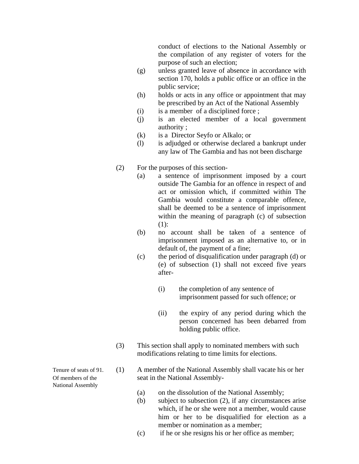conduct of elections to the National Assembly or the compilation of any register of voters for the purpose of such an election;

- (g) unless granted leave of absence in accordance with section 170, holds a public office or an office in the public service;
- (h) holds or acts in any office or appointment that may be prescribed by an Act of the National Assembly
- (i) is a member of a disciplined force ;
- (j) is an elected member of a local government authority ;
- (k) is a Director Seyfo or Alkalo; or
- (l) is adjudged or otherwise declared a bankrupt under any law of The Gambia and has not been discharge
- (2) For the purposes of this section-
	- (a) a sentence of imprisonment imposed by a court outside The Gambia for an offence in respect of and act or omission which, if committed within The Gambia would constitute a comparable offence, shall be deemed to be a sentence of imprisonment within the meaning of paragraph (c) of subsection (1):
	- (b) no account shall be taken of a sentence of imprisonment imposed as an alternative to, or in default of, the payment of a fine;
	- (c) the period of disqualification under paragraph (d) or (e) of subsection (1) shall not exceed five years after-
		- (i) the completion of any sentence of imprisonment passed for such offence; or
		- (ii) the expiry of any period during which the person concerned has been debarred from holding public office.
- (3) This section shall apply to nominated members with such modifications relating to time limits for elections.
- Tenure of seats of 91. (1) A member of the National Assembly shall vacate his or her Of members of the seat in the National Assembly-
	- (a) on the dissolution of the National Assembly;
	- (b) subject to subsection (2), if any circumstances arise which, if he or she were not a member, would cause him or her to be disqualified for election as a member or nomination as a member;
	- (c) if he or she resigns his or her office as member;

National Assembly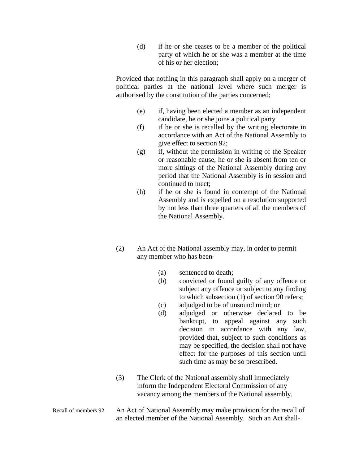(d) if he or she ceases to be a member of the political party of which he or she was a member at the time of his or her election;

Provided that nothing in this paragraph shall apply on a merger of political parties at the national level where such merger is authorised by the constitution of the parties concerned;

- (e) if, having been elected a member as an independent candidate, he or she joins a political party
- (f) if he or she is recalled by the writing electorate in accordance with an Act of the National Assembly to give effect to section 92;
- (g) if, without the permission in writing of the Speaker or reasonable cause, he or she is absent from ten or more sittings of the National Assembly during any period that the National Assembly is in session and continued to meet;
- (h) if he or she is found in contempt of the National Assembly and is expelled on a resolution supported by not less than three quarters of all the members of the National Assembly.
- (2) An Act of the National assembly may, in order to permit any member who has been-
	- (a) sentenced to death;
	- (b) convicted or found guilty of any offence or subject any offence or subject to any finding to which subsection (1) of section 90 refers;
	- (c) adjudged to be of unsound mind; or
	- (d) adjudged or otherwise declared to be bankrupt, to appeal against any such decision in accordance with any law, provided that, subject to such conditions as may be specified, the decision shall not have effect for the purposes of this section until such time as may be so prescribed.
- (3) The Clerk of the National assembly shall immediately inform the Independent Electoral Commission of any vacancy among the members of the National assembly.
- Recall of members 92. An Act of National Assembly may make provision for the recall of an elected member of the National Assembly. Such an Act shall-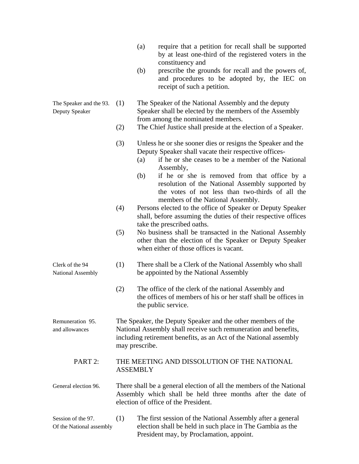- (a) require that a petition for recall shall be supported by at least one-third of the registered voters in the constituency and
- (b) prescribe the grounds for recall and the powers of, and procedures to be adopted by, the IEC on receipt of such a petition.
- The Speaker and the 93. (1) The Speaker of the National Assembly and the deputy Deputy Speaker Speaker Speaker shall be elected by the members of the Assembly from among the nominated members.
	- (2) The Chief Justice shall preside at the election of a Speaker.
	- (3) Unless he or she sooner dies or resigns the Speaker and the Deputy Speaker shall vacate their respective offices-
		- (a) if he or she ceases to be a member of the National Assembly,
		- (b) if he or she is removed from that office by a resolution of the National Assembly supported by the votes of not less than two-thirds of all the members of the National Assembly.
	- (4) Persons elected to the office of Speaker or Deputy Speaker shall, before assuming the duties of their respective offices take the prescribed oaths.
	- (5) No business shall be transacted in the National Assembly other than the election of the Speaker or Deputy Speaker when either of those offices is vacant.
- Clerk of the 94 (1) There shall be a Clerk of the National Assembly who shall National Assembly be appointed by the National Assembly
	- (2) The office of the clerk of the national Assembly and the offices of members of his or her staff shall be offices in the public service.

Remuneration 95. The Speaker, the Deputy Speaker and the other members of the and allowances National Assembly shall receive such remuneration and benefits, including retirement benefits, as an Act of the National assembly may prescribe.

# PART 2: THE MEETING AND DISSOLUTION OF THE NATIONAL ASSEMBLY

- General election 96. There shall be a general election of all the members of the National Assembly which shall be held three months after the date of election of office of the President.
- Session of the 97. (1) The first session of the National Assembly after a general Of the National assembly election shall be held in such place in The Gambia as the President may, by Proclamation, appoint.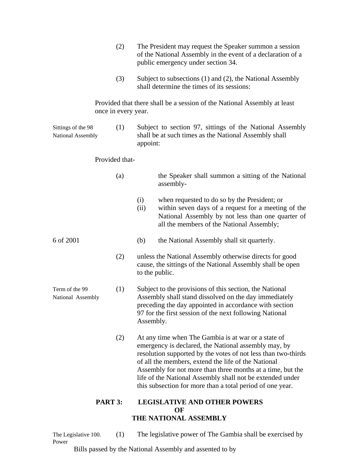|                                         | (2)                 | The President may request the Speaker summon a session<br>of the National Assembly in the event of a declaration of a<br>public emergency under section 34.                                                                                                                                                                                                                                                                 |  |
|-----------------------------------------|---------------------|-----------------------------------------------------------------------------------------------------------------------------------------------------------------------------------------------------------------------------------------------------------------------------------------------------------------------------------------------------------------------------------------------------------------------------|--|
|                                         | (3)                 | Subject to subsections (1) and (2), the National Assembly<br>shall determine the times of its sessions:                                                                                                                                                                                                                                                                                                                     |  |
|                                         | once in every year. | Provided that there shall be a session of the National Assembly at least                                                                                                                                                                                                                                                                                                                                                    |  |
| Sittings of the 98<br>National Assembly | (1)                 | Subject to section 97, sittings of the National Assembly<br>shall be at such times as the National Assembly shall<br>appoint:                                                                                                                                                                                                                                                                                               |  |
|                                         | Provided that-      |                                                                                                                                                                                                                                                                                                                                                                                                                             |  |
|                                         | (a)                 | the Speaker shall summon a sitting of the National<br>assembly-                                                                                                                                                                                                                                                                                                                                                             |  |
|                                         |                     | when requested to do so by the President; or<br>(i)<br>within seven days of a request for a meeting of the<br>(ii)<br>National Assembly by not less than one quarter of<br>all the members of the National Assembly;                                                                                                                                                                                                        |  |
| 6 of 2001                               |                     | (b)<br>the National Assembly shall sit quarterly.                                                                                                                                                                                                                                                                                                                                                                           |  |
|                                         | (2)                 | unless the National Assembly otherwise directs for good<br>cause, the sittings of the National Assembly shall be open<br>to the public.                                                                                                                                                                                                                                                                                     |  |
| Term of the 99<br>National Assembly     | (1)                 | Subject to the provisions of this section, the National<br>Assembly shall stand dissolved on the day immediately<br>preceding the day appointed in accordance with section<br>97 for the first session of the next following National<br>Assembly.                                                                                                                                                                          |  |
|                                         | (2)                 | At any time when The Gambia is at war or a state of<br>emergency is declared, the National assembly may, by<br>resolution supported by the votes of not less than two-thirds<br>of all the members, extend the life of the National<br>Assembly for not more than three months at a time, but the<br>life of the National Assembly shall not be extended under<br>this subsection for more than a total period of one year. |  |
| PART 3:                                 |                     | <b>LEGISLATIVE AND OTHER POWERS</b><br>OF                                                                                                                                                                                                                                                                                                                                                                                   |  |
|                                         |                     | THE NATIONAL ASSEMBLY                                                                                                                                                                                                                                                                                                                                                                                                       |  |

| The Legislative 100. | The legislative power of The Gambia shall be exercised by |
|----------------------|-----------------------------------------------------------|
| Power                |                                                           |

Bills passed by the National Assembly and assented to by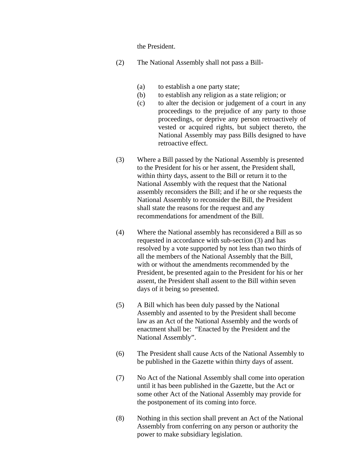the President.

- (2) The National Assembly shall not pass a Bill-
	- (a) to establish a one party state;
	- (b) to establish any religion as a state religion; or
	- (c) to alter the decision or judgement of a court in any proceedings to the prejudice of any party to those proceedings, or deprive any person retroactively of vested or acquired rights, but subject thereto, the National Assembly may pass Bills designed to have retroactive effect.
- (3) Where a Bill passed by the National Assembly is presented to the President for his or her assent, the President shall, within thirty days, assent to the Bill or return it to the National Assembly with the request that the National assembly reconsiders the Bill; and if he or she requests the National Assembly to reconsider the Bill, the President shall state the reasons for the request and any recommendations for amendment of the Bill.
- (4) Where the National assembly has reconsidered a Bill as so requested in accordance with sub-section (3) and has resolved by a vote supported by not less than two thirds of all the members of the National Assembly that the Bill, with or without the amendments recommended by the President, be presented again to the President for his or her assent, the President shall assent to the Bill within seven days of it being so presented.
- (5) A Bill which has been duly passed by the National Assembly and assented to by the President shall become law as an Act of the National Assembly and the words of enactment shall be: "Enacted by the President and the National Assembly".
- (6) The President shall cause Acts of the National Assembly to be published in the Gazette within thirty days of assent.
- (7) No Act of the National Assembly shall come into operation until it has been published in the Gazette, but the Act or some other Act of the National Assembly may provide for the postponement of its coming into force.
- (8) Nothing in this section shall prevent an Act of the National Assembly from conferring on any person or authority the power to make subsidiary legislation.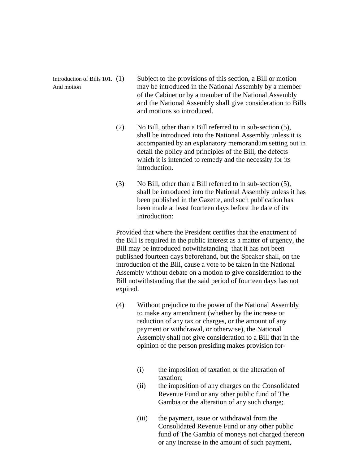Introduction of Bills 101. (1) Subject to the provisions of this section, a Bill or motion And motion may be introduced in the National Assembly by a member of the Cabinet or by a member of the National Assembly and the National Assembly shall give consideration to Bills and motions so introduced.

- (2) No Bill, other than a Bill referred to in sub-section (5), shall be introduced into the National Assembly unless it is accompanied by an explanatory memorandum setting out in detail the policy and principles of the Bill, the defects which it is intended to remedy and the necessity for its introduction.
- (3) No Bill, other than a Bill referred to in sub-section (5), shall be introduced into the National Assembly unless it has been published in the Gazette, and such publication has been made at least fourteen days before the date of its introduction:

 Provided that where the President certifies that the enactment of the Bill is required in the public interest as a matter of urgency, the Bill may be introduced notwithstanding that it has not been published fourteen days beforehand, but the Speaker shall, on the introduction of the Bill, cause a vote to be taken in the National Assembly without debate on a motion to give consideration to the Bill notwithstanding that the said period of fourteen days has not expired.

- (4) Without prejudice to the power of the National Assembly to make any amendment (whether by the increase or reduction of any tax or charges, or the amount of any payment or withdrawal, or otherwise), the National Assembly shall not give consideration to a Bill that in the opinion of the person presiding makes provision for-
	- (i) the imposition of taxation or the alteration of taxation;
	- (ii) the imposition of any charges on the Consolidated Revenue Fund or any other public fund of The Gambia or the alteration of any such charge;
	- (iii) the payment, issue or withdrawal from the Consolidated Revenue Fund or any other public fund of The Gambia of moneys not charged thereon or any increase in the amount of such payment,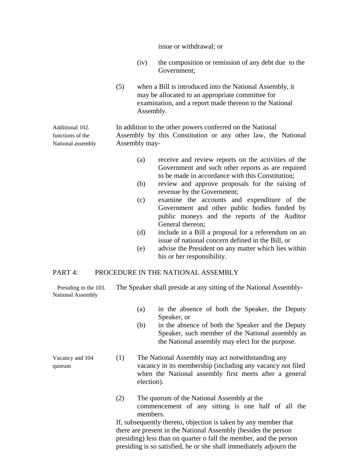#### issue or withdrawal; or

- (iv) the composition or remission of any debt due to the Government;
- (5) when a Bill is introduced into the National Assembly, it may be allocated to an appropriate committee for examination, and a report made thereon to the National Assembly.

Additional 102. In addition to the other powers conferred on the National functions of the Assembly by this Constitution or any other law, the National National assembly Assembly may-

- (a) receive and review reports on the activities of the Government and such other reports as are required to be made in accordance with this Constitution;
- (b) review and approve proposals for the raising of revenue by the Government;
- (c) examine the accounts and expenditure of the Government and other public bodies funded by public moneys and the reports of the Auditor General thereon;
- (d) include in a Bill a proposal for a referendum on an issue of national concern defined in the Bill, or
- (e) advise the President on any matter which lies within his or her responsibility.

#### PART 4: PROCEDURE IN THE NATIONAL ASSEMBLY

 Presiding in the 103. The Speaker shall preside at any sitting of the National Assembly-National Assembly

- (a) in the absence of both the Speaker, the Deputy Speaker, or
- (b) in the absence of both the Speaker and the Deputy Speaker, such member of the National assembly as the National assembly may elect for the purpose.
- Vacancy and 104 (1) The National Assembly may act notwithstanding any quorum vacancy in its membership (including any vacancy not filed when the National assembly first meets after a general election).
	- (2) The quorum of the National Assembly at the commencement of any sitting is one half of all the members.

 If, subsequently thereto, objection is taken by any member that there are present in the National Assembly (besides the person presiding) less than on quarter o fall the member, and the person presiding is so satisfied, he or she shall immediately adjourn the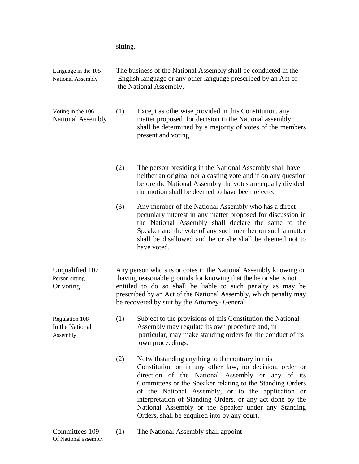sitting.

| Language in the 105<br>National Assembly       | The business of the National Assembly shall be conducted in the<br>English language or any other language prescribed by an Act of<br>the National Assembly. |                                                                                                                                                                                                                                                                                                                                                                                                                                                        |  |
|------------------------------------------------|-------------------------------------------------------------------------------------------------------------------------------------------------------------|--------------------------------------------------------------------------------------------------------------------------------------------------------------------------------------------------------------------------------------------------------------------------------------------------------------------------------------------------------------------------------------------------------------------------------------------------------|--|
| Voting in the 106<br><b>National Assembly</b>  | (1)                                                                                                                                                         | Except as otherwise provided in this Constitution, any<br>matter proposed for decision in the National assembly<br>shall be determined by a majority of votes of the members<br>present and voting.                                                                                                                                                                                                                                                    |  |
|                                                | (2)                                                                                                                                                         | The person presiding in the National Assembly shall have<br>neither an original nor a casting vote and if on any question<br>before the National Assembly the votes are equally divided,<br>the motion shall be deemed to have been rejected                                                                                                                                                                                                           |  |
|                                                | (3)                                                                                                                                                         | Any member of the National Assembly who has a direct<br>pecuniary interest in any matter proposed for discussion in<br>the National Assembly shall declare the same to the<br>Speaker and the vote of any such member on such a matter<br>shall be disallowed and he or she shall be deemed not to<br>have voted.                                                                                                                                      |  |
| Unqualified 107<br>Person sitting<br>Or voting |                                                                                                                                                             | Any person who sits or cotes in the National Assembly knowing or<br>having reasonable grounds for knowing that the he or she is not<br>entitled to do so shall be liable to such penalty as may be<br>prescribed by an Act of the National Assembly, which penalty may<br>be recovered by suit by the Attorney- General                                                                                                                                |  |
| Regulation 108<br>In the National<br>Assembly  | (1)                                                                                                                                                         | Subject to the provisions of this Constitution the National<br>Assembly may regulate its own procedure and, in<br>particular, may make standing orders for the conduct of its<br>own proceedings.                                                                                                                                                                                                                                                      |  |
|                                                | (2)                                                                                                                                                         | Notwithstanding anything to the contrary in this<br>Constitution or in any other law, no decision, order or<br>direction of the National Assembly or any of its<br>Committees or the Speaker relating to the Standing Orders<br>of the National Assembly, or to the application or<br>interpretation of Standing Orders, or any act done by the<br>National Assembly or the Speaker under any Standing<br>Orders, shall be enquired into by any court. |  |
| Committees 109<br>Of National assembly         | (1)                                                                                                                                                         | The National Assembly shall appoint –                                                                                                                                                                                                                                                                                                                                                                                                                  |  |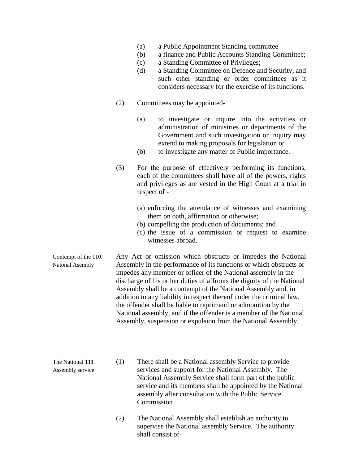- (a) a Public Appointment Standing committee
- (b) a finance and Public Accounts Standing Committee;
- (c) a Standing Committee of Privileges;
- (d) a Standing Committee on Defence and Security, and such other standing or order committees as it considers necessary for the exercise of its functions.
- (2) Committees may be appointed-
	- (a) to investigate or inquire into the activities or administration of ministries or departments of the Government and such investigation or inquiry may extend to making proposals for legislation or
	- (b) to investigate any matter of Public importance.
- (3) For the purpose of effectively performing its functions, each of the committees shall have all of the powers, rights and privileges as are vested in the High Court at a trial in respect of -
	- (a) enforcing the attendance of witnesses and examining them on oath, affirmation or otherwise;
	- (b) compelling the production of documents; and
	- (c) the issue of a commission or request to examine witnesses abroad.

Contempt of the 110. Any Act or omission which obstructs or impedes the National Natonal Asembly Assembly in the performance of its functions or which obstructs or impedes any member or officer of the National assembly in the discharge of his or her duties of affronts the dignity of the National Assembly shall be a contempt of the National Assembly and, in addition to any liability in respect thereof under the criminal law, the offender shall be liable to reprimand or admonition by the National assembly, and if the offender is a member of the National Assembly, suspension or expulsion from the National Assembly.

The National 111 (1) There shall be a National assembly Service to provide Assembly service services and support for the National Assembly. The National Assembly Service shall form part of the public service and its members shall be appointed by the National assembly after consultation with the Public Service Commission

> (2) The National Assembly shall establish an authority to supervise the National assembly Service. The authority shall consist of-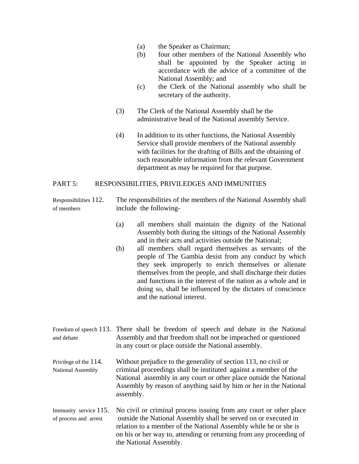- (a) the Speaker as Chairman;
- (b) four other members of the National Assembly who shall be appointed by the Speaker acting in accordance with the advice of a committee of the National Assembly; and
- (c) the Clerk of the National assembly who shall be secretary of the authority.
- (3) The Clerk of the National Assembly shall be the administrative head of the National assembly Service.
- (4) In addition to its other functions, the National Assembly Service shall provide members of the National assembly with facilities for the drafting of Bills and the obtaining of such reasonable information from the relevant Government department as may be required for that purpose.

### PART 5: RESPONSIBILITIES, PRIVILEDGES AND IMMUNITIES

Responsibilities 112. The responsibilities of the members of the National Assembly shall of members include the following-

- (a) all members shall maintain the dignity of the National Assembly both during the sittings of the National Assembly and in their acts and activities outside the National;
- (b) all members shall regard themselves as servants of the people of The Gambia desist from any conduct by which they seek improperly to enrich themselves or alienate themselves from the people, and shall discharge their duties and functions in the interest of the nation as a whole and in doing so, shall be influenced by the dictates of conscience and the national interest.
- Freedom of speech 113. There shall be freedom of speech and debate in the National and debate Assembly and that freedom shall not be impeached or questioned in any court or place outside the National assembly.
- Privilege of the 114. Without prejudice to the generality of section 113, no civil or National Assembly criminal proceedings shall be instituted against a member of the National assembly in any court or other place outside the National Assembly by reason of anything said by him or her in the National assembly.
- Immunity service 115. No civil or criminal process issuing from any court or other place of process and arrest outside the National Assembly shall be served on or executed in relation to a member of the National Assembly while he or she is on his or her way to, attending or returning from any proceeding of the National Assembly.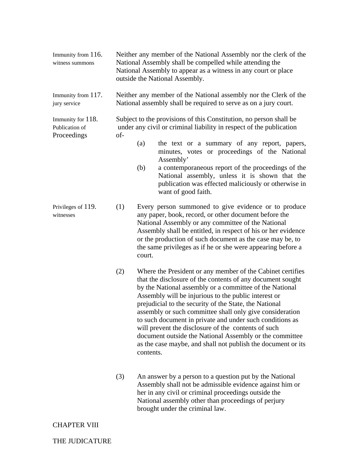- Immunity from 116. Neither any member of the National Assembly nor the clerk of the witness summons National Assembly shall be compelled while attending the National Assembly to appear as a witness in any court or place outside the National Assembly. Immunity from 117. Neither any member of the National assembly nor the Clerk of the jury service National assembly shall be required to serve as on a jury court. Immunity for 118. Subject to the provisions of this Constitution, no person shall be Publication of under any civil or criminal liability in respect of the publication Proceedings of- (a) the text or a summary of any report, papers, minutes, votes or proceedings of the National Assembly' (b) a contemporaneous report of the proceedings of the National assembly, unless it is shown that the publication was effected maliciously or otherwise in want of good faith. Privileges of 119. (1) Every person summoned to give evidence or to produce witnesses any paper, book, record, or other document before the National Assembly or any committee of the National Assembly shall be entitled, in respect of his or her evidence or the production of such document as the case may be, to the same privileges as if he or she were appearing before a court. (2) Where the President or any member of the Cabinet certifies that the disclosure of the contents of any document sought by the National assembly or a committee of the National Assembly will be injurious to the public interest or prejudicial to the security of the State, the National assembly or such committee shall only give consideration to such document in private and under such conditions as will prevent the disclosure of the contents of such document outside the National Assembly or the committee as the case maybe, and shall not publish the document or its contents.
	- (3) An answer by a person to a question put by the National Assembly shall not be admissible evidence against him or her in any civil or criminal proceedings outside the National assembly other than proceedings of perjury brought under the criminal law.

#### CHAPTER VIII

#### THE JUDICATURE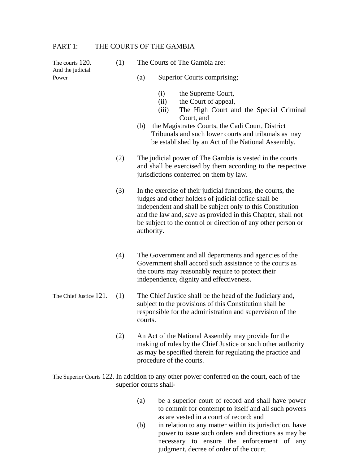And the judicial

- The courts 120. (1) The Courts of The Gambia are:
- Power (a) Superior Courts comprising;
	- (i) the Supreme Court,
	- (ii) the Court of appeal,
	- (iii) The High Court and the Special Criminal Court, and
	- (b) the Magistrates Courts, the Cadi Court, District Tribunals and such lower courts and tribunals as may be established by an Act of the National Assembly.
	- (2) The judicial power of The Gambia is vested in the courts and shall be exercised by them according to the respective jurisdictions conferred on them by law.
	- (3) In the exercise of their judicial functions, the courts, the judges and other holders of judicial office shall be independent and shall be subject only to this Constitution and the law and, save as provided in this Chapter, shall not be subject to the control or direction of any other person or authority.
	- (4) The Government and all departments and agencies of the Government shall accord such assistance to the courts as the courts may reasonably require to protect their independence, dignity and effectiveness.
- The Chief Justice 121. (1) The Chief Justice shall be the head of the Judiciary and, subject to the provisions of this Constitution shall be responsible for the administration and supervision of the courts.
	- (2) An Act of the National Assembly may provide for the making of rules by the Chief Justice or such other authority as may be specified therein for regulating the practice and procedure of the courts.
- The Superior Courts 122. In addition to any other power conferred on the court, each of the superior courts shall-
	- (a) be a superior court of record and shall have power to commit for contempt to itself and all such powers as are vested in a court of record; and
	- (b) in relation to any matter within its jurisdiction, have power to issue such orders and directions as may be necessary to ensure the enforcement of any judgment, decree of order of the court.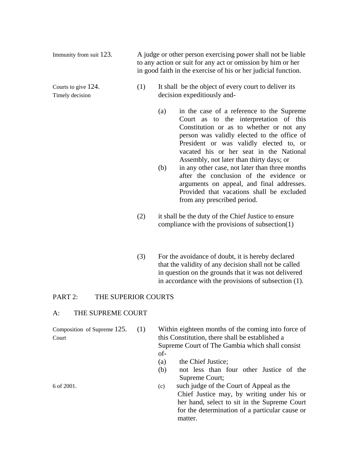- Immunity from suit 123. A judge or other person exercising power shall not be liable to any action or suit for any act or omission by him or her in good faith in the exercise of his or her judicial function.
- Courts to give 124. (1) It shall be the object of every court to deliver its Timely decision decision expeditiously and-
	- (a) in the case of a reference to the Supreme Court as to the interpretation of this Constitution or as to whether or not any person was validly elected to the office of President or was validly elected to, or vacated his or her seat in the National Assembly, not later than thirty days; or
	- (b) in any other case, not later than three months after the conclusion of the evidence or arguments on appeal, and final addresses. Provided that vacations shall be excluded from any prescribed period.
	- (2) it shall be the duty of the Chief Justice to ensure compliance with the provisions of subsection(1)
	- (3) For the avoidance of doubt, it is hereby declared that the validity of any decision shall not be called in question on the grounds that it was not delivered in accordance with the provisions of subsection (1).

# PART 2: THE SUPERIOR COURTS

#### A: THE SUPREME COURT

Composition of Supreme 125. (1) Within eighteen months of the coming into force of Court this Constitution, there shall be established a Supreme Court of The Gambia which shall consist of-

- (a) the Chief Justice;
- (b) not less than four other Justice of the Supreme Court;
- 6 of 2001. (c) such judge of the Court of Appeal as the Chief Justice may, by writing under his or her hand, select to sit in the Supreme Court for the determination of a particular cause or matter.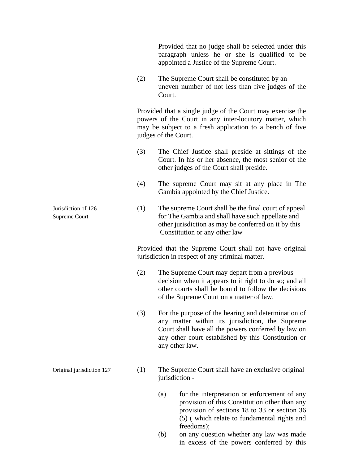Provided that no judge shall be selected under this paragraph unless he or she is qualified to be appointed a Justice of the Supreme Court. (2) The Supreme Court shall be constituted by an uneven number of not less than five judges of the Court. Provided that a single judge of the Court may exercise the powers of the Court in any inter-locutory matter, which may be subject to a fresh application to a bench of five judges of the Court. (3) The Chief Justice shall preside at sittings of the Court. In his or her absence, the most senior of the other judges of the Court shall preside. (4) The supreme Court may sit at any place in The Gambia appointed by the Chief Justice. Jurisdiction of 126 (1) The supreme Court shall be the final court of appeal Supreme Court for The Gambia and shall have such appellate and other jurisdiction as may be conferred on it by this Constitution or any other law Provided that the Supreme Court shall not have original jurisdiction in respect of any criminal matter. (2) The Supreme Court may depart from a previous decision when it appears to it right to do so; and all other courts shall be bound to follow the decisions of the Supreme Court on a matter of law. (3) For the purpose of the hearing and determination of any matter within its jurisdiction, the Supreme Court shall have all the powers conferred by law on any other court established by this Constitution or any other law. Original jurisdiction 127 (1) The Supreme Court shall have an exclusive original jurisdiction - (a) for the interpretation or enforcement of any provision of this Constitution other than any provision of sections 18 to 33 or section 36 (5) ( which relate to fundamental rights and

> (b) on any question whether any law was made in excess of the powers conferred by this

freedoms);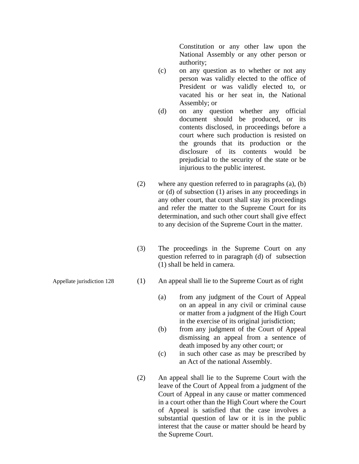Constitution or any other law upon the National Assembly or any other person or authority;

- (c) on any question as to whether or not any person was validly elected to the office of President or was validly elected to, or vacated his or her seat in, the National Assembly; or
- (d) on any question whether any official document should be produced, or its contents disclosed, in proceedings before a court where such production is resisted on the grounds that its production or the disclosure of its contents would be prejudicial to the security of the state or be injurious to the public interest.
- (2) where any question referred to in paragraphs (a), (b) or (d) of subsection (1) arises in any proceedings in any other court, that court shall stay its proceedings and refer the matter to the Supreme Court for its determination, and such other court shall give effect to any decision of the Supreme Court in the matter.
- (3) The proceedings in the Supreme Court on any question referred to in paragraph (d) of subsection (1) shall be held in camera.
- Appellate jurisdiction 128 (1) An appeal shall lie to the Supreme Court as of right
	- (a) from any judgment of the Court of Appeal on an appeal in any civil or criminal cause or matter from a judgment of the High Court in the exercise of its original jurisdiction;
	- (b) from any judgment of the Court of Appeal dismissing an appeal from a sentence of death imposed by any other court; or
	- (c) in such other case as may be prescribed by an Act of the national Assembly.
	- (2) An appeal shall lie to the Supreme Court with the leave of the Court of Appeal from a judgment of the Court of Appeal in any cause or matter commenced in a court other than the High Court where the Court of Appeal is satisfied that the case involves a substantial question of law or it is in the public interest that the cause or matter should be heard by the Supreme Court.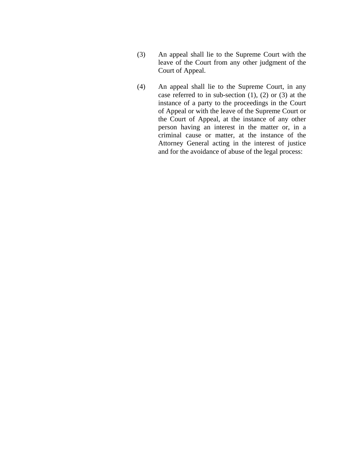- (3) An appeal shall lie to the Supreme Court with the leave of the Court from any other judgment of the Court of Appeal.
- (4) An appeal shall lie to the Supreme Court, in any case referred to in sub-section  $(1)$ ,  $(2)$  or  $(3)$  at the instance of a party to the proceedings in the Court of Appeal or with the leave of the Supreme Court or the Court of Appeal, at the instance of any other person having an interest in the matter or, in a criminal cause or matter, at the instance of the Attorney General acting in the interest of justice and for the avoidance of abuse of the legal process: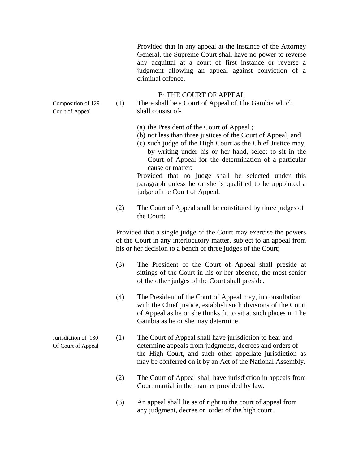Provided that in any appeal at the instance of the Attorney General, the Supreme Court shall have no power to reverse any acquittal at a court of first instance or reverse a judgment allowing an appeal against conviction of a criminal offence.

# B: THE COURT OF APPEAL

- Composition of 129 (1) There shall be a Court of Appeal of The Gambia which Court of Appeal shall consist of-
	- (a) the President of the Court of Appeal ;
	- (b) not less than three justices of the Court of Appeal; and
	- (c) such judge of the High Court as the Chief Justice may, by writing under his or her hand, select to sit in the Court of Appeal for the determination of a particular cause or matter:

Provided that no judge shall be selected under this paragraph unless he or she is qualified to be appointed a judge of the Court of Appeal.

 (2) The Court of Appeal shall be constituted by three judges of the Court:

Provided that a single judge of the Court may exercise the powers of the Court in any interlocutory matter, subject to an appeal from his or her decision to a bench of three judges of the Court;

- (3) The President of the Court of Appeal shall preside at sittings of the Court in his or her absence, the most senior of the other judges of the Court shall preside.
- (4) The President of the Court of Appeal may, in consultation with the Chief justice, establish such divisions of the Court of Appeal as he or she thinks fit to sit at such places in The Gambia as he or she may determine.
- Jurisdiction of 130 (1) The Court of Appeal shall have jurisdiction to hear and Of Court of Appeal determine appeals from judgments, decrees and orders of the High Court, and such other appellate jurisdiction as may be conferred on it by an Act of the National Assembly.
	- (2) The Court of Appeal shall have jurisdiction in appeals from Court martial in the manner provided by law.
	- (3) An appeal shall lie as of right to the court of appeal from any judgment, decree or order of the high court.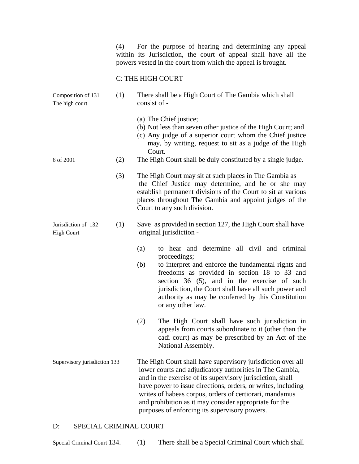(4) For the purpose of hearing and determining any appeal within its Jurisdiction, the court of appeal shall have all the powers vested in the court from which the appeal is brought.

# C: THE HIGH COURT

| Composition of 131<br>The high court     | (1) | There shall be a High Court of The Gambia which shall<br>consist of -                                                                                                                                                                                                                                                                                                                                                       |  |  |
|------------------------------------------|-----|-----------------------------------------------------------------------------------------------------------------------------------------------------------------------------------------------------------------------------------------------------------------------------------------------------------------------------------------------------------------------------------------------------------------------------|--|--|
|                                          |     | (a) The Chief justice;<br>(b) Not less than seven other justice of the High Court; and<br>(c) Any judge of a superior court whom the Chief justice<br>may, by writing, request to sit as a judge of the High<br>Court.                                                                                                                                                                                                      |  |  |
| 6 of 2001                                | (2) | The High Court shall be duly constituted by a single judge.                                                                                                                                                                                                                                                                                                                                                                 |  |  |
|                                          | (3) | The High Court may sit at such places in The Gambia as<br>the Chief Justice may determine, and he or she may<br>establish permanent divisions of the Court to sit at various<br>places throughout The Gambia and appoint judges of the<br>Court to any such division.                                                                                                                                                       |  |  |
| Jurisdiction of 132<br><b>High Court</b> | (1) | Save as provided in section 127, the High Court shall have<br>original jurisdiction -                                                                                                                                                                                                                                                                                                                                       |  |  |
|                                          |     | to hear and determine all civil and criminal<br>(a)<br>proceedings;<br>to interpret and enforce the fundamental rights and<br>(b)<br>freedoms as provided in section 18 to 33 and<br>section 36 (5), and in the exercise of such<br>jurisdiction, the Court shall have all such power and<br>authority as may be conferred by this Constitution<br>or any other law.                                                        |  |  |
|                                          |     | (2)<br>The High Court shall have such jurisdiction in<br>appeals from courts subordinate to it (other than the<br>cadi court) as may be prescribed by an Act of the<br>National Assembly.                                                                                                                                                                                                                                   |  |  |
| Supervisory jurisdiction 133             |     | The High Court shall have supervisory jurisdiction over all<br>lower courts and adjudicatory authorities in The Gambia,<br>and in the exercise of its supervisory jurisdiction, shall<br>have power to issue directions, orders, or writes, including<br>writes of habeas corpus, orders of certiorari, mandamus<br>and prohibition as it may consider appropriate for the<br>purposes of enforcing its supervisory powers. |  |  |

# D: SPECIAL CRIMINAL COURT

Special Criminal Court 134. (1) There shall be a Special Criminal Court which shall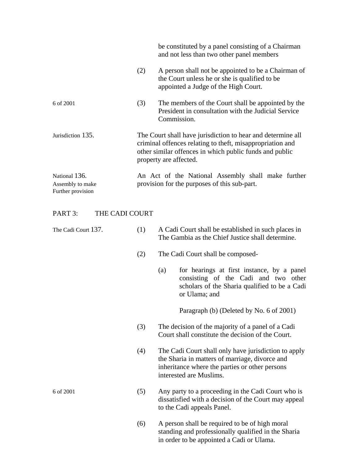|                                                        |     | be constituted by a panel consisting of a Chairman<br>and not less than two other panel members                                                                                                               |
|--------------------------------------------------------|-----|---------------------------------------------------------------------------------------------------------------------------------------------------------------------------------------------------------------|
|                                                        | (2) | A person shall not be appointed to be a Chairman of<br>the Court unless he or she is qualified to be<br>appointed a Judge of the High Court.                                                                  |
| 6 of 2001                                              | (3) | The members of the Court shall be appointed by the<br>President in consultation with the Judicial Service<br>Commission.                                                                                      |
| Jurisdiction 135.                                      |     | The Court shall have jurisdiction to hear and determine all<br>criminal offences relating to theft, misappropriation and<br>other similar offences in which public funds and public<br>property are affected. |
| National 136.<br>Assembly to make<br>Further provision |     | An Act of the National Assembly shall make further<br>provision for the purposes of this sub-part.                                                                                                            |

# PART 3: THE CADI COURT

| The Cadi Court 137. | (1) | A Cadi Court shall be established in such places in<br>The Gambia as the Chief Justice shall determine.                                                                             |
|---------------------|-----|-------------------------------------------------------------------------------------------------------------------------------------------------------------------------------------|
|                     | (2) | The Cadi Court shall be composed-                                                                                                                                                   |
|                     |     | for hearings at first instance, by a panel<br>(a)<br>consisting of the Cadi and two other<br>scholars of the Sharia qualified to be a Cadi<br>or Ulama; and                         |
|                     |     | Paragraph (b) (Deleted by No. 6 of 2001)                                                                                                                                            |
|                     | (3) | The decision of the majority of a panel of a Cadi<br>Court shall constitute the decision of the Court.                                                                              |
|                     | (4) | The Cadi Court shall only have jurisdiction to apply<br>the Sharia in matters of marriage, divorce and<br>inheritance where the parties or other persons<br>interested are Muslims. |
| 6 of 2001           | (5) | Any party to a proceeding in the Cadi Court who is<br>dissatisfied with a decision of the Court may appeal<br>to the Cadi appeals Panel.                                            |
|                     | (6) | A person shall be required to be of high moral<br>standing and professionally qualified in the Sharia<br>in order to be appointed a Cadi or Ulama.                                  |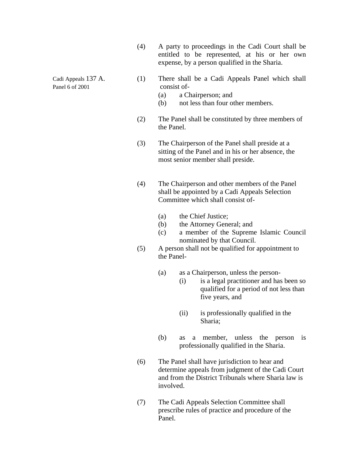- (4) A party to proceedings in the Cadi Court shall be entitled to be represented, at his or her own expense, by a person qualified in the Sharia.
- Panel 6 of 2001 consist of-
- Cadi Appeals 137 A. (1) There shall be a Cadi Appeals Panel which shall
	- (a) a Chairperson; and
	- (b) not less than four other members.
	- (2) The Panel shall be constituted by three members of the Panel.
	- (3) The Chairperson of the Panel shall preside at a sitting of the Panel and in his or her absence, the most senior member shall preside.
	- (4) The Chairperson and other members of the Panel shall be appointed by a Cadi Appeals Selection Committee which shall consist of-
		- (a) the Chief Justice;
		- (b) the Attorney General; and
		- (c) a member of the Supreme Islamic Council nominated by that Council.
	- (5) A person shall not be qualified for appointment to the Panel-
		- (a) as a Chairperson, unless the person-
			- (i) is a legal practitioner and has been so qualified for a period of not less than five years, and
			- (ii) is professionally qualified in the Sharia;
		- (b) as a member, unless the person is professionally qualified in the Sharia.
	- (6) The Panel shall have jurisdiction to hear and determine appeals from judgment of the Cadi Court and from the District Tribunals where Sharia law is involved.
	- (7) The Cadi Appeals Selection Committee shall prescribe rules of practice and procedure of the Panel.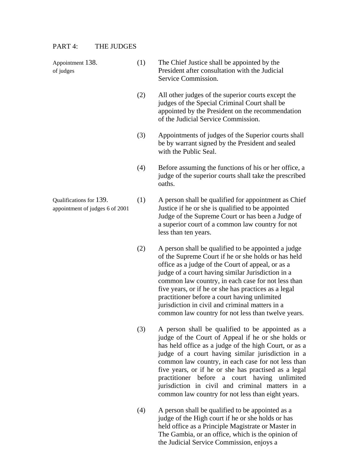| Appointment 138.<br>of judges                              | (1) | The Chief Justice shall be appointed by the<br>President after consultation with the Judicial<br>Service Commission.                                                                                                                                                                                                                                                                                                                                                                        |
|------------------------------------------------------------|-----|---------------------------------------------------------------------------------------------------------------------------------------------------------------------------------------------------------------------------------------------------------------------------------------------------------------------------------------------------------------------------------------------------------------------------------------------------------------------------------------------|
|                                                            | (2) | All other judges of the superior courts except the<br>judges of the Special Criminal Court shall be<br>appointed by the President on the recommendation<br>of the Judicial Service Commission.                                                                                                                                                                                                                                                                                              |
|                                                            | (3) | Appointments of judges of the Superior courts shall<br>be by warrant signed by the President and sealed<br>with the Public Seal.                                                                                                                                                                                                                                                                                                                                                            |
|                                                            | (4) | Before assuming the functions of his or her office, a<br>judge of the superior courts shall take the prescribed<br>oaths.                                                                                                                                                                                                                                                                                                                                                                   |
| Qualifications for 139.<br>appointment of judges 6 of 2001 | (1) | A person shall be qualified for appointment as Chief<br>Justice if he or she is qualified to be appointed<br>Judge of the Supreme Court or has been a Judge of<br>a superior court of a common law country for not<br>less than ten years.                                                                                                                                                                                                                                                  |
|                                                            | (2) | A person shall be qualified to be appointed a judge<br>of the Supreme Court if he or she holds or has held<br>office as a judge of the Court of appeal, or as a<br>judge of a court having similar Jurisdiction in a<br>common law country, in each case for not less than<br>five years, or if he or she has practices as a legal<br>practitioner before a court having unlimited<br>jurisdiction in civil and criminal matters in a<br>common law country for not less than twelve years. |
|                                                            | (3) | A person shall be qualified to be appointed as a<br>judge of the Court of Appeal if he or she holds or<br>has held office as a judge of the high Court, or as a<br>judge of a court having similar jurisdiction in a<br>common law country, in each case for not less than<br>five years, or if he or she has practised as a legal<br>before a court having unlimited<br>practitioner                                                                                                       |

 (4) A person shall be qualified to be appointed as a judge of the High court if he or she holds or has held office as a Principle Magistrate or Master in The Gambia, or an office, which is the opinion of the Judicial Service Commission, enjoys a

jurisdiction in civil and criminal matters in a common law country for not less than eight years.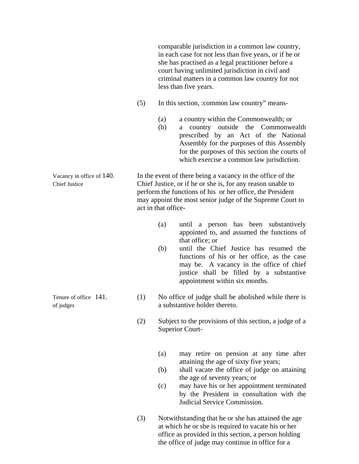comparable jurisdiction in a common law country, in each case for not less than five years, or if he or she has practised as a legal practitioner before a court having unlimited jurisdiction in civil and criminal matters in a common law country for not less than five years. (5) In this section, :common law country" means- (a) a country within the Commonwealth; or (b) a country outside the Commonwealth prescribed by an Act of the National Assembly for the purposes of this Assembly for the purposes of this section the courts of which exercise a common law jurisdiction. Vacancy in office of 140. In the event of there being a vacancy in the office of the Chief Justice Chief Justice, or if he or she is, for any reason unable to perform the functions of his or her office, the President may appoint the most senior judge of the Supreme Court to act in that office- (a) until a person has been substantively appointed to, and assumed the functions of that office; or (b) until the Chief Justice has resumed the functions of his or her office, as the case may be. A vacancy in the office of chief justice shall be filled by a substantive appointment within six months. Tenure of office 141. (1) No office of judge shall be abolished while there is of judges a substantive holder thereto. (2) Subject to the provisions of this section, a judge of a Superior Court- (a) may retire on pension at any time after attaining the age of sixty five years; (b) shall vacate the office of judge on attaining the age of seventy years; or

- (c) may have his or her appointment terminated by the President in consultation with the Judicial Service Commission.
- (3) Notwithstanding that he or she has attained the age at which he or she is required to vacate his or her office as provided in this section, a person holding the office of judge may continue in office for a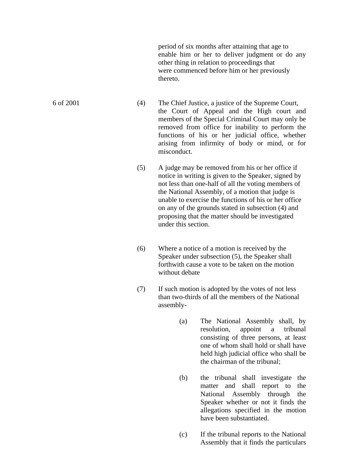period of six months after attaining that age to enable him or her to deliver judgment or do any other thing in relation to proceedings that were commenced before him or her previously thereto.

6 of 2001 (4) The Chief Justice, a justice of the Supreme Court, the Court of Appeal and the High court and members of the Special Criminal Court may only be removed from office for inability to perform the functions of his or her judicial office, whether arising from infirmity of body or mind, or for misconduct.

- (5) A judge may be removed from his or her office if notice in writing is given to the Speaker, signed by not less than one-half of all the voting members of the National Assembly, of a motion that judge is unable to exercise the functions of his or her office on any of the grounds stated in subsection (4) and proposing that the matter should be investigated under this section.
- (6) Where a notice of a motion is received by the Speaker under subsection (5), the Speaker shall forthwith cause a vote to be taken on the motion without debate
- (7) If such motion is adopted by the votes of not less than two-thirds of all the members of the National assembly-
	- (a) The National Assembly shall, by resolution, appoint a tribunal consisting of three persons, at least one of whom shall hold or shall have held high judicial office who shall be the chairman of the tribunal;
	- (b) the tribunal shall investigate the matter and shall report to the National Assembly through the Speaker whether or not it finds the allegations specified in the motion have been substantiated.
	- (c) If the tribunal reports to the National Assembly that it finds the particulars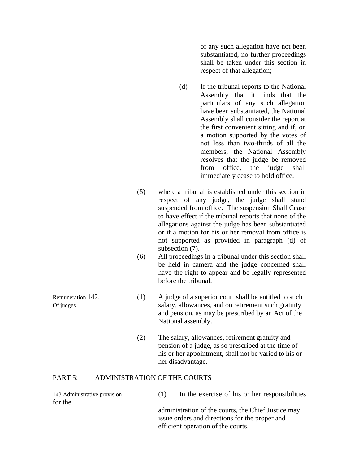of any such allegation have not been substantiated, no further proceedings shall be taken under this section in respect of that allegation;

- (d) If the tribunal reports to the National Assembly that it finds that the particulars of any such allegation have been substantiated, the National Assembly shall consider the report at the first convenient sitting and if, on a motion supported by the votes of not less than two-thirds of all the members, the National Assembly resolves that the judge be removed from office, the judge shall immediately cease to hold office.
- (5) where a tribunal is established under this section in respect of any judge, the judge shall stand suspended from office. The suspension Shall Cease to have effect if the tribunal reports that none of the allegations against the judge has been substantiated or if a motion for his or her removal from office is not supported as provided in paragraph (d) of subsection (7).
- (6) All proceedings in a tribunal under this section shall be held in camera and the judge concerned shall have the right to appear and be legally represented before the tribunal.
- Remuneration 142. (1) A judge of a superior court shall be entitled to such Of judges salary, allowances, and on retirement such gratuity and pension, as may be prescribed by an Act of the National assembly.
	- (2) The salary, allowances, retirement gratuity and pension of a judge, as so prescribed at the time of his or her appointment, shall not be varied to his or her disadvantage.

# PART 5: ADMINISTRATION OF THE COURTS

| 143 Administrative provision<br>for the | In the exercise of his or her responsibilities                                                        |
|-----------------------------------------|-------------------------------------------------------------------------------------------------------|
|                                         | administration of the courts, the Chief Justice may<br>issue orders and directions for the proper and |

efficient operation of the courts.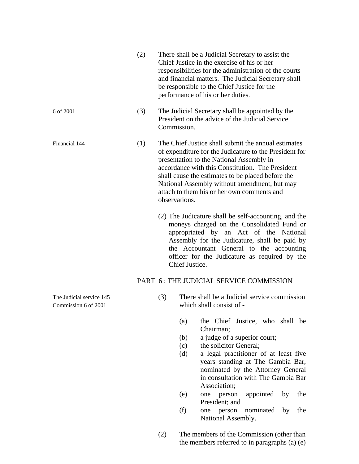|                                                  | (2) |                                        | There shall be a Judicial Secretary to assist the<br>Chief Justice in the exercise of his or her<br>responsibilities for the administration of the courts<br>and financial matters. The Judicial Secretary shall<br>be responsible to the Chief Justice for the<br>performance of his or her duties.                                                                                                           |
|--------------------------------------------------|-----|----------------------------------------|----------------------------------------------------------------------------------------------------------------------------------------------------------------------------------------------------------------------------------------------------------------------------------------------------------------------------------------------------------------------------------------------------------------|
| 6 of 2001                                        | (3) | Commission.                            | The Judicial Secretary shall be appointed by the<br>President on the advice of the Judicial Service                                                                                                                                                                                                                                                                                                            |
| Financial 144                                    | (1) | observations.                          | The Chief Justice shall submit the annual estimates<br>of expenditure for the Judicature to the President for<br>presentation to the National Assembly in<br>accordance with this Constitution. The President<br>shall cause the estimates to be placed before the<br>National Assembly without amendment, but may<br>attach to them his or her own comments and                                               |
|                                                  |     | Chief Justice.                         | (2) The Judicature shall be self-accounting, and the<br>moneys charged on the Consolidated Fund or<br>appropriated by an Act of the National<br>Assembly for the Judicature, shall be paid by<br>the Accountant General to the accounting<br>officer for the Judicature as required by the                                                                                                                     |
|                                                  |     |                                        | PART 6: THE JUDICIAL SERVICE COMMISSION                                                                                                                                                                                                                                                                                                                                                                        |
| The Judicial service 145<br>Commission 6 of 2001 | (3) |                                        | There shall be a Judicial service commission<br>which shall consist of -                                                                                                                                                                                                                                                                                                                                       |
|                                                  |     | (a)<br>(b)<br>(c)<br>(d)<br>(e)<br>(f) | the Chief Justice, who shall be<br>Chairman;<br>a judge of a superior court;<br>the solicitor General;<br>a legal practitioner of at least five<br>years standing at The Gambia Bar,<br>nominated by the Attorney General<br>in consultation with The Gambia Bar<br>Association;<br>appointed<br>person<br>by<br>the<br>one<br>President; and<br>nominated<br>by<br>the<br>person<br>one<br>National Assembly. |

(2) The members of the Commission (other than the members referred to in paragraphs (a) (e)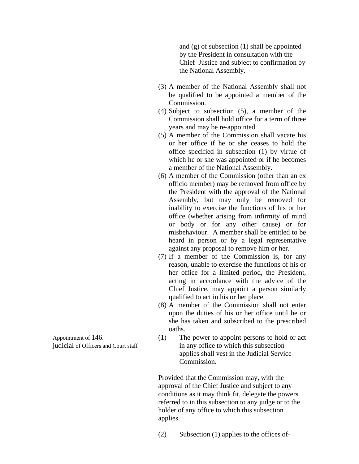and (g) of subsection (1) shall be appointed by the President in consultation with the Chief Justice and subject to confirmation by the National Assembly.

- (3) A member of the National Assembly shall not be qualified to be appointed a member of the Commission.
- (4) Subject to subsection (5), a member of the Commission shall hold office for a term of three years and may be re-appointed.
- (5) A member of the Commission shall vacate his or her office if he or she ceases to hold the office specified in subsection (1) by virtue of which he or she was appointed or if he becomes a member of the National Assembly.
- (6) A member of the Commission (other than an ex officio member) may be removed from office by the President with the approval of the National Assembly, but may only be removed for inability to exercise the functions of his or her office (whether arising from infirmity of mind or body or for any other cause) or for misbehaviour. A member shall be entitled to be heard in person or by a legal representative against any proposal to remove him or her.
- (7) If a member of the Commission is, for any reason, unable to exercise the functions of his or her office for a limited period, the President, acting in accordance with the advice of the Chief Justice, may appoint a person similarly qualified to act in his or her place.
- (8) A member of the Commission shall not enter upon the duties of his or her office until he or she has taken and subscribed to the prescribed oaths.
- Appointment of 146. (1) The power to appoint persons to hold or act judicial of Officers and Court staff in any office to which this subsection applies shall vest in the Judicial Service Commission.

 Provided that the Commission may, with the approval of the Chief Justice and subject to any conditions as it may think fit, delegate the powers referred to in this subsection to any judge or to the holder of any office to which this subsection applies.

(2) Subsection (1) applies to the offices of-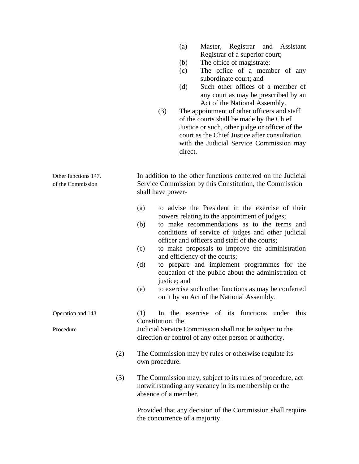|                                           |     | (b)<br>The office of magistrate;<br>The office of a member of any<br>(c)<br>subordinate court; and<br>(d)<br>Such other offices of a member of<br>any court as may be prescribed by an<br>Act of the National Assembly.<br>The appointment of other officers and staff<br>(3)<br>of the courts shall be made by the Chief<br>Justice or such, other judge or officer of the<br>court as the Chief Justice after consultation<br>with the Judicial Service Commission may<br>direct.                                                                                                                       |
|-------------------------------------------|-----|-----------------------------------------------------------------------------------------------------------------------------------------------------------------------------------------------------------------------------------------------------------------------------------------------------------------------------------------------------------------------------------------------------------------------------------------------------------------------------------------------------------------------------------------------------------------------------------------------------------|
| Other functions 147.<br>of the Commission |     | In addition to the other functions conferred on the Judicial<br>Service Commission by this Constitution, the Commission<br>shall have power-                                                                                                                                                                                                                                                                                                                                                                                                                                                              |
|                                           |     | to advise the President in the exercise of their<br>(a)<br>powers relating to the appointment of judges;<br>to make recommendations as to the terms and<br>(b)<br>conditions of service of judges and other judicial<br>officer and officers and staff of the courts;<br>(c)<br>to make proposals to improve the administration<br>and efficiency of the courts;<br>(d)<br>to prepare and implement programmes for the<br>education of the public about the administration of<br>justice; and<br>(e)<br>to exercise such other functions as may be conferred<br>on it by an Act of the National Assembly. |
| Operation and 148<br>Procedure            |     | functions<br>(1)<br>exercise of its<br>In<br>the<br>under<br>this<br>Constitution, the<br>Judicial Service Commission shall not be subject to the                                                                                                                                                                                                                                                                                                                                                                                                                                                         |
|                                           |     | direction or control of any other person or authority.                                                                                                                                                                                                                                                                                                                                                                                                                                                                                                                                                    |
|                                           | (2) | The Commission may by rules or otherwise regulate its<br>own procedure.                                                                                                                                                                                                                                                                                                                                                                                                                                                                                                                                   |
|                                           | (3) | The Commission may, subject to its rules of procedure, act<br>notwithstanding any vacancy in its membership or the<br>absence of a member.                                                                                                                                                                                                                                                                                                                                                                                                                                                                |
|                                           |     | Provided that any decision of the Commission shall require<br>the concurrence of a majority.                                                                                                                                                                                                                                                                                                                                                                                                                                                                                                              |

(a) Master, Registrar and Assistant Registrar of a superior court;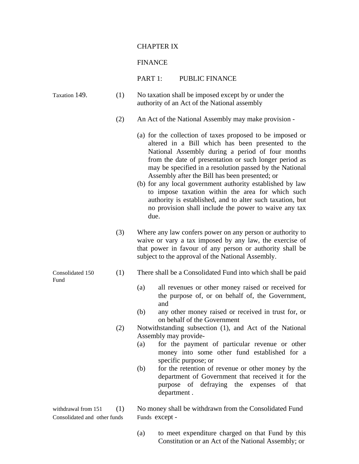## CHAPTER IX

# FINANCE

# PART 1: PUBLIC FINANCE

- Taxation 149. (1) No taxation shall be imposed except by or under the authority of an Act of the National assembly
	- (2) An Act of the National Assembly may make provision
		- (a) for the collection of taxes proposed to be imposed or altered in a Bill which has been presented to the National Assembly during a period of four months from the date of presentation or such longer period as may be specified in a resolution passed by the National Assembly after the Bill has been presented; or
		- (b) for any local government authority established by law to impose taxation within the area for which such authority is established, and to alter such taxation, but no provision shall include the power to waive any tax due.
	- (3) Where any law confers power on any person or authority to waive or vary a tax imposed by any law, the exercise of that power in favour of any person or authority shall be subject to the approval of the National Assembly.
- Consolidated 150 (1) There shall be a Consolidated Fund into which shall be paid
	- (a) all revenues or other money raised or received for the purpose of, or on behalf of, the Government, and
	- (b) any other money raised or received in trust for, or on behalf of the Government
	- (2) Notwithstanding subsection (1), and Act of the National Assembly may provide-
		- (a) for the payment of particular revenue or other money into some other fund established for a specific purpose; or
		- (b) for the retention of revenue or other money by the department of Government that received it for the purpose of defraying the expenses of that department .

withdrawal from 151 (1) No money shall be withdrawn from the Consolidated Fund Consolidated and other funds Funds except -

> (a) to meet expenditure charged on that Fund by this Constitution or an Act of the National Assembly; or

Fund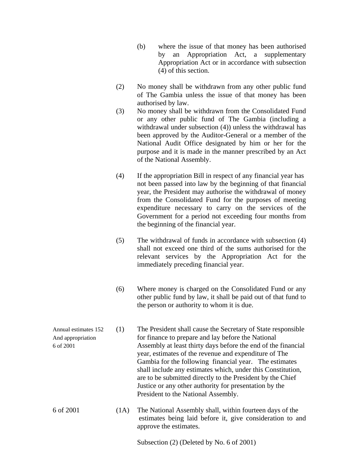- (b) where the issue of that money has been authorised by an Appropriation Act, a supplementary Appropriation Act or in accordance with subsection (4) of this section.
- (2) No money shall be withdrawn from any other public fund of The Gambia unless the issue of that money has been authorised by law.
- (3) No money shall be withdrawn from the Consolidated Fund or any other public fund of The Gambia (including a withdrawal under subsection (4)) unless the withdrawal has been approved by the Auditor-General or a member of the National Audit Office designated by him or her for the purpose and it is made in the manner prescribed by an Act of the National Assembly.
- (4) If the appropriation Bill in respect of any financial year has not been passed into law by the beginning of that financial year, the President may authorise the withdrawal of money from the Consolidated Fund for the purposes of meeting expenditure necessary to carry on the services of the Government for a period not exceeding four months from the beginning of the financial year.
- (5) The withdrawal of funds in accordance with subsection (4) shall not exceed one third of the sums authorised for the relevant services by the Appropriation Act for the immediately preceding financial year.
- (6) Where money is charged on the Consolidated Fund or any other public fund by law, it shall be paid out of that fund to the person or authority to whom it is due.
- Annual estimates 152 (1) The President shall cause the Secretary of State responsible And appropriation for finance to prepare and lay before the National 6 of 2001 Assembly at least thirty days before the end of the financial year, estimates of the revenue and expenditure of The Gambia for the following financial year. The estimates shall include any estimates which, under this Constitution, are to be submitted directly to the President by the Chief Justice or any other authority for presentation by the President to the National Assembly.
- 6 of 2001 (1A) The National Assembly shall, within fourteen days of the estimates being laid before it, give consideration to and approve the estimates.

Subsection (2) (Deleted by No. 6 of 2001)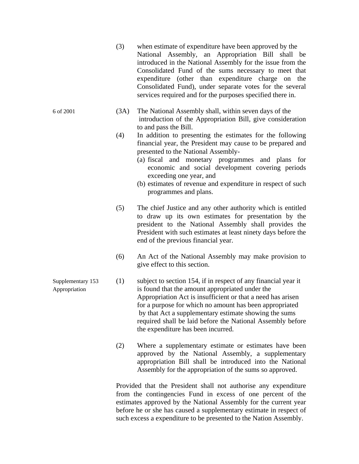- (3) when estimate of expenditure have been approved by the National Assembly, an Appropriation Bill shall be introduced in the National Assembly for the issue from the Consolidated Fund of the sums necessary to meet that expenditure (other than expenditure charge on the Consolidated Fund), under separate votes for the several services required and for the purposes specified there in.
- 6 of 2001 (3A) The National Assembly shall, within seven days of the introduction of the Appropriation Bill, give consideration to and pass the Bill.
	- (4) In addition to presenting the estimates for the following financial year, the President may cause to be prepared and presented to the National Assembly-
		- (a) fiscal and monetary programmes and plans for economic and social development covering periods exceeding one year, and
		- (b) estimates of revenue and expenditure in respect of such programmes and plans.
	- (5) The chief Justice and any other authority which is entitled to draw up its own estimates for presentation by the president to the National Assembly shall provides the President with such estimates at least ninety days before the end of the previous financial year.
	- (6) An Act of the National Assembly may make provision to give effect to this section.
- Supplementary 153 (1) subject to section 154, if in respect of any financial year it Appropriation is found that the amount appropriated under the Appropriation Act is insufficient or that a need has arisen for a purpose for which no amount has been appropriated by that Act a supplementary estimate showing the sums required shall be laid before the National Assembly before the expenditure has been incurred.
	- (2) Where a supplementary estimate or estimates have been approved by the National Assembly, a supplementary appropriation Bill shall be introduced into the National Assembly for the appropriation of the sums so approved.

Provided that the President shall not authorise any expenditure from the contingencies Fund in excess of one percent of the estimates approved by the National Assembly for the current year before he or she has caused a supplementary estimate in respect of such excess a expenditure to be presented to the Nation Assembly.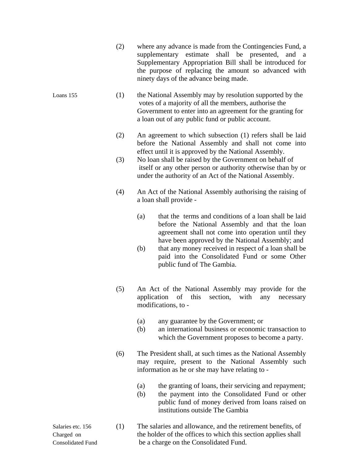|           | (2) |            | where any advance is made from the Contingencies Fund, a<br>supplementary estimate shall be presented, and a<br>Supplementary Appropriation Bill shall be introduced for<br>the purpose of replacing the amount so advanced with<br>ninety days of the advance being made.                                                                                |
|-----------|-----|------------|-----------------------------------------------------------------------------------------------------------------------------------------------------------------------------------------------------------------------------------------------------------------------------------------------------------------------------------------------------------|
| Loans 155 | (1) |            | the National Assembly may by resolution supported by the<br>votes of a majority of all the members, authorise the<br>Government to enter into an agreement for the granting for<br>a loan out of any public fund or public account.                                                                                                                       |
|           | (2) |            | An agreement to which subsection (1) refers shall be laid<br>before the National Assembly and shall not come into<br>effect until it is approved by the National Assembly.                                                                                                                                                                                |
|           | (3) |            | No loan shall be raised by the Government on behalf of<br>itself or any other person or authority otherwise than by or<br>under the authority of an Act of the National Assembly.                                                                                                                                                                         |
|           | (4) |            | An Act of the National Assembly authorising the raising of<br>a loan shall provide -                                                                                                                                                                                                                                                                      |
|           |     | (a)<br>(b) | that the terms and conditions of a loan shall be laid<br>before the National Assembly and that the loan<br>agreement shall not come into operation until they<br>have been approved by the National Assembly; and<br>that any money received in respect of a loan shall be<br>paid into the Consolidated Fund or some Other<br>public fund of The Gambia. |
|           | (5) |            | An Act of the National Assembly may provide for the<br>of this<br>application<br>section,<br>with<br>any<br>necessary<br>modifications, to -                                                                                                                                                                                                              |
|           |     | (a)<br>(b) | any guarantee by the Government; or<br>an international business or economic transaction to<br>which the Government proposes to become a party.                                                                                                                                                                                                           |
|           | (6) |            | The President shall, at such times as the National Assembly<br>may require, present to the National Assembly such<br>information as he or she may have relating to -                                                                                                                                                                                      |
|           |     | (a)<br>(b) | the granting of loans, their servicing and repayment;<br>the payment into the Consolidated Fund or other<br>public fund of money derived from loans raised on<br>institutions outside The Gambia                                                                                                                                                          |

Salaries etc. 156 (1) The salaries and allowance, and the retirement benefits, of Charged on the holder of the offices to which this section applies shall Consolidated Fund be a charge on the Consolidated Fund.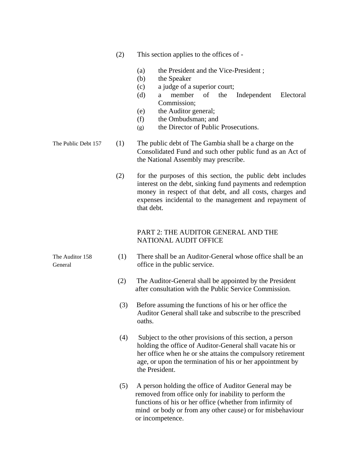- (2) This section applies to the offices of
	- (a) the President and the Vice-President ;
	- (b) the Speaker
	- (c) a judge of a superior court;
	- (d) a member of the Independent Electoral Commission;
	- (e) the Auditor general;
	- (f) the Ombudsman; and
	- (g) the Director of Public Prosecutions.
- The Public Debt 157 (1) The public debt of The Gambia shall be a charge on the Consolidated Fund and such other public fund as an Act of the National Assembly may prescribe.
	- (2) for the purposes of this section, the public debt includes interest on the debt, sinking fund payments and redemption money in respect of that debt, and all costs, charges and expenses incidental to the management and repayment of that debt.

# PART 2: THE AUDITOR GENERAL AND THE NATIONAL AUDIT OFFICE

- The Auditor 158 (1) There shall be an Auditor-General whose office shall be an General **General** office in the public service.
	- (2) The Auditor-General shall be appointed by the President after consultation with the Public Service Commission.
	- (3) Before assuming the functions of his or her office the Auditor General shall take and subscribe to the prescribed oaths.
	- (4) Subject to the other provisions of this section, a person holding the office of Auditor-General shall vacate his or her office when he or she attains the compulsory retirement age, or upon the termination of his or her appointment by the President.
	- (5) A person holding the office of Auditor General may be removed from office only for inability to perform the functions of his or her office (whether from infirmity of mind or body or from any other cause) or for misbehaviour or incompetence.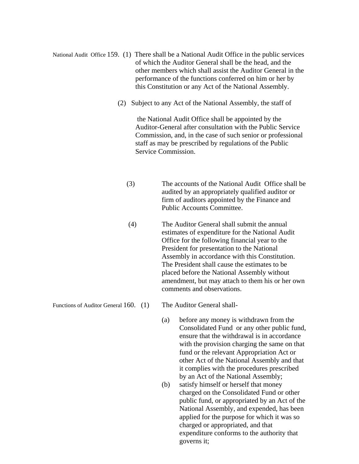- National Audit Office 159. (1) There shall be a National Audit Office in the public services of which the Auditor General shall be the head, and the other members which shall assist the Auditor General in the performance of the functions conferred on him or her by this Constitution or any Act of the National Assembly.
	- (2) Subject to any Act of the National Assembly, the staff of

the National Audit Office shall be appointed by the Auditor-General after consultation with the Public Service Commission, and, in the case of such senior or professional staff as may be prescribed by regulations of the Public Service Commission.

- (3) The accounts of the National Audit Office shall be audited by an appropriately qualified auditor or firm of auditors appointed by the Finance and Public Accounts Committee.
- (4) The Auditor General shall submit the annual estimates of expenditure for the National Audit Office for the following financial year to the President for presentation to the National Assembly in accordance with this Constitution. The President shall cause the estimates to be placed before the National Assembly without amendment, but may attach to them his or her own comments and observations.
- Functions of Auditor General 160. (1) The Auditor General shall-

- (a) before any money is withdrawn from the Consolidated Fund or any other public fund, ensure that the withdrawal is in accordance with the provision charging the same on that fund or the relevant Appropriation Act or other Act of the National Assembly and that it complies with the procedures prescribed by an Act of the National Assembly;
- (b) satisfy himself or herself that money charged on the Consolidated Fund or other public fund, or appropriated by an Act of the National Assembly, and expended, has been applied for the purpose for which it was so charged or appropriated, and that expenditure conforms to the authority that governs it;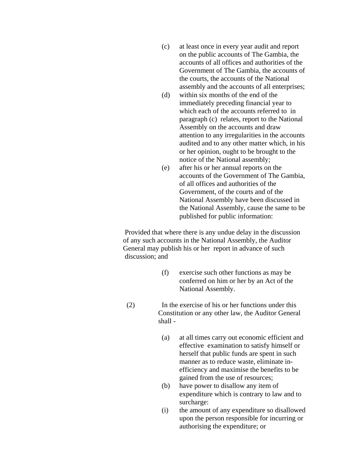- (c) at least once in every year audit and report on the public accounts of The Gambia, the accounts of all offices and authorities of the Government of The Gambia, the accounts of the courts, the accounts of the National assembly and the accounts of all enterprises;
- (d) within six months of the end of the immediately preceding financial year to which each of the accounts referred to in paragraph (c) relates, report to the National Assembly on the accounts and draw attention to any irregularities in the accounts audited and to any other matter which, in his or her opinion, ought to be brought to the notice of the National assembly;
- (e) after his or her annual reports on the accounts of the Government of The Gambia, of all offices and authorities of the Government, of the courts and of the National Assembly have been discussed in the National Assembly, cause the same to be published for public information:

 Provided that where there is any undue delay in the discussion of any such accounts in the National Assembly, the Auditor General may publish his or her report in advance of such discussion; and

- (f) exercise such other functions as may be conferred on him or her by an Act of the National Assembly.
- (2) In the exercise of his or her functions under this Constitution or any other law, the Auditor General shall -
	- (a) at all times carry out economic efficient and effective examination to satisfy himself or herself that public funds are spent in such manner as to reduce waste, eliminate inefficiency and maximise the benefits to be gained from the use of resources;
	- (b) have power to disallow any item of expenditure which is contrary to law and to surcharge:
	- (i) the amount of any expenditure so disallowed upon the person responsible for incurring or authorising the expenditure; or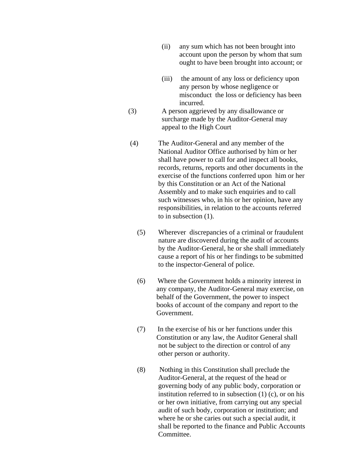- (ii) any sum which has not been brought into account upon the person by whom that sum ought to have been brought into account; or
- (iii) the amount of any loss or deficiency upon any person by whose negligence or misconduct the loss or deficiency has been incurred.
- (3) A person aggrieved by any disallowance or surcharge made by the Auditor-General may appeal to the High Court
- (4) The Auditor-General and any member of the National Auditor Office authorised by him or her shall have power to call for and inspect all books, records, returns, reports and other documents in the exercise of the functions conferred upon him or her by this Constitution or an Act of the National Assembly and to make such enquiries and to call such witnesses who, in his or her opinion, have any responsibilities, in relation to the accounts referred to in subsection (1).
	- (5) Wherever discrepancies of a criminal or fraudulent nature are discovered during the audit of accounts by the Auditor-General, he or she shall immediately cause a report of his or her findings to be submitted to the inspector-General of police.
	- (6) Where the Government holds a minority interest in any company, the Auditor-General may exercise, on behalf of the Government, the power to inspect books of account of the company and report to the Government.
	- (7) In the exercise of his or her functions under this Constitution or any law, the Auditor General shall not be subject to the direction or control of any other person or authority.
	- (8) Nothing in this Constitution shall preclude the Auditor-General, at the request of the head or governing body of any public body, corporation or institution referred to in subsection (1) (c), or on his or her own initiative, from carrying out any special audit of such body, corporation or institution; and where he or she caries out such a special audit, it shall be reported to the finance and Public Accounts Committee.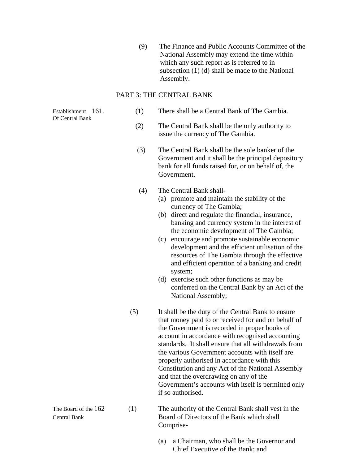(9) The Finance and Public Accounts Committee of the National Assembly may extend the time within which any such report as is referred to in subsection (1) (d) shall be made to the National Assembly.

# PART 3: THE CENTRAL BANK

Of Central Bank

- Establishment 161. (1) There shall be a Central Bank of The Gambia.
	- (2) The Central Bank shall be the only authority to issue the currency of The Gambia.
	- (3) The Central Bank shall be the sole banker of the Government and it shall be the principal depository bank for all funds raised for, or on behalf of, the Government.
	- (4) The Central Bank shall-
		- (a) promote and maintain the stability of the currency of The Gambia;
		- (b) direct and regulate the financial, insurance, banking and currency system in the interest of the economic development of The Gambia;
		- (c) encourage and promote sustainable economic development and the efficient utilisation of the resources of The Gambia through the effective and efficient operation of a banking and credit system;
		- (d) exercise such other functions as may be conferred on the Central Bank by an Act of the National Assembly;
	- (5) It shall be the duty of the Central Bank to ensure that money paid to or received for and on behalf of the Government is recorded in proper books of account in accordance with recognised accounting standards. It shall ensure that all withdrawals from the various Government accounts with itself are properly authorised in accordance with this Constitution and any Act of the National Assembly and that the overdrawing on any of the Government's accounts with itself is permitted only if so authorised.

- The Board of the 162 (1) The authority of the Central Bank shall vest in the Central Bank Board of Directors of the Bank which shall Comprise-
	- (a) a Chairman, who shall be the Governor and Chief Executive of the Bank; and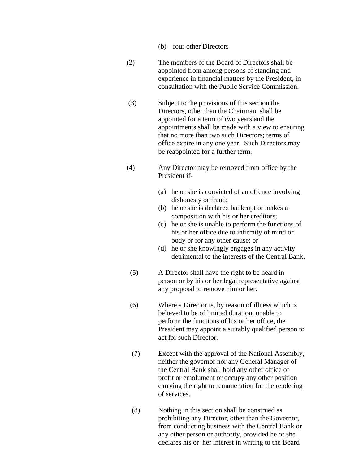- (b) four other Directors
- (2) The members of the Board of Directors shall be appointed from among persons of standing and experience in financial matters by the President, in consultation with the Public Service Commission.
- (3) Subject to the provisions of this section the Directors, other than the Chairman, shall be appointed for a term of two years and the appointments shall be made with a view to ensuring that no more than two such Directors; terms of office expire in any one year. Such Directors may be reappointed for a further term.
- (4) Any Director may be removed from office by the President if-
	- (a) he or she is convicted of an offence involving dishonesty or fraud;
	- (b) he or she is declared bankrupt or makes a composition with his or her creditors;
	- (c) he or she is unable to perform the functions of his or her office due to infirmity of mind or body or for any other cause; or
	- (d) he or she knowingly engages in any activity detrimental to the interests of the Central Bank.
- (5) A Director shall have the right to be heard in person or by his or her legal representative against any proposal to remove him or her.
- (6) Where a Director is, by reason of illness which is believed to be of limited duration, unable to perform the functions of his or her office, the President may appoint a suitably qualified person to act for such Director.
- (7) Except with the approval of the National Assembly, neither the governor nor any General Manager of the Central Bank shall hold any other office of profit or emolument or occupy any other position carrying the right to remuneration for the rendering of services.
- (8) Nothing in this section shall be construed as prohibiting any Director, other than the Governor, from conducting business with the Central Bank or any other person or authority, provided he or she declares his or her interest in writing to the Board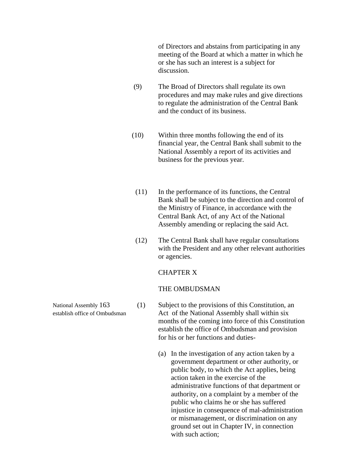of Directors and abstains from participating in any meeting of the Board at which a matter in which he or she has such an interest is a subject for discussion.

- (9) The Broad of Directors shall regulate its own procedures and may make rules and give directions to regulate the administration of the Central Bank and the conduct of its business.
- (10) Within three months following the end of its financial year, the Central Bank shall submit to the National Assembly a report of its activities and business for the previous year.
- (11) In the performance of its functions, the Central Bank shall be subject to the direction and control of the Ministry of Finance, in accordance with the Central Bank Act, of any Act of the National Assembly amending or replacing the said Act.
- (12) The Central Bank shall have regular consultations with the President and any other relevant authorities or agencies.

#### CHAPTER X

#### THE OMBUDSMAN

- 
- National Assembly 163 (1) Subject to the provisions of this Constitution, an establish office of Ombudsman Act of the National Assembly shall within six months of the coming into force of this Constitution establish the office of Ombudsman and provision for his or her functions and duties-
	- (a) In the investigation of any action taken by a government department or other authority, or public body, to which the Act applies, being action taken in the exercise of the administrative functions of that department or authority, on a complaint by a member of the public who claims he or she has suffered injustice in consequence of mal-administration or mismanagement, or discrimination on any ground set out in Chapter IV, in connection with such action: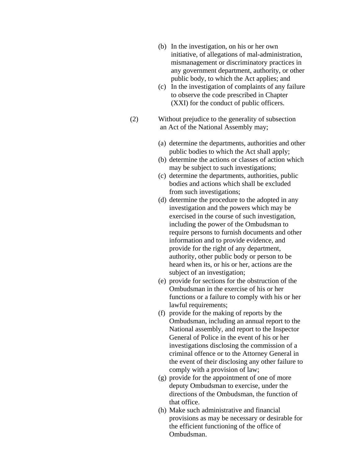- (b) In the investigation, on his or her own initiative, of allegations of mal-administration, mismanagement or discriminatory practices in any government department, authority, or other public body, to which the Act applies; and
- (c) In the investigation of complaints of any failure to observe the code prescribed in Chapter (XXI) for the conduct of public officers.
- (2) Without prejudice to the generality of subsection an Act of the National Assembly may;
	- (a) determine the departments, authorities and other public bodies to which the Act shall apply;
	- (b) determine the actions or classes of action which may be subject to such investigations;
	- (c) determine the departments, authorities, public bodies and actions which shall be excluded from such investigations;
	- (d) determine the procedure to the adopted in any investigation and the powers which may be exercised in the course of such investigation, including the power of the Ombudsman to require persons to furnish documents and other information and to provide evidence, and provide for the right of any department, authority, other public body or person to be heard when its, or his or her, actions are the subject of an investigation;
	- (e) provide for sections for the obstruction of the Ombudsman in the exercise of his or her functions or a failure to comply with his or her lawful requirements;
	- (f) provide for the making of reports by the Ombudsman, including an annual report to the National assembly, and report to the Inspector General of Police in the event of his or her investigations disclosing the commission of a criminal offence or to the Attorney General in the event of their disclosing any other failure to comply with a provision of law;
	- (g) provide for the appointment of one of more deputy Ombudsman to exercise, under the directions of the Ombudsman, the function of that office.
	- (h) Make such administrative and financial provisions as may be necessary or desirable for the efficient functioning of the office of Ombudsman.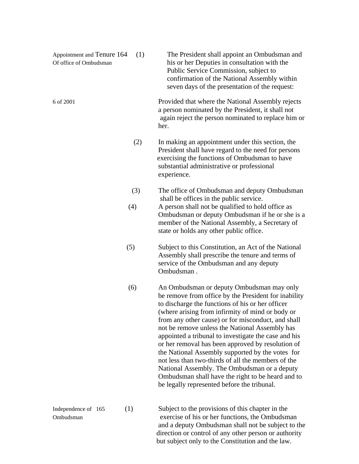| Appointment and Tenure 164<br>Of office of Ombudsman | (1)        | The President shall appoint an Ombudsman and<br>his or her Deputies in consultation with the<br>Public Service Commission, subject to<br>confirmation of the National Assembly within<br>seven days of the presentation of the request:                                                                                                                                                                                                                                                                                                                                                                                                                                                      |
|------------------------------------------------------|------------|----------------------------------------------------------------------------------------------------------------------------------------------------------------------------------------------------------------------------------------------------------------------------------------------------------------------------------------------------------------------------------------------------------------------------------------------------------------------------------------------------------------------------------------------------------------------------------------------------------------------------------------------------------------------------------------------|
| 6 of 2001                                            |            | Provided that where the National Assembly rejects<br>a person nominated by the President, it shall not<br>again reject the person nominated to replace him or<br>her.                                                                                                                                                                                                                                                                                                                                                                                                                                                                                                                        |
|                                                      | (2)        | In making an appointment under this section, the<br>President shall have regard to the need for persons<br>exercising the functions of Ombudsman to have<br>substantial administrative or professional<br>experience.                                                                                                                                                                                                                                                                                                                                                                                                                                                                        |
|                                                      | (3)<br>(4) | The office of Ombudsman and deputy Ombudsman<br>shall be offices in the public service.<br>A person shall not be qualified to hold office as<br>Ombudsman or deputy Ombudsman if he or she is a<br>member of the National Assembly, a Secretary of<br>state or holds any other public office.                                                                                                                                                                                                                                                                                                                                                                                                |
|                                                      | (5)        | Subject to this Constitution, an Act of the National<br>Assembly shall prescribe the tenure and terms of<br>service of the Ombudsman and any deputy<br>Ombudsman.                                                                                                                                                                                                                                                                                                                                                                                                                                                                                                                            |
|                                                      | (6)        | An Ombudsman or deputy Ombudsman may only<br>be remove from office by the President for inability<br>to discharge the functions of his or her officer<br>(where arising from infirmity of mind or body or<br>from any other cause) or for misconduct, and shall<br>not be remove unless the National Assembly has<br>appointed a tribunal to investigate the case and his<br>or her removal has been approved by resolution of<br>the National Assembly supported by the votes for<br>not less than two-thirds of all the members of the<br>National Assembly. The Ombudsman or a deputy<br>Ombudsman shall have the right to be heard and to<br>be legally represented before the tribunal. |
| Independence of 165<br>Ombudsman                     | (1)        | Subject to the provisions of this chapter in the<br>exercise of his or her functions, the Ombudsman<br>and a deputy Ombudsman shall not be subject to the<br>direction or control of any other person or authority                                                                                                                                                                                                                                                                                                                                                                                                                                                                           |

but subject only to the Constitution and the law.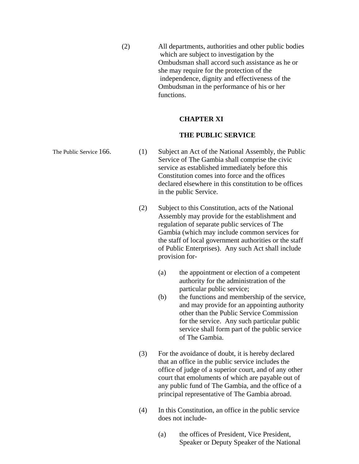(2) All departments, authorities and other public bodies which are subject to investigation by the Ombudsman shall accord such assistance as he or she may require for the protection of the independence, dignity and effectiveness of the Ombudsman in the performance of his or her functions.

# **CHAPTER XI**

#### **THE PUBLIC SERVICE**

- The Public Service 166. (1) Subject an Act of the National Assembly, the Public Service of The Gambia shall comprise the civic service as established immediately before this Constitution comes into force and the offices declared elsewhere in this constitution to be offices in the public Service.
	- (2) Subject to this Constitution, acts of the National Assembly may provide for the establishment and regulation of separate public services of The Gambia (which may include common services for the staff of local government authorities or the staff of Public Enterprises). Any such Act shall include provision for-
		- (a) the appointment or election of a competent authority for the administration of the particular public service;
		- (b) the functions and membership of the service, and may provide for an appointing authority other than the Public Service Commission for the service. Any such particular public service shall form part of the public service of The Gambia.
	- (3) For the avoidance of doubt, it is hereby declared that an office in the public service includes the office of judge of a superior court, and of any other court that emoluments of which are payable out of any public fund of The Gambia, and the office of a principal representative of The Gambia abroad.
	- (4) In this Constitution, an office in the public service does not include-
		- (a) the offices of President, Vice President, Speaker or Deputy Speaker of the National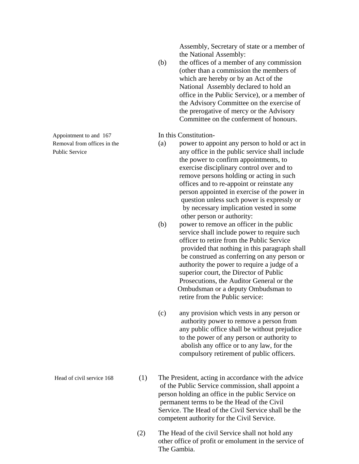Assembly, Secretary of state or a member of the National Assembly:

(b) the offices of a member of any commission (other than a commission the members of which are hereby or by an Act of the National Assembly declared to hold an office in the Public Service), or a member of the Advisory Committee on the exercise of the prerogative of mercy or the Advisory Committee on the conferment of honours.

- Removal from offices in the (a) power to appoint any person to hold or act in Public Service any office in the public service shall include the power to confirm appointments, to exercise disciplinary control over and to remove persons holding or acting in such offices and to re-appoint or reinstate any person appointed in exercise of the power in question unless such power is expressly or by necessary implication vested in some other person or authority:
	- (b) power to remove an officer in the public service shall include power to require such officer to retire from the Public Service provided that nothing in this paragraph shall be construed as conferring on any person or authority the power to require a judge of a superior court, the Director of Public Prosecutions, the Auditor General or the Ombudsman or a deputy Ombudsman to retire from the Public service:
	- (c) any provision which vests in any person or authority power to remove a person from any public office shall be without prejudice to the power of any person or authority to abolish any office or to any law, for the compulsory retirement of public officers.
- Head of civil service 168 (1) The President, acting in accordance with the advice of the Public Service commission, shall appoint a person holding an office in the public Service on permanent terms to be the Head of the Civil Service. The Head of the Civil Service shall be the competent authority for the Civil Service.
	- (2) The Head of the civil Service shall not hold any other office of profit or emolument in the service of The Gambia.

Appointment to and 167 In this Constitution-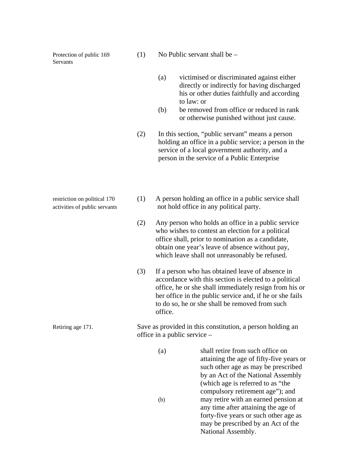Servants

- Protection of public 169  $(1)$  No Public servant shall be
	- (a) victimised or discriminated against either directly or indirectly for having discharged his or other duties faithfully and according to law: or
	- (b) be removed from office or reduced in rank or otherwise punished without just cause.
	- (2) In this section, "public servant" means a person holding an office in a public service; a person in the service of a local government authority, and a person in the service of a Public Enterprise
- 
- restriction on political 170 (1) A person holding an office in a public service shall activities of public servants not hold office in any political party.
	- (2) Any person who holds an office in a public service who wishes to contest an election for a political office shall, prior to nomination as a candidate, obtain one year's leave of absence without pay, which leave shall not unreasonably be refused.
	- (3) If a person who has obtained leave of absence in accordance with this section is elected to a political office, he or she shall immediately resign from his or her office in the public service and, if he or she fails to do so, he or she shall be removed from such office.
- Retiring age 171. Save as provided in this constitution, a person holding an office in a public service –
	- (a) shall retire from such office on attaining the age of fifty-five years or such other age as may be prescribed by an Act of the National Assembly (which age is referred to as "the compulsory retirement age"); and (b) may retire with an earned pension at any time after attaining the age of forty-five years or such other age as may be prescribed by an Act of the National Assembly.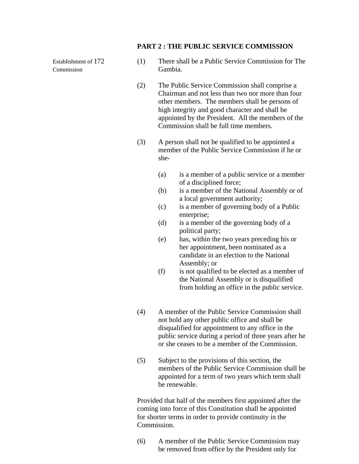#### **PART 2 : THE PUBLIC SERVICE COMMISSION**

Commission Gambia.

- Establishment of 172 (1) There shall be a Public Service Commission for The
	- (2) The Public Service Commission shall comprise a Chairman and not less than two nor more than four other members. The members shall be persons of high integrity and good character and shall be appointed by the President. All the members of the Commission shall be full time members.
	- (3) A person shall not be qualified to be appointed a member of the Public Service Commission if he or she-
		- (a) is a member of a public service or a member of a disciplined force;
		- (b) is a member of the National Assembly or of a local government authority;
		- (c) is a member of governing body of a Public enterprise;
		- (d) is a member of the governing body of a political party;
		- (e) has, within the two years preceding his or her appointment, been nominated as a candidate in an election to the National Assembly; or
		- (f) is not qualified to be elected as a member of the National Assembly or is disqualified from holding an office in the public service.
	- (4) A member of the Public Service Commission shall not hold any other public office and shall be disqualified for appointment to any office in the public service during a period of three years after he or she ceases to be a member of the Commission.
	- (5) Subject to the provisions of this section, the members of the Public Service Commission shall be appointed for a term of two years which term shall be renewable.

 Provided that half of the members first appointed after the coming into force of this Constitution shall be appointed for shorter terms in order to provide continuity in the Commission.

 (6) A member of the Public Service Commission may be removed from office by the President only for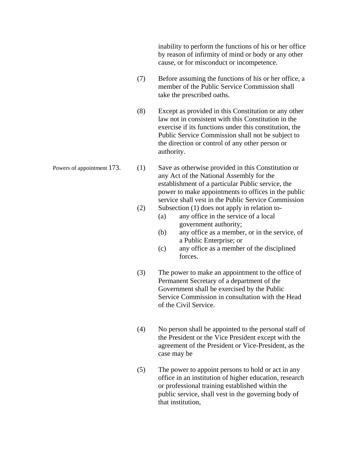inability to perform the functions of his or her office by reason of infirmity of mind or body or any other cause, or for misconduct or incompetence.

- (7) Before assuming the functions of his or her office, a member of the Public Service Commission shall take the prescribed oaths.
- (8) Except as provided in this Constitution or any other law not in consistent with this Constitution in the exercise if its functions under this constitution, the Public Service Commission shall not be subject to the direction or control of any other person or authority.
- 
- Powers of appointment 173. (1) Save as otherwise provided in this Constitution or any Act of the National Assembly for the establishment of a particular Public service, the power to make appointments to offices in the public service shall vest in the Public Service Commission
	- (2) Subsection (1) does not apply in relation to-
		- (a) any office in the service of a local government authority;
		- (b) any office as a member, or in the service, of a Public Enterprise; or
		- (c) any office as a member of the disciplined forces.
	- (3) The power to make an appointment to the office of Permanent Secretary of a department of the Government shall be exercised by the Public Service Commission in consultation with the Head of the Civil Service.
	- (4) No person shall be appointed to the personal staff of the President or the Vice President except with the agreement of the President or Vice-President, as the case may be
	- (5) The power to appoint persons to hold or act in any office in an institution of higher education, research or professional training established within the public service, shall vest in the governing body of that institution,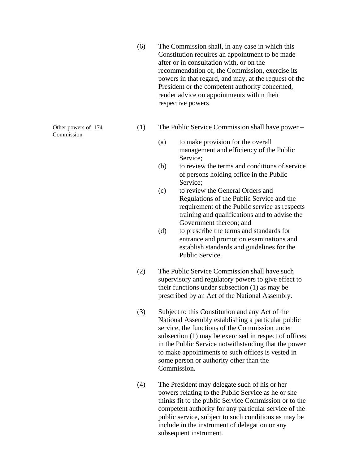(6) The Commission shall, in any case in which this Constitution requires an appointment to be made after or in consultation with, or on the recommendation of, the Commission, exercise its powers in that regard, and may, at the request of the President or the competent authority concerned, render advice on appointments within their respective powers

Commission

- Other powers of 174 (1) The Public Service Commission shall have power
	- (a) to make provision for the overall management and efficiency of the Public Service;
	- (b) to review the terms and conditions of service of persons holding office in the Public Service;
	- (c) to review the General Orders and Regulations of the Public Service and the requirement of the Public service as respects training and qualifications and to advise the Government thereon; and
	- (d) to prescribe the terms and standards for entrance and promotion examinations and establish standards and guidelines for the Public Service.
	- (2) The Public Service Commission shall have such supervisory and regulatory powers to give effect to their functions under subsection (1) as may be prescribed by an Act of the National Assembly.
	- (3) Subject to this Constitution and any Act of the National Assembly establishing a particular public service, the functions of the Commission under subsection (1) may be exercised in respect of offices in the Public Service notwithstanding that the power to make appointments to such offices is vested in some person or authority other than the Commission.
	- (4) The President may delegate such of his or her powers relating to the Public Service as he or she thinks fit to the public Service Commission or to the competent authority for any particular service of the public service, subject to such conditions as may be include in the instrument of delegation or any subsequent instrument.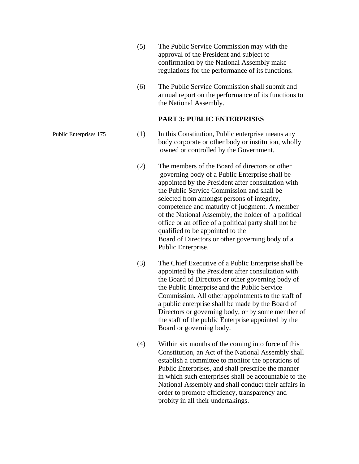- (5) The Public Service Commission may with the approval of the President and subject to confirmation by the National Assembly make regulations for the performance of its functions.
- (6) The Public Service Commission shall submit and annual report on the performance of its functions to the National Assembly.

# **PART 3: PUBLIC ENTERPRISES**

- Public Enterprises 175 (1) In this Constitution, Public enterprise means any body corporate or other body or institution, wholly owned or controlled by the Government.
	- (2) The members of the Board of directors or other governing body of a Public Enterprise shall be appointed by the President after consultation with the Public Service Commission and shall be selected from amongst persons of integrity, competence and maturity of judgment. A member of the National Assembly, the holder of a political office or an office of a political party shall not be qualified to be appointed to the Board of Directors or other governing body of a Public Enterprise.
	- (3) The Chief Executive of a Public Enterprise shall be appointed by the President after consultation with the Board of Directors or other governing body of the Public Enterprise and the Public Service Commission. All other appointments to the staff of a public enterprise shall be made by the Board of Directors or governing body, or by some member of the staff of the public Enterprise appointed by the Board or governing body.
	- (4) Within six months of the coming into force of this Constitution, an Act of the National Assembly shall establish a committee to monitor the operations of Public Enterprises, and shall prescribe the manner in which such enterprises shall be accountable to the National Assembly and shall conduct their affairs in order to promote efficiency, transparency and probity in all their undertakings.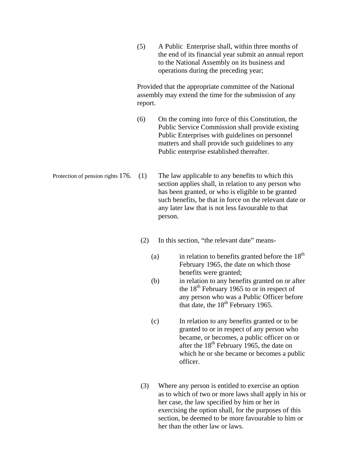|                                   | (5)                                                                                                                          | A Public Enterprise shall, within three months of<br>the end of its financial year submit an annual report<br>to the National Assembly on its business and<br>operations during the preceding year;                                                                                       |  |
|-----------------------------------|------------------------------------------------------------------------------------------------------------------------------|-------------------------------------------------------------------------------------------------------------------------------------------------------------------------------------------------------------------------------------------------------------------------------------------|--|
|                                   | Provided that the appropriate committee of the National<br>assembly may extend the time for the submission of any<br>report. |                                                                                                                                                                                                                                                                                           |  |
|                                   | (6)                                                                                                                          | On the coming into force of this Constitution, the<br>Public Service Commission shall provide existing<br>Public Enterprises with guidelines on personnel<br>matters and shall provide such guidelines to any<br>Public enterprise established thereafter.                                |  |
| Protection of pension rights 176. | (1)                                                                                                                          | The law applicable to any benefits to which this<br>section applies shall, in relation to any person who<br>has been granted, or who is eligible to be granted<br>such benefits, be that in force on the relevant date or<br>any later law that is not less favourable to that<br>person. |  |
|                                   | (2)                                                                                                                          | In this section, "the relevant date" means-                                                                                                                                                                                                                                               |  |
|                                   |                                                                                                                              | in relation to benefits granted before the 18 <sup>th</sup><br>(a)<br>February 1965, the date on which those<br>benefits were granted;                                                                                                                                                    |  |
|                                   |                                                                                                                              | in relation to any benefits granted on or after<br>(b)<br>the 18 <sup>th</sup> February 1965 to or in respect of<br>any person who was a Public Officer before<br>that date, the 18 <sup>th</sup> February 1965.                                                                          |  |
|                                   |                                                                                                                              | (c)<br>In relation to any benefits granted or to be<br>granted to or in respect of any person who<br>became, or becomes, a public officer on or                                                                                                                                           |  |

 (3) Where any person is entitled to exercise an option as to which of two or more laws shall apply in his or her case, the law specified by him or her in exercising the option shall, for the purposes of this section, be deemed to be more favourable to him or her than the other law or laws.

officer.

after the  $18<sup>th</sup>$  February 1965, the date on which he or she became or becomes a public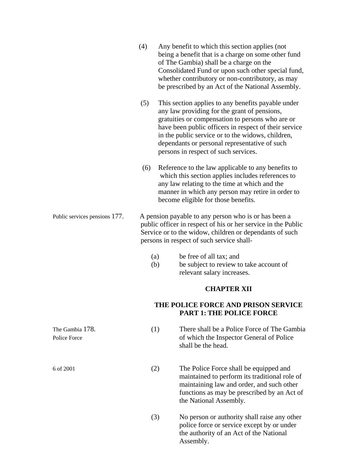- (4) Any benefit to which this section applies (not being a benefit that is a charge on some other fund of The Gambia) shall be a charge on the Consolidated Fund or upon such other special fund, whether contributory or non-contributory, as may be prescribed by an Act of the National Assembly.
- (5) This section applies to any benefits payable under any law providing for the grant of pensions, gratuities or compensation to persons who are or have been public officers in respect of their service in the public service or to the widows, children, dependants or personal representative of such persons in respect of such services.
- (6) Reference to the law applicable to any benefits to which this section applies includes references to any law relating to the time at which and the manner in which any person may retire in order to become eligible for those benefits.
- Public services pensions 177. A pension payable to any person who is or has been a public officer in respect of his or her service in the Public Service or to the widow, children or dependants of such persons in respect of such service shall-
	- (a) be free of all tax; and
	- (b) be subject to review to take account of relevant salary increases.

#### **CHAPTER XII**

# **THE POLICE FORCE AND PRISON SERVICE PART 1: THE POLICE FORCE**

| The Gambia 178. | There shall be a Police Force of The Gambia |
|-----------------|---------------------------------------------|
| Police Force    | of which the Inspector General of Police    |
|                 | shall be the head.                          |
|                 |                                             |

- 6 of 2001 (2) The Police Force shall be equipped and maintained to perform its traditional role of maintaining law and order, and such other functions as may be prescribed by an Act of the National Assembly.
	- (3) No person or authority shall raise any other police force or service except by or under the authority of an Act of the National Assembly.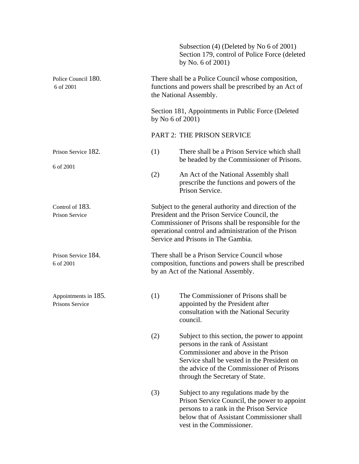|                                         |                  | Subsection (4) (Deleted by No 6 of 2001)<br>Section 179, control of Police Force (deleted<br>by No. 6 of 2001)                                                                                                                                               |
|-----------------------------------------|------------------|--------------------------------------------------------------------------------------------------------------------------------------------------------------------------------------------------------------------------------------------------------------|
| Police Council 180.<br>6 of 2001        |                  | There shall be a Police Council whose composition,<br>functions and powers shall be prescribed by an Act of<br>the National Assembly.                                                                                                                        |
|                                         | by No 6 of 2001) | Section 181, Appointments in Public Force (Deleted                                                                                                                                                                                                           |
|                                         |                  | PART 2: THE PRISON SERVICE                                                                                                                                                                                                                                   |
| Prison Service 182.<br>6 of 2001        | (1)              | There shall be a Prison Service which shall<br>be headed by the Commissioner of Prisons.                                                                                                                                                                     |
|                                         | (2)              | An Act of the National Assembly shall<br>prescribe the functions and powers of the<br>Prison Service.                                                                                                                                                        |
| Control of 183.<br>Prison Service       |                  | Subject to the general authority and direction of the<br>President and the Prison Service Council, the<br>Commissioner of Prisons shall be responsible for the<br>operational control and administration of the Prison<br>Service and Prisons in The Gambia. |
| Prison Service 184.<br>6 of 2001        |                  | There shall be a Prison Service Council whose<br>composition, functions and powers shall be prescribed<br>by an Act of the National Assembly.                                                                                                                |
| Appointments in 185.<br>Prisons Service | (1)              | The Commissioner of Prisons shall be<br>appointed by the President after<br>consultation with the National Security<br>council.                                                                                                                              |
|                                         | (2)              | Subject to this section, the power to appoint<br>persons in the rank of Assistant<br>Commissioner and above in the Prison<br>Service shall be vested in the President on<br>the advice of the Commissioner of Prisons<br>through the Secretary of State.     |
|                                         | (3)              | Subject to any regulations made by the<br>Prison Service Council, the power to appoint<br>persons to a rank in the Prison Service<br>below that of Assistant Commissioner shall<br>vest in the Commissioner.                                                 |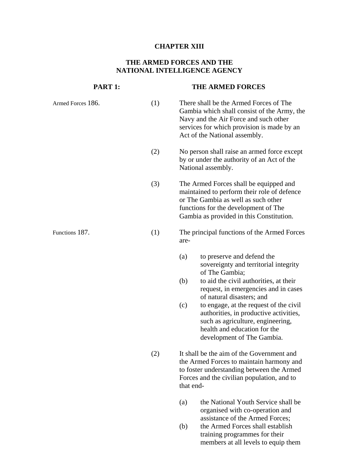#### **CHAPTER XIII**

# **THE ARMED FORCES AND THE NATIONAL INTELLIGENCE AGENCY**

# **PART 1: THE ARMED FORCES**

Armed Forces 186. (1) There shall be the Armed Forces of The Gambia which shall consist of the Army, the Navy and the Air Force and such other services for which provision is made by an Act of the National assembly.

> (2) No person shall raise an armed force except by or under the authority of an Act of the National assembly.

(3) The Armed Forces shall be equipped and maintained to perform their role of defence or The Gambia as well as such other functions for the development of The Gambia as provided in this Constitution.

Functions 187. (1) The principal functions of the Armed Forces are-

> (a) to preserve and defend the sovereignty and territorial integrity of The Gambia;

(b) to aid the civil authorities, at their request, in emergencies and in cases of natural disasters; and

(c) to engage, at the request of the civil authorities, in productive activities, such as agriculture, engineering, health and education for the development of The Gambia.

(2) It shall be the aim of the Government and the Armed Forces to maintain harmony and to foster understanding between the Armed Forces and the civilian population, and to that end-

> (a) the National Youth Service shall be organised with co-operation and assistance of the Armed Forces;

> (b) the Armed Forces shall establish training programmes for their members at all levels to equip them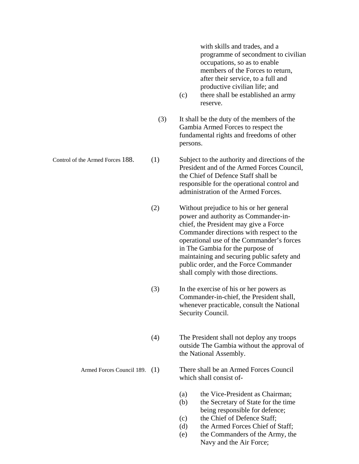with skills and trades, and a programme of secondment to civilian occupations, so as to enable members of the Forces to return, after their service, to a full and productive civilian life; and

- (c) there shall be established an army reserve.
- (3) It shall be the duty of the members of the Gambia Armed Forces to respect the fundamental rights and freedoms of other persons.

Control of the Armed Forces 188. (1) Subject to the authority and directions of the President and of the Armed Forces Council, the Chief of Defence Staff shall be responsible for the operational control and administration of the Armed Forces.

- (2) Without prejudice to his or her general power and authority as Commander-in chief, the President may give a Force Commander directions with respect to the operational use of the Commander's forces in The Gambia for the purpose of maintaining and securing public safety and public order, and the Force Commander shall comply with those directions.
- (3) In the exercise of his or her powers as Commander-in-chief, the President shall, whenever practicable, consult the National Security Council.
- (4) The President shall not deploy any troops outside The Gambia without the approval of the National Assembly.

Armed Forces Council 189. (1) There shall be an Armed Forces Council which shall consist of-

- (a) the Vice-President as Chairman;
- (b) the Secretary of State for the time being responsible for defence;
- (c) the Chief of Defence Staff;
- (d) the Armed Forces Chief of Staff;
- (e) the Commanders of the Army, the Navy and the Air Force;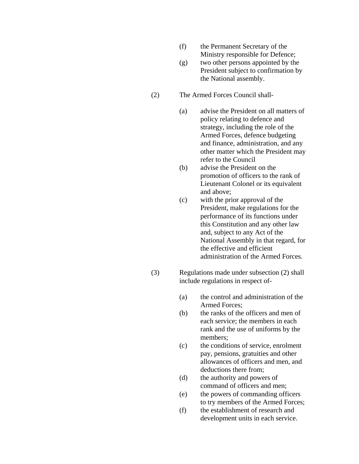- (f) the Permanent Secretary of the Ministry responsible for Defence;
- (g) two other persons appointed by the President subject to confirmation by the National assembly.
- (2) The Armed Forces Council shall-
	- (a) advise the President on all matters of policy relating to defence and strategy, including the role of the Armed Forces, defence budgeting and finance, administration, and any other matter which the President may refer to the Council
	- (b) advise the President on the promotion of officers to the rank of Lieutenant Colonel or its equivalent and above;
	- (c) with the prior approval of the President, make regulations for the performance of its functions under this Constitution and any other law and, subject to any Act of the National Assembly in that regard, for the effective and efficient administration of the Armed Forces.
- (3) Regulations made under subsection (2) shall include regulations in respect of-
	- (a) the control and administration of the Armed Forces;
	- (b) the ranks of the officers and men of each service; the members in each rank and the use of uniforms by the members;
	- (c) the conditions of service, enrolment pay, pensions, gratuities and other allowances of officers and men, and deductions there from;
	- (d) the authority and powers of command of officers and men;
	- (e) the powers of commanding officers to try members of the Armed Forces;
	- (f) the establishment of research and development units in each service.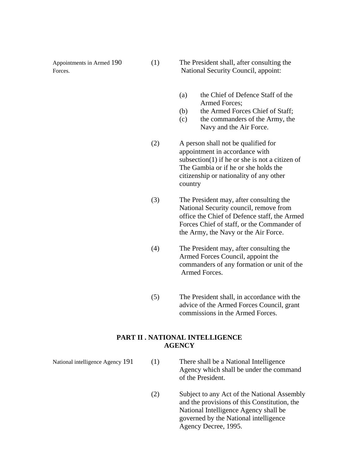Appointments in Armed 190 (1) The President shall, after consulting the Forces. National Security Council, appoint:

- (a) the Chief of Defence Staff of the Armed Forces;
- (b) the Armed Forces Chief of Staff;
- (c) the commanders of the Army, the Navy and the Air Force.
- (2) A person shall not be qualified for appointment in accordance with subsection(1) if he or she is not a citizen of The Gambia or if he or she holds the citizenship or nationality of any other country
- (3) The President may, after consulting the National Security council, remove from office the Chief of Defence staff, the Armed Forces Chief of staff, or the Commander of the Army, the Navy or the Air Force.
- (4) The President may, after consulting the Armed Forces Council, appoint the commanders of any formation or unit of the Armed Forces.
- (5) The President shall, in accordance with the advice of the Armed Forces Council, grant commissions in the Armed Forces.

### **PART II . NATIONAL INTELLIGENCE AGENCY**

- National intelligence Agency 191 (1) There shall be a National Intelligence Agency which shall be under the command of the President.
	- (2) Subject to any Act of the National Assembly and the provisions of this Constitution, the National Intelligence Agency shall be governed by the National intelligence Agency Decree, 1995.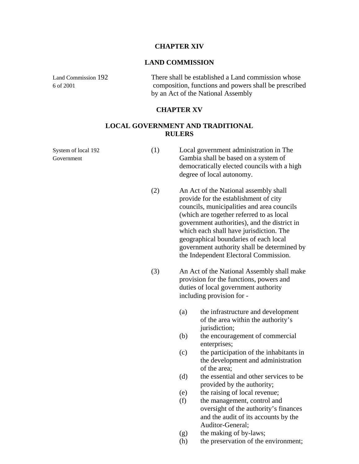#### **CHAPTER XIV**

#### **LAND COMMISSION**

Land Commission 192 There shall be established a Land commission whose 6 of 2001 composition, functions and powers shall be prescribed by an Act of the National Assembly

#### **CHAPTER XV**

### **LOCAL GOVERNMENT AND TRADITIONAL RULERS**

System of local 192 (1) Local government administration in The Government Gambia shall be based on a system of democratically elected councils with a high degree of local autonomy. (2) An Act of the National assembly shall provide for the establishment of city councils, municipalities and area councils (which are together referred to as local government authorities), and the district in which each shall have jurisdiction. The geographical boundaries of each local government authority shall be determined by the Independent Electoral Commission. (3) An Act of the National Assembly shall make provision for the functions, powers and duties of local government authority including provision for - (a) the infrastructure and development of the area within the authority's jurisdiction;

- (b) the encouragement of commercial enterprises;
- (c) the participation of the inhabitants in the development and administration of the area;
- (d) the essential and other services to be provided by the authority;
- (e) the raising of local revenue;
- (f) the management, control and oversight of the authority's finances and the audit of its accounts by the Auditor-General;
- (g) the making of by-laws;
- (h) the preservation of the environment;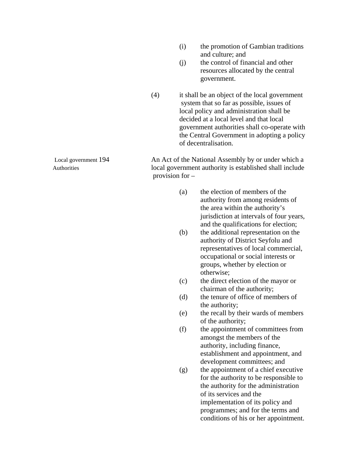- (i) the promotion of Gambian traditions and culture; and
- (j) the control of financial and other resources allocated by the central government.
- (4) it shall be an object of the local government system that so far as possible, issues of local policy and administration shall be decided at a local level and that local government authorities shall co-operate with the Central Government in adopting a policy of decentralisation.

Local government 194 An Act of the National Assembly by or under which a Authorities local government authority is established shall include provision for –

- (a) the election of members of the authority from among residents of the area within the authority's jurisdiction at intervals of four years, and the qualifications for election;
- (b) the additional representation on the authority of District Seyfolu and representatives of local commercial, occupational or social interests or groups, whether by election or otherwise;
- (c) the direct election of the mayor or chairman of the authority;
- (d) the tenure of office of members of the authority;
- (e) the recall by their wards of members of the authority;
- (f) the appointment of committees from amongst the members of the authority, including finance, establishment and appointment, and development committees; and
- (g) the appointment of a chief executive for the authority to be responsible to the authority for the administration of its services and the implementation of its policy and programmes; and for the terms and conditions of his or her appointment.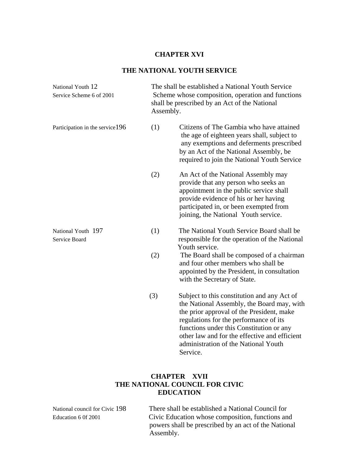#### **CHAPTER XVI**

### **THE NATIONAL YOUTH SERVICE**

| National Youth 12<br>Service Scheme 6 of 2001 | Assembly. | The shall be established a National Youth Service<br>Scheme whose composition, operation and functions<br>shall be prescribed by an Act of the National                                                                                                                                                                           |
|-----------------------------------------------|-----------|-----------------------------------------------------------------------------------------------------------------------------------------------------------------------------------------------------------------------------------------------------------------------------------------------------------------------------------|
| Participation in the service 196              | (1)       | Citizens of The Gambia who have attained<br>the age of eighteen years shall, subject to<br>any exemptions and deferments prescribed<br>by an Act of the National Assembly, be<br>required to join the National Youth Service                                                                                                      |
|                                               | (2)       | An Act of the National Assembly may<br>provide that any person who seeks an<br>appointment in the public service shall<br>provide evidence of his or her having<br>participated in, or been exempted from<br>joining, the National Youth service.                                                                                 |
| National Youth 197<br>Service Board           | (1)       | The National Youth Service Board shall be<br>responsible for the operation of the National<br>Youth service.                                                                                                                                                                                                                      |
|                                               | (2)       | The Board shall be composed of a chairman<br>and four other members who shall be<br>appointed by the President, in consultation<br>with the Secretary of State.                                                                                                                                                                   |
|                                               | (3)       | Subject to this constitution and any Act of<br>the National Assembly, the Board may, with<br>the prior approval of the President, make<br>regulations for the performance of its<br>functions under this Constitution or any<br>other law and for the effective and efficient<br>administration of the National Youth<br>Service. |

## **CHAPTER XVII THE NATIONAL COUNCIL FOR CIVIC EDUCATION**

National council for Civic 198 There shall be established a National Council for Education 6 0f 2001 Civic Education whose composition, functions and powers shall be prescribed by an act of the National Assembly.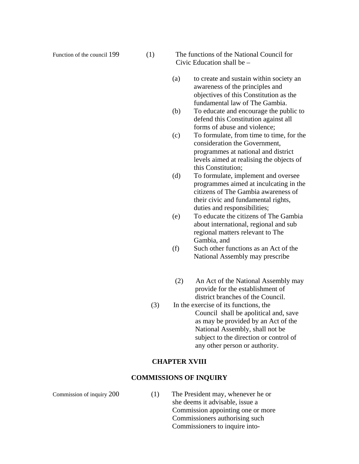- (a) to create and sustain within society an awareness of the principles and objectives of this Constitution as the fundamental law of The Gambia.
- (b) To educate and encourage the public to defend this Constitution against all forms of abuse and violence;
- (c) To formulate, from time to time, for the consideration the Government, programmes at national and district levels aimed at realising the objects of this Constitution;
- (d) To formulate, implement and oversee programmes aimed at inculcating in the citizens of The Gambia awareness of their civic and fundamental rights, duties and responsibilities;
- (e) To educate the citizens of The Gambia about international, regional and sub regional matters relevant to The Gambia, and
- (f) Such other functions as an Act of the National Assembly may prescribe
- (2) An Act of the National Assembly may provide for the establishment of district branches of the Council.
- (3) In the exercise of its functions, the Council shall be apolitical and, save as may be provided by an Act of the National Assembly, shall not be subject to the direction or control of any other person or authority.

## **CHAPTER XVIII**

### **COMMISSIONS OF INQUIRY**

Commission of inquiry 200 (1) The President may, whenever he or she deems it advisable, issue a Commission appointing one or more Commissioners authorising such Commissioners to inquire into-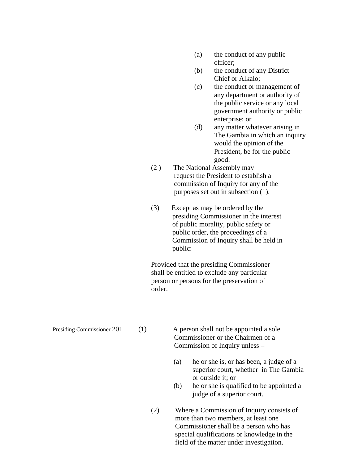- (a) the conduct of any public officer;
- (b) the conduct of any District Chief or Alkalo;
- (c) the conduct or management of any department or authority of the public service or any local government authority or public enterprise; or
- (d) any matter whatever arising in The Gambia in which an inquiry would the opinion of the President, be for the public good.
- (2 ) The National Assembly may request the President to establish a commission of Inquiry for any of the purposes set out in subsection (1).
- (3) Except as may be ordered by the presiding Commissioner in the interest of public morality, public safety or public order, the proceedings of a Commission of Inquiry shall be held in public:

Provided that the presiding Commissioner shall be entitled to exclude any particular person or persons for the preservation of order.

Presiding Commissioner  $201$  (1) A person shall not be appointed a sole Commissioner or the Chairmen of a Commission of Inquiry unless –

- (a) he or she is, or has been, a judge of a superior court, whether in The Gambia or outside it; or
- (b) he or she is qualified to be appointed a judge of a superior court.
- (2) Where a Commission of Inquiry consists of more than two members, at least one Commissioner shall be a person who has special qualifications or knowledge in the field of the matter under investigation.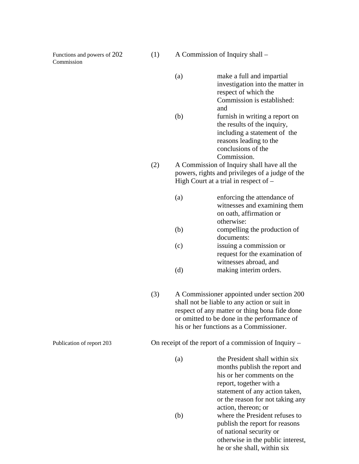Commission

Functions and powers of  $202$  (1) A Commission of Inquiry shall –

- (a) make a full and impartial investigation into the matter in respect of which the Commission is established: and (b) furnish in writing a report on the results of the inquiry, including a statement of the reasons leading to the conclusions of the Commission.
- (2) A Commission of Inquiry shall have all the powers, rights and privileges of a judge of the High Court at a trial in respect of  $-$ 
	- (a) enforcing the attendance of witnesses and examining them on oath, affirmation or otherwise: (b) compelling the production of documents: (c) issuing a commission or request for the examination of witnesses abroad, and (d) making interim orders.
- (3) A Commissioner appointed under section 200 shall not be liable to any action or suit in respect of any matter or thing bona fide done or omitted to be done in the performance of his or her functions as a Commissioner.

Publication of report 203 On receipt of the report of a commission of Inquiry –

(a) the President shall within six months publish the report and his or her comments on the report, together with a statement of any action taken, or the reason for not taking any action, thereon; or (b) where the President refuses to publish the report for reasons of national security or otherwise in the public interest, he or she shall, within six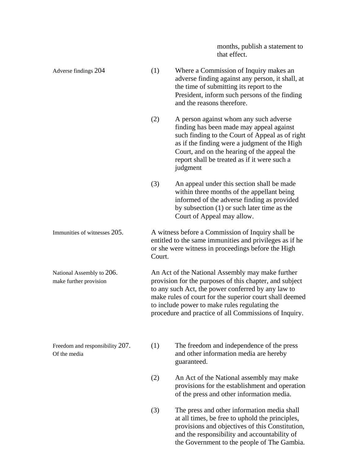months, publish a statement to that effect.

Adverse findings 204 (1) Where a Commission of Inquiry makes an adverse finding against any person, it shall, at the time of submitting its report to the President, inform such persons of the finding and the reasons therefore. (2) A person against whom any such adverse finding has been made may appeal against such finding to the Court of Appeal as of right as if the finding were a judgment of the High Court, and on the hearing of the appeal the report shall be treated as if it were such a judgment (3) An appeal under this section shall be made within three months of the appellant being informed of the adverse finding as provided by subsection (1) or such later time as the Court of Appeal may allow. Immunities of witnesses 205. A witness before a Commission of Inquiry shall be entitled to the same immunities and privileges as if he or she were witness in proceedings before the High Court. National Assembly to 206. An Act of the National Assembly may make further make further provision provision for the purposes of this chapter, and subject to any such Act, the power conferred by any law to make rules of court for the superior court shall deemed to include power to make rules regulating the procedure and practice of all Commissions of Inquiry. Freedom and responsibility 207. (1) The freedom and independence of the press Of the media and other information media are hereby guaranteed. (2) An Act of the National assembly may make provisions for the establishment and operation of the press and other information media. (3) The press and other information media shall at all times, be free to uphold the principles, provisions and objectives of this Constitution, and the responsibility and accountability of the Government to the people of The Gambia.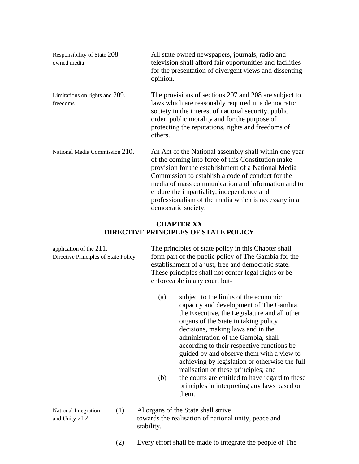| Responsibility of State 208.<br>owned media | All state owned newspapers, journals, radio and<br>television shall afford fair opportunities and facilities<br>for the presentation of divergent views and dissenting<br>opinion.                                                                                                                                                                                                                        |
|---------------------------------------------|-----------------------------------------------------------------------------------------------------------------------------------------------------------------------------------------------------------------------------------------------------------------------------------------------------------------------------------------------------------------------------------------------------------|
| Limitations on rights and 209.<br>freedoms  | The provisions of sections 207 and 208 are subject to<br>laws which are reasonably required in a democratic<br>society in the interest of national security, public<br>order, public morality and for the purpose of<br>protecting the reputations, rights and freedoms of<br>others.                                                                                                                     |
| National Media Commission 210.              | An Act of the National assembly shall within one year<br>of the coming into force of this Constitution make<br>provision for the establishment of a National Media<br>Commission to establish a code of conduct for the<br>media of mass communication and information and to<br>endure the impartiality, independence and<br>professionalism of the media which is necessary in a<br>democratic society. |

#### **CHAPTER XX DIRECTIVE PRINCIPLES OF STATE POLICY**

| application of the $211$ .           | The principles of state policy in this Chapter shall |
|--------------------------------------|------------------------------------------------------|
| Directive Principles of State Policy | form part of the public policy of The Gambia for the |
|                                      | establishment of a just, free and democratic state.  |

- establishment of a just, free and democratic state. These principles shall not confer legal rights or be enforceable in any court but-
	- (a) subject to the limits of the economic capacity and development of The Gambia, the Executive, the Legislature and all other organs of the State in taking policy decisions, making laws and in the administration of the Gambia, shall according to their respective functions be guided by and observe them with a view to achieving by legislation or otherwise the full realisation of these principles; and (b) the courts are entitled to have regard to these
	- principles in interpreting any laws based on them.
- National Integration (1) Al organs of the State shall strive and Unity 212. towards the realisation of national unity, peace and stability.
	- (2) Every effort shall be made to integrate the people of The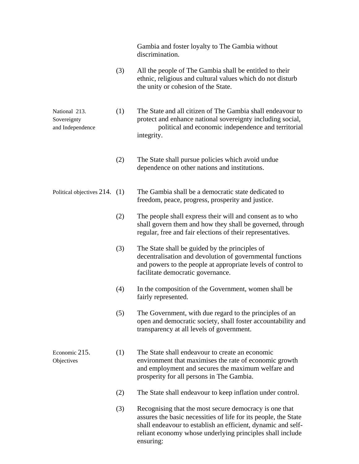|                                                  |     | Gambia and foster loyalty to The Gambia without<br>discrimination.                                                                                                                                                                                                  |
|--------------------------------------------------|-----|---------------------------------------------------------------------------------------------------------------------------------------------------------------------------------------------------------------------------------------------------------------------|
|                                                  | (3) | All the people of The Gambia shall be entitled to their<br>ethnic, religious and cultural values which do not disturb<br>the unity or cohesion of the State.                                                                                                        |
| National 213.<br>Sovereignty<br>and Independence | (1) | The State and all citizen of The Gambia shall endeavour to<br>protect and enhance national sovereignty including social,<br>political and economic independence and territorial<br>integrity.                                                                       |
|                                                  | (2) | The State shall pursue policies which avoid undue<br>dependence on other nations and institutions.                                                                                                                                                                  |
| Political objectives 214.                        | (1) | The Gambia shall be a democratic state dedicated to<br>freedom, peace, progress, prosperity and justice.                                                                                                                                                            |
|                                                  | (2) | The people shall express their will and consent as to who<br>shall govern them and how they shall be governed, through<br>regular, free and fair elections of their representatives.                                                                                |
|                                                  | (3) | The State shall be guided by the principles of<br>decentralisation and devolution of governmental functions<br>and powers to the people at appropriate levels of control to<br>facilitate democratic governance.                                                    |
|                                                  | (4) | In the composition of the Government, women shall be<br>fairly represented.                                                                                                                                                                                         |
|                                                  | (5) | The Government, with due regard to the principles of an<br>open and democratic society, shall foster accountability and<br>transparency at all levels of government.                                                                                                |
| Economic 215.<br>Objectives                      | (1) | The State shall endeavour to create an economic<br>environment that maximises the rate of economic growth<br>and employment and secures the maximum welfare and<br>prosperity for all persons in The Gambia.                                                        |
|                                                  | (2) | The State shall endeavour to keep inflation under control.                                                                                                                                                                                                          |
|                                                  | (3) | Recognising that the most secure democracy is one that<br>assures the basic necessities of life for its people, the State<br>shall endeavour to establish an efficient, dynamic and self-<br>reliant economy whose underlying principles shall include<br>ensuring: |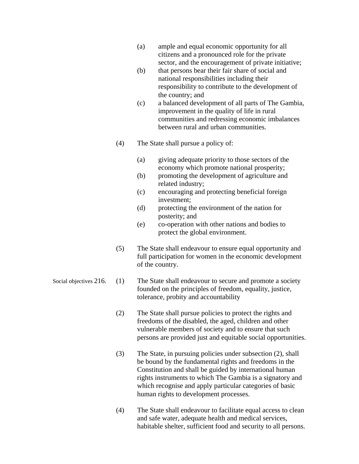- (a) ample and equal economic opportunity for all citizens and a pronounced role for the private sector, and the encouragement of private initiative;
- (b) that persons bear their fair share of social and national responsibilities including their responsibility to contribute to the development of the country; and
- (c) a balanced development of all parts of The Gambia, improvement in the quality of life in rural communities and redressing economic imbalances between rural and urban communities.
- (4) The State shall pursue a policy of:
	- (a) giving adequate priority to those sectors of the economy which promote national prosperity;
	- (b) promoting the development of agriculture and related industry;
	- (c) encouraging and protecting beneficial foreign investment;
	- (d) protecting the environment of the nation for posterity; and
	- (e) co-operation with other nations and bodies to protect the global environment.
- (5) The State shall endeavour to ensure equal opportunity and full participation for women in the economic development of the country.
- Social objectives 216. (1) The State shall endeavour to secure and promote a society founded on the principles of freedom, equality, justice, tolerance, probity and accountability
	- (2) The State shall pursue policies to protect the rights and freedoms of the disabled, the aged, children and other vulnerable members of society and to ensure that such persons are provided just and equitable social opportunities.
	- (3) The State, in pursuing policies under subsection (2), shall be bound by the fundamental rights and freedoms in the Constitution and shall be guided by international human rights instruments to which The Gambia is a signatory and which recognise and apply particular categories of basic human rights to development processes.
	- (4) The State shall endeavour to facilitate equal access to clean and safe water, adequate health and medical services, habitable shelter, sufficient food and security to all persons.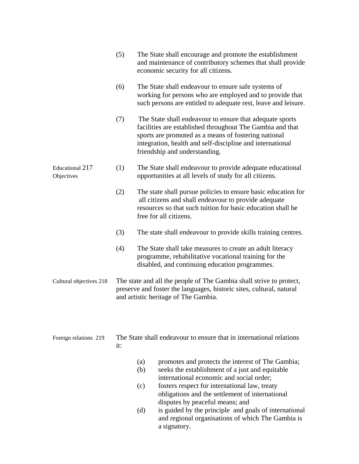|                               | (5) | The State shall encourage and promote the establishment<br>and maintenance of contributory schemes that shall provide<br>economic security for all citizens.                                                                                                                |
|-------------------------------|-----|-----------------------------------------------------------------------------------------------------------------------------------------------------------------------------------------------------------------------------------------------------------------------------|
|                               | (6) | The State shall endeavour to ensure safe systems of<br>working for persons who are employed and to provide that<br>such persons are entitled to adequate rest, leave and leisure.                                                                                           |
|                               | (7) | The State shall endeavour to ensure that adequate sports<br>facilities are established throughout The Gambia and that<br>sports are promoted as a means of fostering national<br>integration, health and self-discipline and international<br>friendship and understanding. |
| Educational 217<br>Objectives | (1) | The State shall endeavour to provide adequate educational<br>opportunities at all levels of study for all citizens.                                                                                                                                                         |
|                               | (2) | The state shall pursue policies to ensure basic education for<br>all citizens and shall endeavour to provide adequate<br>resources so that such tuition for basic education shall be<br>free for all citizens.                                                              |
|                               | (3) | The state shall endeavour to provide skills training centres.                                                                                                                                                                                                               |
|                               | (4) | The State shall take measures to create an adult literacy<br>programme, rehabilitative vocational training for the<br>disabled, and continuing education programmes.                                                                                                        |
| Cultural objectives 218       |     | The state and all the people of The Gambia shall strive to protect,<br>preserve and foster the languages, historic sites, cultural, natural<br>and artistic heritage of The Gambia.                                                                                         |
| Foreign relations 219         | it: | The State shall endeavour to ensure that in international relations                                                                                                                                                                                                         |

- (a) promotes and protects the interest of The Gambia;
- (b) seeks the establishment of a just and equitable international economic and social order;
- (c) fosters respect for international law, treaty obligations and the settlement of international disputes by peaceful means; and
- (d) is guided by the principle and goals of international and regional organisations of which The Gambia is a signatory.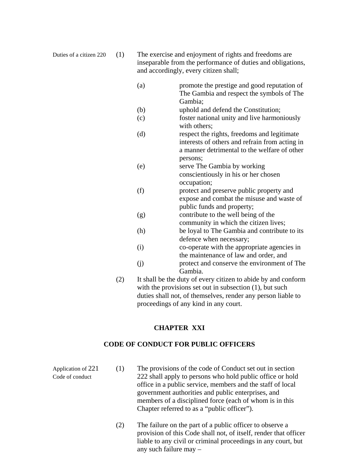Duties of a citizen 220 (1) The exercise and enjoyment of rights and freedoms are inseparable from the performance of duties and obligations, and accordingly, every citizen shall;

- (a) promote the prestige and good reputation of The Gambia and respect the symbols of The Gambia; (b) uphold and defend the Constitution;
- (c) foster national unity and live harmoniously with others;
- (d) respect the rights, freedoms and legitimate interests of others and refrain from acting in a manner detrimental to the welfare of other persons;
- (e) serve The Gambia by working conscientiously in his or her chosen occupation;
- (f) protect and preserve public property and expose and combat the misuse and waste of public funds and property;
- (g) contribute to the well being of the community in which the citizen lives;
- (h) be loyal to The Gambia and contribute to its defence when necessary;
- (i) co-operate with the appropriate agencies in the maintenance of law and order, and
- (j) protect and conserve the environment of The Gambia.
- (2) It shall be the duty of every citizen to abide by and conform with the provisions set out in subsection (1), but such duties shall not, of themselves, render any person liable to proceedings of any kind in any court.

# **CHAPTER XXI**

## **CODE OF CONDUCT FOR PUBLIC OFFICERS**

- Application of  $221$  (1) The provisions of the code of Conduct set out in section Code of conduct 222 shall apply to persons who hold public office or hold office in a public service, members and the staff of local government authorities and public enterprises, and members of a disciplined force (each of whom is in this Chapter referred to as a "public officer").
	- (2) The failure on the part of a public officer to observe a provision of this Code shall not, of itself, render that officer liable to any civil or criminal proceedings in any court, but any such failure may –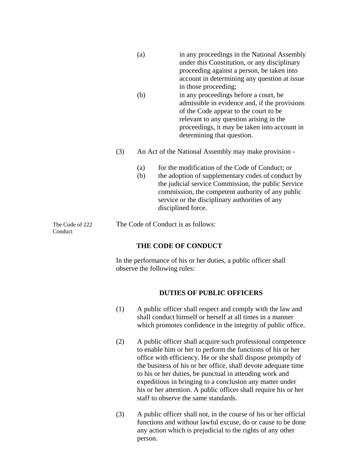| (a) | in any proceedings in the National Assembly<br>under this Constitution, or any disciplinary |
|-----|---------------------------------------------------------------------------------------------|
|     | proceeding against a person, be taken into                                                  |
|     | account in determining any question at issue                                                |
|     | in those proceeding;                                                                        |
| (b) | in any proceedings before a court, be                                                       |
|     | admissible in evidence and, if the provisions                                               |
|     | of the Code appear to the court to be                                                       |
|     | relevant to any question arising in the                                                     |
|     | proceedings, it may be taken into account in                                                |
|     | determining that question.                                                                  |

- (3) An Act of the National Assembly may make provision
	- (a) for the modification of the Code of Conduct; or
	- (b) the adoption of supplementary codes of conduct by the judicial service Commission, the public Service commission, the competent authority of any public service or the disciplinary authorities of any disciplined force.

**Conduct** 

The Code of 222 The Code of Conduct is as follows:

### **THE CODE OF CONDUCT**

 In the performance of his or her duties, a public officer shall observe the following rules:

### **DUTIES OF PUBLIC OFFICERS**

- (1) A public officer shall respect and comply with the law and shall conduct himself or herself at all times in a manner which promotes confidence in the integrity of public office.
- (2) A public officer shall acquire such professional competence to enable him or her to perform the functions of his or her office with efficiency. He or she shall dispose promptly of the business of his or her office, shall devote adequate time to his or her duties, be punctual in attending work and expeditious in bringing to a conclusion any matter under his or her attention. A public officer shall require his or her staff to observe the same standards.
- (3) A public officer shall not, in the course of his or her official functions and without lawful excuse, do or cause to be done any action which is prejudicial to the rights of any other person.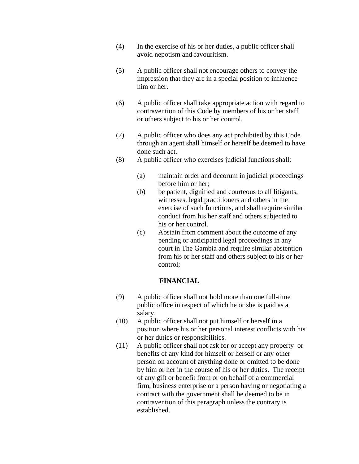- (4) In the exercise of his or her duties, a public officer shall avoid nepotism and favouritism.
- (5) A public officer shall not encourage others to convey the impression that they are in a special position to influence him or her.
- (6) A public officer shall take appropriate action with regard to contravention of this Code by members of his or her staff or others subject to his or her control.
- (7) A public officer who does any act prohibited by this Code through an agent shall himself or herself be deemed to have done such act.
- (8) A public officer who exercises judicial functions shall:
	- (a) maintain order and decorum in judicial proceedings before him or her;
	- (b) be patient, dignified and courteous to all litigants, witnesses, legal practitioners and others in the exercise of such functions, and shall require similar conduct from his her staff and others subjected to his or her control.
	- (c) Abstain from comment about the outcome of any pending or anticipated legal proceedings in any court in The Gambia and require similar abstention from his or her staff and others subject to his or her control;

# **FINANCIAL**

- (9) A public officer shall not hold more than one full-time public office in respect of which he or she is paid as a salary.
- (10) A public officer shall not put himself or herself in a position where his or her personal interest conflicts with his or her duties or responsibilities.
- (11) A public officer shall not ask for or accept any property or benefits of any kind for himself or herself or any other person on account of anything done or omitted to be done by him or her in the course of his or her duties. The receipt of any gift or benefit from or on behalf of a commercial firm, business enterprise or a person having or negotiating a contract with the government shall be deemed to be in contravention of this paragraph unless the contrary is established.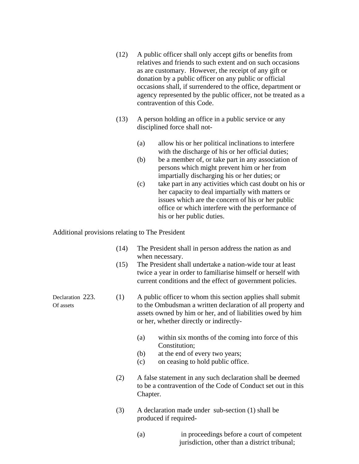- (12) A public officer shall only accept gifts or benefits from relatives and friends to such extent and on such occasions as are customary. However, the receipt of any gift or donation by a public officer on any public or official occasions shall, if surrendered to the office, department or agency represented by the public officer, not be treated as a contravention of this Code.
- (13) A person holding an office in a public service or any disciplined force shall not-
	- (a) allow his or her political inclinations to interfere with the discharge of his or her official duties;
	- (b) be a member of, or take part in any association of persons which might prevent him or her from impartially discharging his or her duties; or
	- (c) take part in any activities which cast doubt on his or her capacity to deal impartially with matters or issues which are the concern of his or her public office or which interfere with the performance of his or her public duties.

### Additional provisions relating to The President

- (14) The President shall in person address the nation as and when necessary.
- (15) The President shall undertake a nation-wide tour at least twice a year in order to familiarise himself or herself with current conditions and the effect of government policies.
- Declaration 223. (1) A public officer to whom this section applies shall submit Of assets to the Ombudsman a written declaration of all property and assets owned by him or her, and of liabilities owed by him or her, whether directly or indirectly-
	- (a) within six months of the coming into force of this Constitution;
	- (b) at the end of every two years;
	- (c) on ceasing to hold public office.
	- (2) A false statement in any such declaration shall be deemed to be a contravention of the Code of Conduct set out in this Chapter.
	- (3) A declaration made under sub-section (1) shall be produced if required-
		- (a) in proceedings before a court of competent jurisdiction, other than a district tribunal;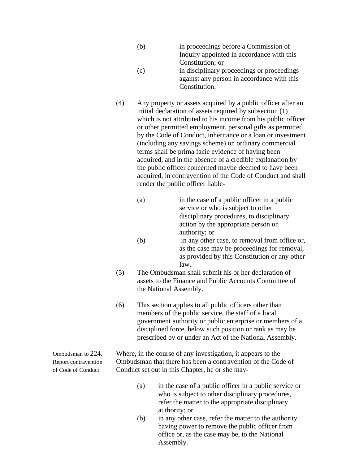- (b) in proceedings before a Commission of Inquiry appointed in accordance with this Constitution; or (c) in disciplinary proceedings or proceedings
- against any person in accordance with this Constitution.
- (4) Any property or assets acquired by a public officer after an initial declaration of assets required by subsection (1) which is not attributed to his income from his public officer or other permitted employment, personal gifts as permitted by the Code of Conduct, inheritance or a loan or investment (including any savings scheme) on ordinary commercial terms shall be prima facie evidence of having been acquired, and in the absence of a credible explanation by the public officer concerned maybe deemed to have been acquired, in contravention of the Code of Conduct and shall render the public officer liable-

| (a) | in the case of a public officer in a public<br>service or who is subject to other |
|-----|-----------------------------------------------------------------------------------|
|     | disciplinary procedures, to disciplinary                                          |
|     | action by the appropriate person or                                               |
|     | authority; or                                                                     |
| (b) | in any other case, to removal from office or,                                     |
|     | as the case may be proceedings for removal,                                       |
|     | as provided by this Constitution or any other                                     |
|     | law.                                                                              |
|     | The Ombudsman shall submit his or her declaration of                              |

- (5) The Ombudsman shall submit his or her declaration of assets to the Finance and Public Accounts Committee of the National Assembly.
- (6) This section applies to all public officers other than members of the public service, the staff of a local government authority or public enterprise or members of a disciplined force, below such position or rank as may be prescribed by or under an Act of the National Assembly.

Ombudsman to 224. Where, in the course of any investigation, it appears to the Report contravention Ombudsman that there has been a contravention of the Code of of Code of Conduct Conduct set out in this Chapter, he or she may-

- (a) in the case of a public officer in a public service or who is subject to other disciplinary procedures, refer the matter to the appropriate disciplinary authority; or
- (b) in any other case, refer the matter to the authority having power to remove the public officer from office or, as the case may be, to the National Assembly.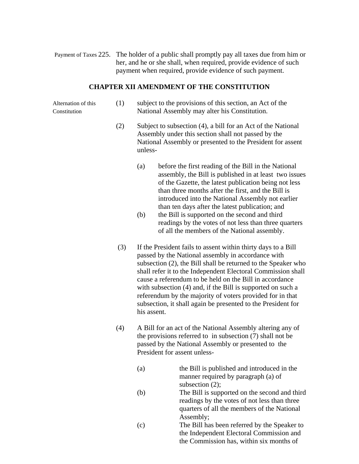Payment of Taxes 225. The holder of a public shall promptly pay all taxes due from him or her, and he or she shall, when required, provide evidence of such payment when required, provide evidence of such payment.

#### **CHAPTER XII AMENDMENT OF THE CONSTITUTION**

- Alternation of this (1) subject to the provisions of this section, an Act of the Constitution National Assembly may alter his Constitution.
	- (2) Subject to subsection (4), a bill for an Act of the National Assembly under this section shall not passed by the National Assembly or presented to the President for assent unless-
		- (a) before the first reading of the Bill in the National assembly, the Bill is published in at least two issues of the Gazette, the latest publication being not less than three months after the first, and the Bill is introduced into the National Assembly not earlier than ten days after the latest publication; and
		- (b) the Bill is supported on the second and third readings by the votes of not less than three quarters of all the members of the National assembly.
	- (3) If the President fails to assent within thirty days to a Bill passed by the National assembly in accordance with subsection (2), the Bill shall be returned to the Speaker who shall refer it to the Independent Electoral Commission shall cause a referendum to be held on the Bill in accordance with subsection (4) and, if the Bill is supported on such a referendum by the majority of voters provided for in that subsection, it shall again be presented to the President for his assent.
	- (4) A Bill for an act of the National Assembly altering any of the provisions referred to in subsection (7) shall not be passed by the National Assembly or presented to the President for assent unless-

| (a) | the Bill is published and introduced in the<br>manner required by paragraph (a) of |
|-----|------------------------------------------------------------------------------------|
|     | subsection $(2)$ ;                                                                 |
| (b) | The Bill is supported on the second and third                                      |
|     | readings by the votes of not less than three                                       |
|     | quarters of all the members of the National                                        |
|     | Assembly;                                                                          |
| (c) | The Bill has been referred by the Speaker to                                       |
|     | the Independent Electoral Commission and                                           |
|     | the Commission has, within six months of                                           |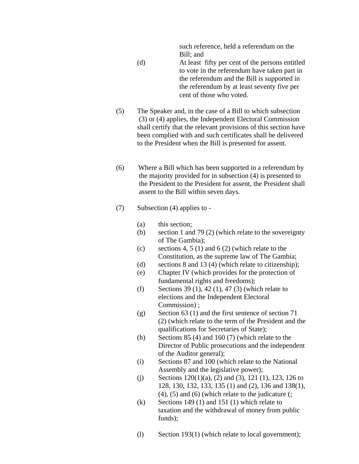such reference, held a referendum on the Bill; and

- (d) At least fifty per cent of the persons entitled to vote in the referendum have taken part in the referendum and the Bill is supported in the referendum by at least seventy five per cent of those who voted.
- (5) The Speaker and, in the case of a Bill to which subsection (3) or (4) applies, the Independent Electoral Commission shall certify that the relevant provisions of this section have been complied with and such certificates shall be delivered to the President when the Bill is presented for assent.
- (6) Where a Bill which has been supported in a referendum by the majority provided for in subsection (4) is presented to the President to the President for assent, the President shall assent to the Bill within seven days.
- (7) Subsection (4) applies to
	- (a) this section;
	- (b) section 1 and 79 (2) (which relate to the sovereignty of The Gambia);
	- (c) sections 4, 5 (1) and 6 (2) (which relate to the Constitution, as the supreme law of The Gambia;
	- (d) sections 8 and 13 (4) (which relate to citizenship);
	- (e) Chapter IV (which provides for the protection of fundamental rights and freedoms);
	- (f) Sections 39 (1), 42 (1), 47 (3) (which relate to elections and the Independent Electoral Commission) ;
	- (g) Section 63 (1) and the first sentence of section 71 (2) (which relate to the term of the President and the qualifications for Secretaries of State);
	- (h) Sections 85 (4) and 160 (7) (which relate to the Director of Public prosecutions and the independent of the Auditor general);
	- (i) Sections 87 and 100 (which relate to the National Assembly and the legislative power);
	- (i) Sections  $120(1)(a)$ , (2) and (3), 121 (1), 123, 126 to 128, 130, 132, 133, 135 (1) and (2), 136 and 138(1),  $(4)$ ,  $(5)$  and  $(6)$  (which relate to the judicature  $($ ;
	- $(k)$  Sections 149 (1) and 151 (1) which relate to taxation and the withdrawal of money from public funds);
	- (l) Section 193(1) (which relate to local government);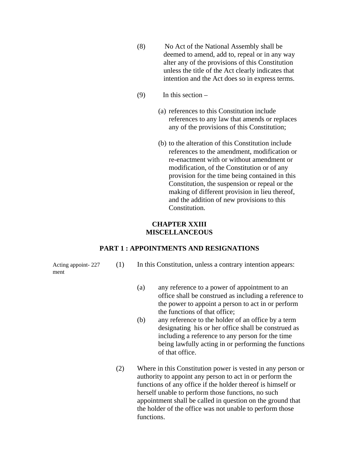- (8) No Act of the National Assembly shall be deemed to amend, add to, repeal or in any way alter any of the provisions of this Constitution unless the title of the Act clearly indicates that intention and the Act does so in express terms.
- $(9)$  In this section
	- (a) references to this Constitution include references to any law that amends or replaces any of the provisions of this Constitution;
	- (b) to the alteration of this Constitution include references to the amendment, modification or re-enactment with or without amendment or modification, of the Constitution or of any provision for the time being contained in this Constitution, the suspension or repeal or the making of different provision in lieu thereof, and the addition of new provisions to this Constitution.

### **CHAPTER XXIII MISCELLANCEOUS**

### **PART 1 : APPOINTMENTS AND RESIGNATIONS**

- ment
- Acting appoint- 227 (1) In this Constitution, unless a contrary intention appears:
	- (a) any reference to a power of appointment to an office shall be construed as including a reference to the power to appoint a person to act in or perform the functions of that office;
	- (b) any reference to the holder of an office by a term designating his or her office shall be construed as including a reference to any person for the time being lawfully acting in or performing the functions of that office.
	- (2) Where in this Constitution power is vested in any person or authority to appoint any person to act in or perform the functions of any office if the holder thereof is himself or herself unable to perform those functions, no such appointment shall be called in question on the ground that the holder of the office was not unable to perform those functions.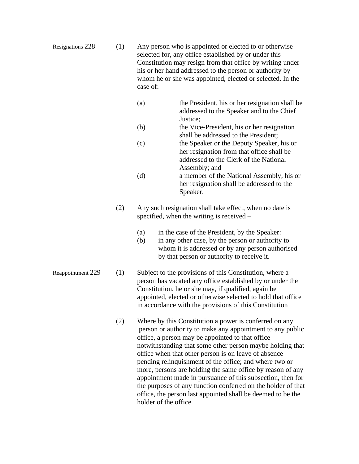- Resignations 228 (1) Any person who is appointed or elected to or otherwise selected for, any office established by or under this Constitution may resign from that office by writing under his or her hand addressed to the person or authority by whom he or she was appointed, elected or selected. In the case of:
	- (a) the President, his or her resignation shall be addressed to the Speaker and to the Chief Justice;
	- (b) the Vice-President, his or her resignation shall be addressed to the President;
	- (c) the Speaker or the Deputy Speaker, his or her resignation from that office shall be addressed to the Clerk of the National Assembly; and
	- (d) a member of the National Assembly, his or her resignation shall be addressed to the Speaker.
	- (2) Any such resignation shall take effect, when no date is specified, when the writing is received –
		- (a) in the case of the President, by the Speaker:
		- (b) in any other case, by the person or authority to whom it is addressed or by any person authorised by that person or authority to receive it.
- Reappointment 229 (1) Subject to the provisions of this Constitution, where a person has vacated any office established by or under the Constitution, he or she may, if qualified, again be appointed, elected or otherwise selected to hold that office in accordance with the provisions of this Constitution
	- (2) Where by this Constitution a power is conferred on any person or authority to make any appointment to any public office, a person may be appointed to that office notwithstanding that some other person maybe holding that office when that other person is on leave of absence pending relinquishment of the office; and where two or more, persons are holding the same office by reason of any appointment made in pursuance of this subsection, then for the purposes of any function conferred on the holder of that office, the person last appointed shall be deemed to be the holder of the office.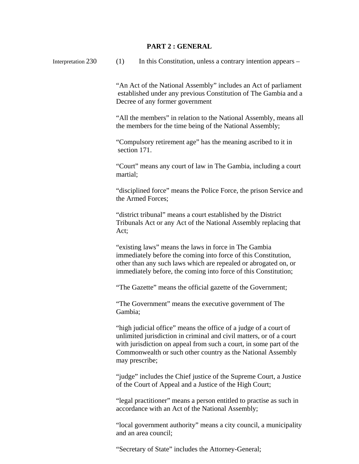#### **PART 2 : GENERAL**

Interpretation 230 (1) In this Constitution, unless a contrary intention appears –

 "An Act of the National Assembly" includes an Act of parliament established under any previous Constitution of The Gambia and a Decree of any former government

"All the members" in relation to the National Assembly, means all the members for the time being of the National Assembly;

"Compulsory retirement age" has the meaning ascribed to it in section 171.

"Court" means any court of law in The Gambia, including a court martial;

"disciplined force" means the Police Force, the prison Service and the Armed Forces;

"district tribunal" means a court established by the District Tribunals Act or any Act of the National Assembly replacing that Act;

"existing laws" means the laws in force in The Gambia immediately before the coming into force of this Constitution, other than any such laws which are repealed or abrogated on, or immediately before, the coming into force of this Constitution;

"The Gazette" means the official gazette of the Government;

"The Government" means the executive government of The Gambia;

"high judicial office" means the office of a judge of a court of unlimited jurisdiction in criminal and civil matters, or of a court with jurisdiction on appeal from such a court, in some part of the Commonwealth or such other country as the National Assembly may prescribe;

"judge" includes the Chief justice of the Supreme Court, a Justice of the Court of Appeal and a Justice of the High Court;

"legal practitioner" means a person entitled to practise as such in accordance with an Act of the National Assembly;

"local government authority" means a city council, a municipality and an area council;

"Secretary of State" includes the Attorney-General;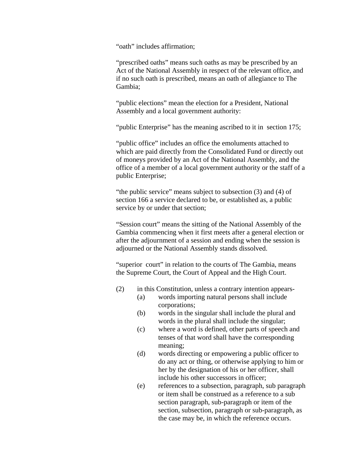"oath" includes affirmation;

"prescribed oaths" means such oaths as may be prescribed by an Act of the National Assembly in respect of the relevant office, and if no such oath is prescribed, means an oath of allegiance to The Gambia;

"public elections" mean the election for a President, National Assembly and a local government authority:

"public Enterprise" has the meaning ascribed to it in section 175;

"public office" includes an office the emoluments attached to which are paid directly from the Consolidated Fund or directly out of moneys provided by an Act of the National Assembly, and the office of a member of a local government authority or the staff of a public Enterprise;

"the public service" means subject to subsection (3) and (4) of section 166 a service declared to be, or established as, a public service by or under that section;

"Session court" means the sitting of the National Assembly of the Gambia commencing when it first meets after a general election or after the adjournment of a session and ending when the session is adjourned or the National Assembly stands dissolved.

"superior court" in relation to the courts of The Gambia, means the Supreme Court, the Court of Appeal and the High Court.

- (2) in this Constitution, unless a contrary intention appears-
	- (a) words importing natural persons shall include corporations;
	- (b) words in the singular shall include the plural and words in the plural shall include the singular;
	- (c) where a word is defined, other parts of speech and tenses of that word shall have the corresponding meaning;
	- (d) words directing or empowering a public officer to do any act or thing, or otherwise applying to him or her by the designation of his or her officer, shall include his other successors in officer;
	- (e) references to a subsection, paragraph, sub paragraph or item shall be construed as a reference to a sub section paragraph, sub-paragraph or item of the section, subsection, paragraph or sub-paragraph, as the case may be, in which the reference occurs.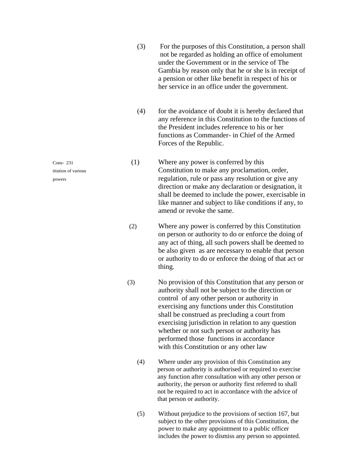- (3) For the purposes of this Constitution, a person shall not be regarded as holding an office of emolument under the Government or in the service of The Gambia by reason only that he or she is in receipt of a pension or other like benefit in respect of his or her service in an office under the government.
- (4) for the avoidance of doubt it is hereby declared that any reference in this Constitution to the functions of the President includes reference to his or her functions as Commander- in Chief of the Armed Forces of the Republic.
- $\cos^2 231$  (1) Where any power is conferred by this titution of various Constitution to make any proclamation, order, powers regulation, rule or pass any resolution or give any direction or make any declaration or designation, it shall be deemed to include the power, exercisable in like manner and subject to like conditions if any, to amend or revoke the same.
	- (2) Where any power is conferred by this Constitution on person or authority to do or enforce the doing of any act of thing, all such powers shall be deemed to be also given as are necessary to enable that person or authority to do or enforce the doing of that act or thing.
	- (3) No provision of this Constitution that any person or authority shall not be subject to the direction or control of any other person or authority in exercising any functions under this Constitution shall be construed as precluding a court from exercising jurisdiction in relation to any question whether or not such person or authority has performed those functions in accordance with this Constitution or any other law
		- (4) Where under any provision of this Constitution any person or authority is authorised or required to exercise any function after consultation with any other person or authority, the person or authority first referred to shall not be required to act in accordance with the advice of that person or authority.
		- (5) Without prejudice to the provisions of section 167, but subject to the other provisions of this Constitution, the power to make any appointment to a public officer includes the power to dismiss any person so appointed.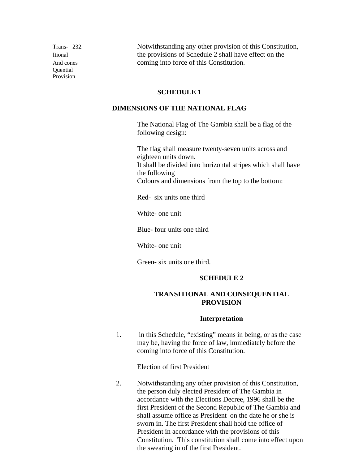**Ouential** Provision

Trans- 232. Notwithstanding any other provision of this Constitution, Itional the provisions of Schedule 2 shall have effect on the And cones coming into force of this Constitution.

#### **SCHEDULE 1**

#### **DIMENSIONS OF THE NATIONAL FLAG**

The National Flag of The Gambia shall be a flag of the following design:

The flag shall measure twenty-seven units across and eighteen units down. It shall be divided into horizontal stripes which shall have the following Colours and dimensions from the top to the bottom:

Red- six units one third

White- one unit

Blue- four units one third

White- one unit

Green- six units one third.

#### **SCHEDULE 2**

#### **TRANSITIONAL AND CONSEQUENTIAL PROVISION**

#### **Interpretation**

1. in this Schedule, "existing" means in being, or as the case may be, having the force of law, immediately before the coming into force of this Constitution.

Election of first President

2. Notwithstanding any other provision of this Constitution, the person duly elected President of The Gambia in accordance with the Elections Decree, 1996 shall be the first President of the Second Republic of The Gambia and shall assume office as President on the date he or she is sworn in. The first President shall hold the office of President in accordance with the provisions of this Constitution. This constitution shall come into effect upon the swearing in of the first President.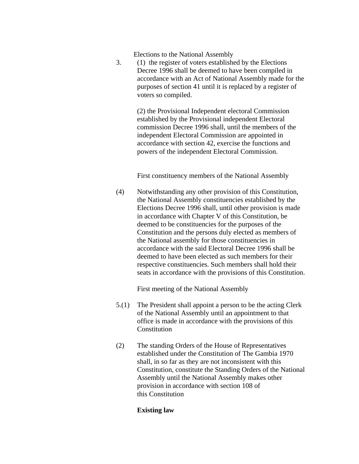Elections to the National Assembly

3. (1) the register of voters established by the Elections Decree 1996 shall be deemed to have been compiled in accordance with an Act of National Assembly made for the purposes of section 41 until it is replaced by a register of voters so compiled.

> (2) the Provisional Independent electoral Commission established by the Provisional independent Electoral commission Decree 1996 shall, until the members of the independent Electoral Commission are appointed in accordance with section 42, exercise the functions and powers of the independent Electoral Commission.

First constituency members of the National Assembly

 (4) Notwithstanding any other provision of this Constitution, the National Assembly constituencies established by the Elections Decree 1996 shall, until other provision is made in accordance with Chapter V of this Constitution, be deemed to be constituencies for the purposes of the Constitution and the persons duly elected as members of the National assembly for those constituencies in accordance with the said Electoral Decree 1996 shall be deemed to have been elected as such members for their respective constituencies. Such members shall hold their seats in accordance with the provisions of this Constitution.

First meeting of the National Assembly

- 5.(1) The President shall appoint a person to be the acting Clerk of the National Assembly until an appointment to that office is made in accordance with the provisions of this Constitution
- (2) The standing Orders of the House of Representatives established under the Constitution of The Gambia 1970 shall, in so far as they are not inconsistent with this Constitution, constitute the Standing Orders of the National Assembly until the National Assembly makes other provision in accordance with section 108 of this Constitution

#### **Existing law**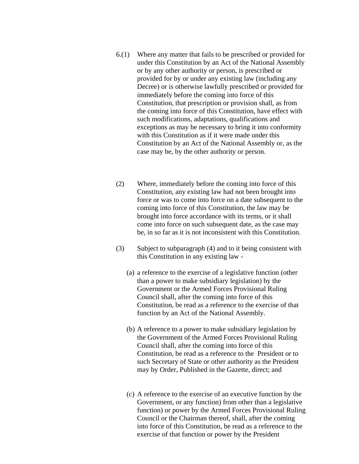- 6.(1) Where any matter that fails to be prescribed or provided for under this Constitution by an Act of the National Assembly or by any other authority or person, is prescribed or provided for by or under any existing law (including any Decree) or is otherwise lawfully prescribed or provided for immediately before the coming into force of this Constitution, that prescription or provision shall, as from the coming into force of this Constitution, have effect with such modifications, adaptations, qualifications and exceptions as may be necessary to bring it into conformity with this Constitution as if it were made under this Constitution by an Act of the National Assembly or, as the case may be, by the other authority or person.
- (2) Where, immediately before the coming into force of this Constitution, any existing law had not been brought into force or was to come into force on a date subsequent to the coming into force of this Constitution, the law may be brought into force accordance with its terms, or it shall come into force on such subsequent date, as the case may be, in so far as it is not inconsistent with this Constitution.
- (3) Subject to subparagraph (4) and to it being consistent with this Constitution in any existing law -
	- (a) a reference to the exercise of a legislative function (other than a power to make subsidiary legislation) by the Government or the Armed Forces Provisional Ruling Council shall, after the coming into force of this Constitution, be read as a reference to the exercise of that function by an Act of the National Assembly.
	- (b) A reference to a power to make subsidiary legislation by the Government of the Armed Forces Provisional Ruling Council shall, after the coming into force of this Constitution, be read as a reference to the President or to such Secretary of State or other authority as the President may by Order, Published in the Gazette, direct; and
	- (c) A reference to the exercise of an executive function by the Government, or any function) from other than a legislative function) or power by the Armed Forces Provisional Ruling Council or the Chairman thereof, shall, after the coming into force of this Constitution, be read as a reference to the exercise of that function or power by the President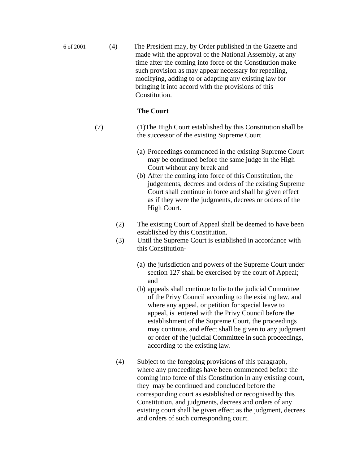6 of 2001 (4) The President may, by Order published in the Gazette and made with the approval of the National Assembly, at any time after the coming into force of the Constitution make such provision as may appear necessary for repealing, modifying, adding to or adapting any existing law for bringing it into accord with the provisions of this Constitution.

## **The Court**

- (7) (1)The High Court established by this Constitution shall be the successor of the existing Supreme Court
	- (a) Proceedings commenced in the existing Supreme Court may be continued before the same judge in the High Court without any break and
	- (b) After the coming into force of this Constitution, the judgements, decrees and orders of the existing Supreme Court shall continue in force and shall be given effect as if they were the judgments, decrees or orders of the High Court.
	- (2) The existing Court of Appeal shall be deemed to have been established by this Constitution.
	- (3) Until the Supreme Court is established in accordance with this Constitution-
		- (a) the jurisdiction and powers of the Supreme Court under section 127 shall be exercised by the court of Appeal; and
		- (b) appeals shall continue to lie to the judicial Committee of the Privy Council according to the existing law, and where any appeal, or petition for special leave to appeal, is entered with the Privy Council before the establishment of the Supreme Court, the proceedings may continue, and effect shall be given to any judgment or order of the judicial Committee in such proceedings, according to the existing law.
	- (4) Subject to the foregoing provisions of this paragraph, where any proceedings have been commenced before the coming into force of this Constitution in any existing court, they may be continued and concluded before the corresponding court as established or recognised by this Constitution, and judgments, decrees and orders of any existing court shall be given effect as the judgment, decrees and orders of such corresponding court.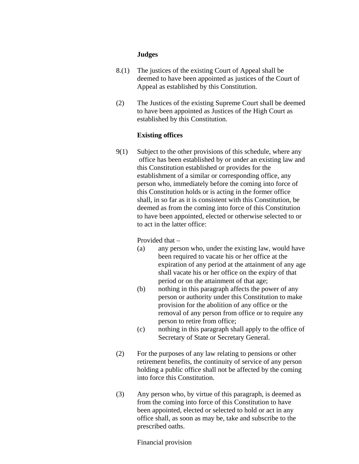### **Judges**

- 8.(1) The justices of the existing Court of Appeal shall be deemed to have been appointed as justices of the Court of Appeal as established by this Constitution.
- (2) The Justices of the existing Supreme Court shall be deemed to have been appointed as Justices of the High Court as established by this Constitution.

## **Existing offices**

 9(1) Subject to the other provisions of this schedule, where any office has been established by or under an existing law and this Constitution established or provides for the establishment of a similar or corresponding office, any person who, immediately before the coming into force of this Constitution holds or is acting in the former office shall, in so far as it is consistent with this Constitution, be deemed as from the coming into force of this Constitution to have been appointed, elected or otherwise selected to or to act in the latter office:

Provided that –

- (a) any person who, under the existing law, would have been required to vacate his or her office at the expiration of any period at the attainment of any age shall vacate his or her office on the expiry of that period or on the attainment of that age;
- (b) nothing in this paragraph affects the power of any person or authority under this Constitution to make provision for the abolition of any office or the removal of any person from office or to require any person to retire from office;
- (c) nothing in this paragraph shall apply to the office of Secretary of State or Secretary General.
- (2) For the purposes of any law relating to pensions or other retirement benefits, the continuity of service of any person holding a public office shall not be affected by the coming into force this Constitution.
- (3) Any person who, by virtue of this paragraph, is deemed as from the coming into force of this Constitution to have been appointed, elected or selected to hold or act in any office shall, as soon as may be, take and subscribe to the prescribed oaths.

### Financial provision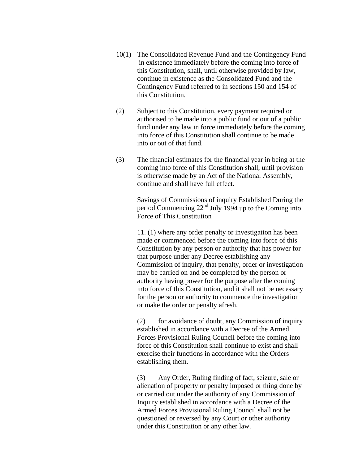- 10(1) The Consolidated Revenue Fund and the Contingency Fund in existence immediately before the coming into force of this Constitution, shall, until otherwise provided by law, continue in existence as the Consolidated Fund and the Contingency Fund referred to in sections 150 and 154 of this Constitution.
- (2) Subject to this Constitution, every payment required or authorised to be made into a public fund or out of a public fund under any law in force immediately before the coming into force of this Constitution shall continue to be made into or out of that fund.
- (3) The financial estimates for the financial year in being at the coming into force of this Constitution shall, until provision is otherwise made by an Act of the National Assembly, continue and shall have full effect.

Savings of Commissions of inquiry Established During the period Commencing  $22<sup>nd</sup>$  July 1994 up to the Coming into Force of This Constitution

11. (1) where any order penalty or investigation has been made or commenced before the coming into force of this Constitution by any person or authority that has power for that purpose under any Decree establishing any Commission of inquiry, that penalty, order or investigation may be carried on and be completed by the person or authority having power for the purpose after the coming into force of this Constitution, and it shall not be necessary for the person or authority to commence the investigation or make the order or penalty afresh.

(2) for avoidance of doubt, any Commission of inquiry established in accordance with a Decree of the Armed Forces Provisional Ruling Council before the coming into force of this Constitution shall continue to exist and shall exercise their functions in accordance with the Orders establishing them.

(3) Any Order, Ruling finding of fact, seizure, sale or alienation of property or penalty imposed or thing done by or carried out under the authority of any Commission of Inquiry established in accordance with a Decree of the Armed Forces Provisional Ruling Council shall not be questioned or reversed by any Court or other authority under this Constitution or any other law.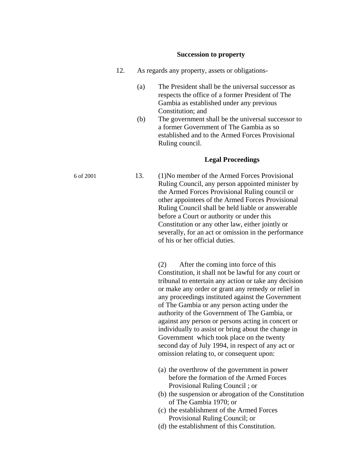#### **Succession to property**

- 12. As regards any property, assets or obligations-
	- (a) The President shall be the universal successor as respects the office of a former President of The Gambia as established under any previous Constitution; and
	- (b) The government shall be the universal successor to a former Government of The Gambia as so established and to the Armed Forces Provisional Ruling council.

#### **Legal Proceedings**

6 of 2001 13. (1)No member of the Armed Forces Provisional Ruling Council, any person appointed minister by the Armed Forces Provisional Ruling council or other appointees of the Armed Forces Provisional Ruling Council shall be held liable or answerable before a Court or authority or under this Constitution or any other law, either jointly or severally, for an act or omission in the performance of his or her official duties.

> (2) After the coming into force of this Constitution, it shall not be lawful for any court or tribunal to entertain any action or take any decision or make any order or grant any remedy or relief in any proceedings instituted against the Government of The Gambia or any person acting under the authority of the Government of The Gambia, or against any person or persons acting in concert or individually to assist or bring about the change in Government which took place on the twenty second day of July 1994, in respect of any act or omission relating to, or consequent upon:

- (a) the overthrow of the government in power before the formation of the Armed Forces Provisional Ruling Council ; or
- (b) the suspension or abrogation of the Constitution of The Gambia 1970; or
- (c) the establishment of the Armed Forces Provisional Ruling Council; or
- (d) the establishment of this Constitution.